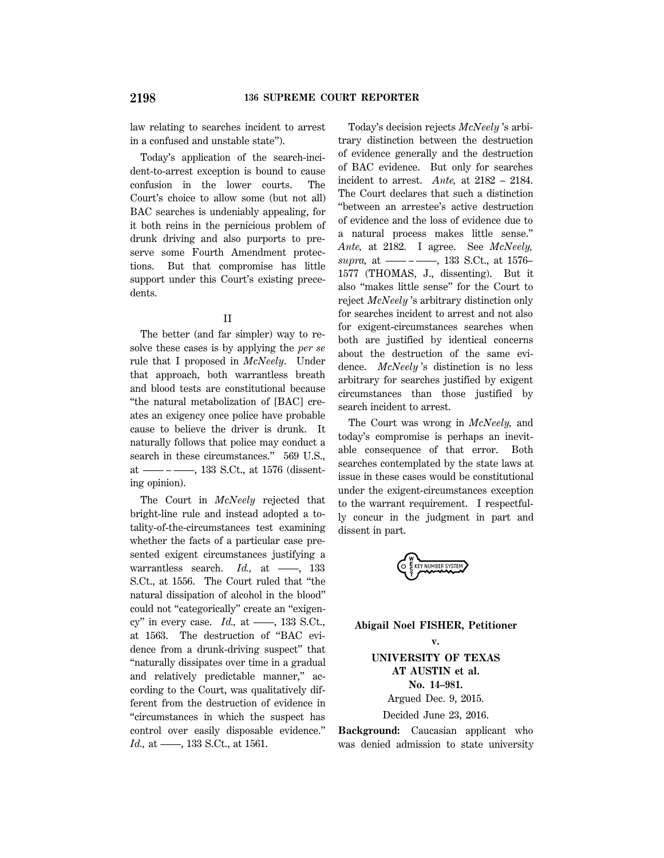law relating to searches incident to arrest in a confused and unstable state'').

Today's application of the search-incident-to-arrest exception is bound to cause confusion in the lower courts. The Court's choice to allow some (but not all) BAC searches is undeniably appealing, for it both reins in the pernicious problem of drunk driving and also purports to preserve some Fourth Amendment protections. But that compromise has little support under this Court's existing precedents.

## II

The better (and far simpler) way to resolve these cases is by applying the *per se* rule that I proposed in *McNeely*. Under that approach, both warrantless breath and blood tests are constitutional because ''the natural metabolization of [BAC] creates an exigency once police have probable cause to believe the driver is drunk. It naturally follows that police may conduct a search in these circumstances." 569 U.S., at –––– – ––––, 133 S.Ct., at 1576 (dissenting opinion).

The Court in *McNeely* rejected that bright-line rule and instead adopted a totality-of-the-circumstances test examining whether the facts of a particular case presented exigent circumstances justifying a warrantless search. *Id.*, at —–, 133 S.Ct., at 1556. The Court ruled that ''the natural dissipation of alcohol in the blood'' could not ''categorically'' create an ''exigency" in every case.  $Id$ , at  $\longrightarrow$ , 133 S.Ct., at 1563. The destruction of ''BAC evidence from a drunk-driving suspect'' that ''naturally dissipates over time in a gradual and relatively predictable manner,'' according to the Court, was qualitatively different from the destruction of evidence in ''circumstances in which the suspect has control over easily disposable evidence.'' *Id.*, at ——, 133 S.Ct., at 1561.

Today's decision rejects *McNeely* 's arbitrary distinction between the destruction of evidence generally and the destruction of BAC evidence. But only for searches incident to arrest. *Ante,* at 2182 – 2184. The Court declares that such a distinction ''between an arrestee's active destruction of evidence and the loss of evidence due to a natural process makes little sense.'' *Ante,* at 2182. I agree. See *McNeely, supra,* at –––– – ––––, 133 S.Ct., at 1576– 1577 (THOMAS, J., dissenting). But it also ''makes little sense'' for the Court to reject *McNeely* 's arbitrary distinction only for searches incident to arrest and not also for exigent-circumstances searches when both are justified by identical concerns about the destruction of the same evidence. *McNeely* 's distinction is no less arbitrary for searches justified by exigent circumstances than those justified by search incident to arrest.

The Court was wrong in *McNeely,* and today's compromise is perhaps an inevitable consequence of that error. Both searches contemplated by the state laws at issue in these cases would be constitutional under the exigent-circumstances exception to the warrant requirement. I respectfully concur in the judgment in part and dissent in part.

EY NUMBER SYSTEM

# **Abigail Noel FISHER, Petitioner v. UNIVERSITY OF TEXAS AT AUSTIN et al. No. 14–981.** Argued Dec. 9, 2015. Decided June 23, 2016.

**Background:** Caucasian applicant who was denied admission to state university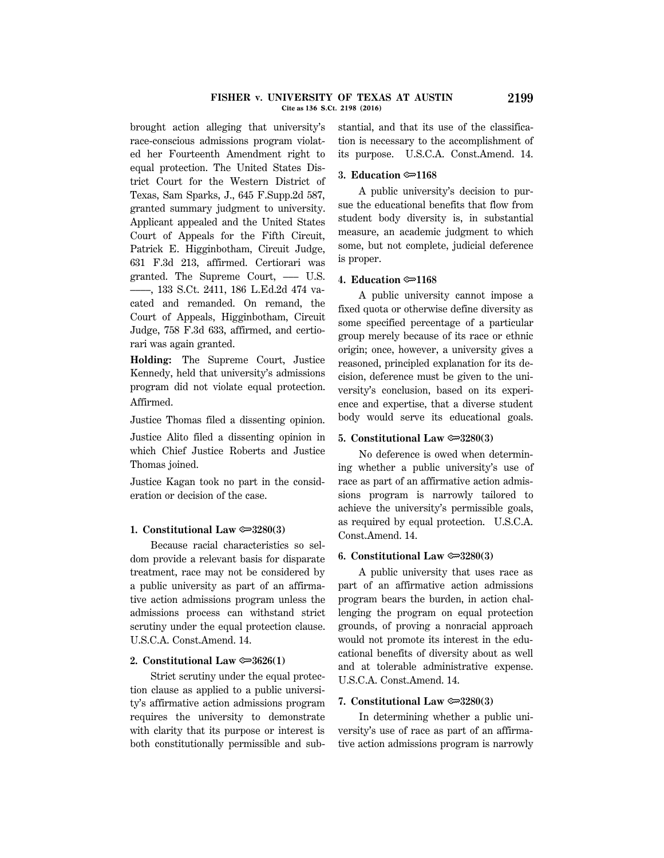### **FISHER v. UNIVERSITY OF TEXAS AT AUSTIN 2199 Cite as 136 S.Ct. 2198 (2016)**

brought action alleging that university's race-conscious admissions program violated her Fourteenth Amendment right to equal protection. The United States District Court for the Western District of Texas, Sam Sparks, J., 645 F.Supp.2d 587, granted summary judgment to university. Applicant appealed and the United States Court of Appeals for the Fifth Circuit, Patrick E. Higginbotham, Circuit Judge, 631 F.3d 213, affirmed. Certiorari was granted. The Supreme Court, — U.S. ––––, 133 S.Ct. 2411, 186 L.Ed.2d 474 vacated and remanded. On remand, the Court of Appeals, Higginbotham, Circuit Judge, 758 F.3d 633, affirmed, and certiorari was again granted.

**Holding:** The Supreme Court, Justice Kennedy, held that university's admissions program did not violate equal protection. Affirmed.

Justice Thomas filed a dissenting opinion.

Justice Alito filed a dissenting opinion in which Chief Justice Roberts and Justice Thomas joined.

Justice Kagan took no part in the consideration or decision of the case.

# **1. Constitutional Law**  $\approx 3280(3)$

Because racial characteristics so seldom provide a relevant basis for disparate treatment, race may not be considered by a public university as part of an affirmative action admissions program unless the admissions process can withstand strict scrutiny under the equal protection clause. U.S.C.A. Const.Amend. 14.

# 2. Constitutional Law  $\mathfrak{S}3626(1)$

Strict scrutiny under the equal protection clause as applied to a public university's affirmative action admissions program requires the university to demonstrate with clarity that its purpose or interest is both constitutionally permissible and substantial, and that its use of the classification is necessary to the accomplishment of its purpose. U.S.C.A. Const.Amend. 14.

# **3. Education** O**1168**

A public university's decision to pursue the educational benefits that flow from student body diversity is, in substantial measure, an academic judgment to which some, but not complete, judicial deference is proper.

### **4. Education** O**1168**

A public university cannot impose a fixed quota or otherwise define diversity as some specified percentage of a particular group merely because of its race or ethnic origin; once, however, a university gives a reasoned, principled explanation for its decision, deference must be given to the university's conclusion, based on its experience and expertise, that a diverse student body would serve its educational goals.

### **5. Constitutional Law**  $\approx 3280(3)$

No deference is owed when determining whether a public university's use of race as part of an affirmative action admissions program is narrowly tailored to achieve the university's permissible goals, as required by equal protection. U.S.C.A. Const.Amend. 14.

### **6. Constitutional Law**  $\approx 3280(3)$

A public university that uses race as part of an affirmative action admissions program bears the burden, in action challenging the program on equal protection grounds, of proving a nonracial approach would not promote its interest in the educational benefits of diversity about as well and at tolerable administrative expense. U.S.C.A. Const.Amend. 14.

# **7. Constitutional Law**  $\approx 3280(3)$

In determining whether a public university's use of race as part of an affirmative action admissions program is narrowly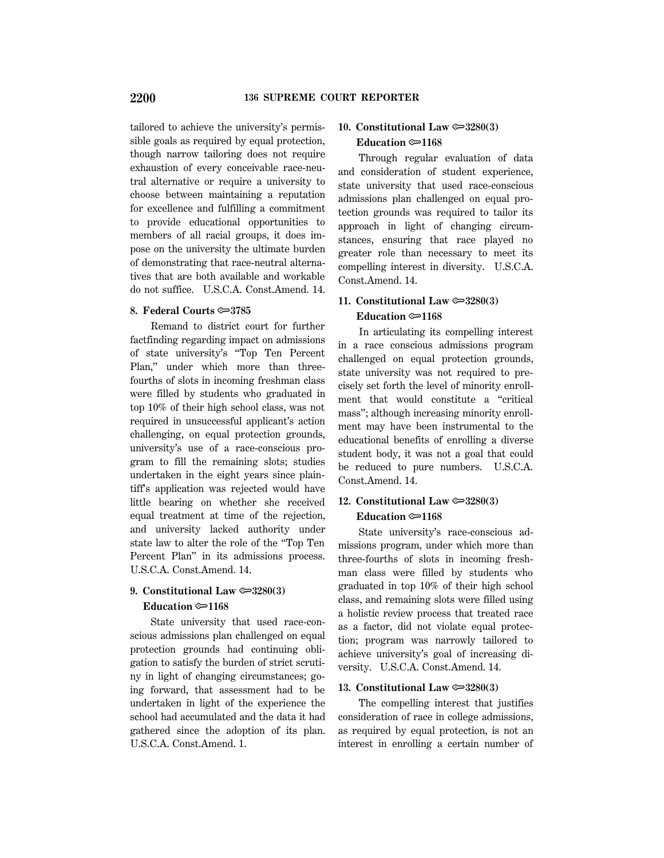tailored to achieve the university's permissible goals as required by equal protection, though narrow tailoring does not require exhaustion of every conceivable race-neutral alternative or require a university to choose between maintaining a reputation for excellence and fulfilling a commitment to provide educational opportunities to members of all racial groups, it does impose on the university the ultimate burden of demonstrating that race-neutral alternatives that are both available and workable do not suffice. U.S.C.A. Const.Amend. 14.

# **8. Federal Courts**  $\approx 3785$

Remand to district court for further factfinding regarding impact on admissions of state university's ''Top Ten Percent Plan,'' under which more than threefourths of slots in incoming freshman class were filled by students who graduated in top 10% of their high school class, was not required in unsuccessful applicant's action challenging, on equal protection grounds, university's use of a race-conscious program to fill the remaining slots; studies undertaken in the eight years since plaintiff's application was rejected would have little bearing on whether she received equal treatment at time of the rejection, and university lacked authority under state law to alter the role of the ''Top Ten Percent Plan'' in its admissions process. U.S.C.A. Const.Amend. 14.

# **9. Constitutional Law**  $\approx 3280(3)$  **Education** O**1168**

State university that used race-conscious admissions plan challenged on equal protection grounds had continuing obligation to satisfy the burden of strict scrutiny in light of changing circumstances; going forward, that assessment had to be undertaken in light of the experience the school had accumulated and the data it had gathered since the adoption of its plan. U.S.C.A. Const.Amend. 1.

# **10. Constitutional Law**  $\approx 3280(3)$  **Education** O**1168**

Through regular evaluation of data and consideration of student experience, state university that used race-conscious admissions plan challenged on equal protection grounds was required to tailor its approach in light of changing circumstances, ensuring that race played no greater role than necessary to meet its compelling interest in diversity. U.S.C.A. Const.Amend. 14.

# **11. Constitutional Law**  $\approx 3280(3)$  **Education** O**1168**

In articulating its compelling interest in a race conscious admissions program challenged on equal protection grounds, state university was not required to precisely set forth the level of minority enrollment that would constitute a ''critical mass''; although increasing minority enrollment may have been instrumental to the educational benefits of enrolling a diverse student body, it was not a goal that could be reduced to pure numbers. U.S.C.A. Const.Amend. 14.

# **12. Constitutional Law**  $\approx 3280(3)$ **Education**  $\approx 1168$

State university's race-conscious admissions program, under which more than three-fourths of slots in incoming freshman class were filled by students who graduated in top 10% of their high school class, and remaining slots were filled using a holistic review process that treated race as a factor, did not violate equal protection; program was narrowly tailored to achieve university's goal of increasing diversity. U.S.C.A. Const.Amend. 14.

## **13. Constitutional Law**  $\approx 3280(3)$

The compelling interest that justifies consideration of race in college admissions, as required by equal protection, is not an interest in enrolling a certain number of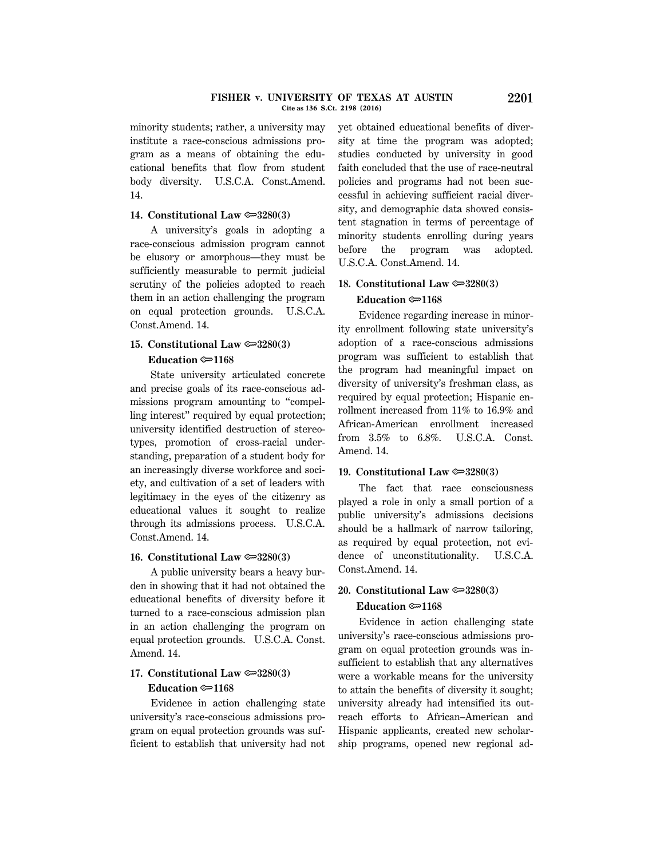### **FISHER v. UNIVERSITY OF TEXAS AT AUSTIN 2201 Cite as 136 S.Ct. 2198 (2016)**

minority students; rather, a university may institute a race-conscious admissions program as a means of obtaining the educational benefits that flow from student body diversity. U.S.C.A. Const.Amend. 14.

# **14. Constitutional Law**  $\approx 3280(3)$

A university's goals in adopting a race-conscious admission program cannot be elusory or amorphous—they must be sufficiently measurable to permit judicial scrutiny of the policies adopted to reach them in an action challenging the program on equal protection grounds. U.S.C.A. Const.Amend. 14.

# **15. Constitutional Law**  $\approx 3280(3)$  **Education** O**1168**

State university articulated concrete and precise goals of its race-conscious admissions program amounting to ''compelling interest'' required by equal protection; university identified destruction of stereotypes, promotion of cross-racial understanding, preparation of a student body for an increasingly diverse workforce and society, and cultivation of a set of leaders with legitimacy in the eyes of the citizenry as educational values it sought to realize through its admissions process. U.S.C.A. Const.Amend. 14.

### **16. Constitutional Law**  $\approx 3280(3)$

A public university bears a heavy burden in showing that it had not obtained the educational benefits of diversity before it turned to a race-conscious admission plan in an action challenging the program on equal protection grounds. U.S.C.A. Const. Amend. 14.

# **17. Constitutional Law**  $\approx 3280(3)$  **Education** O**1168**

Evidence in action challenging state university's race-conscious admissions program on equal protection grounds was sufficient to establish that university had not yet obtained educational benefits of diversity at time the program was adopted; studies conducted by university in good faith concluded that the use of race-neutral policies and programs had not been successful in achieving sufficient racial diversity, and demographic data showed consistent stagnation in terms of percentage of minority students enrolling during years before the program was adopted. U.S.C.A. Const.Amend. 14.

# **18. Constitutional Law**  $\approx 3280(3)$  **Education** O**1168**

Evidence regarding increase in minority enrollment following state university's adoption of a race-conscious admissions program was sufficient to establish that the program had meaningful impact on diversity of university's freshman class, as required by equal protection; Hispanic enrollment increased from 11% to 16.9% and African-American enrollment increased from 3.5% to 6.8%. U.S.C.A. Const. Amend. 14.

### **19. Constitutional Law**  $\approx 3280(3)$

The fact that race consciousness played a role in only a small portion of a public university's admissions decisions should be a hallmark of narrow tailoring, as required by equal protection, not evidence of unconstitutionality. U.S.C.A. Const.Amend. 14.

# **20. Constitutional Law**  $\approx 3280(3)$  **Education** O**1168**

Evidence in action challenging state university's race-conscious admissions program on equal protection grounds was insufficient to establish that any alternatives were a workable means for the university to attain the benefits of diversity it sought; university already had intensified its outreach efforts to African–American and Hispanic applicants, created new scholarship programs, opened new regional ad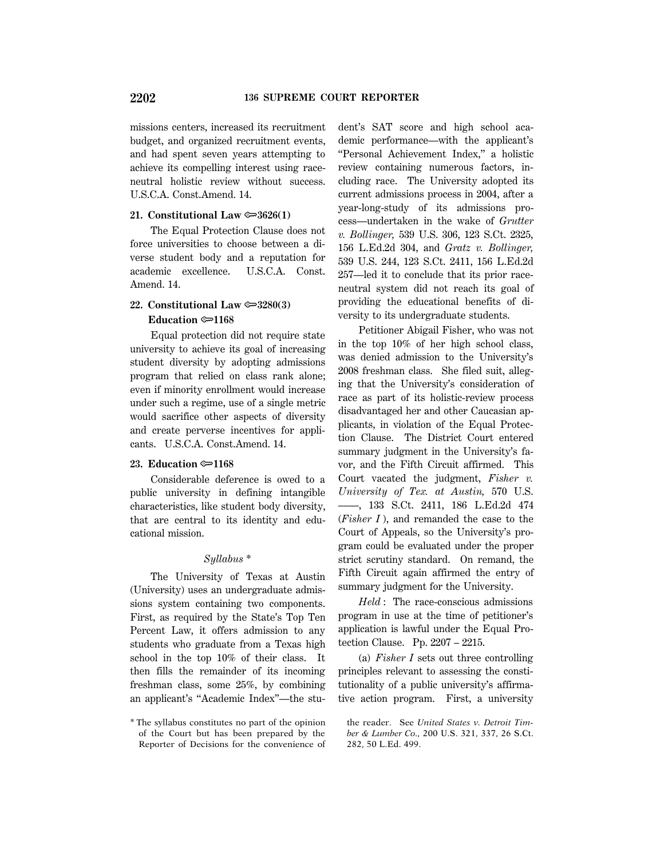missions centers, increased its recruitment budget, and organized recruitment events, and had spent seven years attempting to achieve its compelling interest using raceneutral holistic review without success. U.S.C.A. Const.Amend. 14.

# **21. Constitutional Law** O**3626(1)**

The Equal Protection Clause does not force universities to choose between a diverse student body and a reputation for academic excellence. U.S.C.A. Const. Amend. 14.

# **22. Constitutional Law**  $\approx 3280(3)$  **Education** O**1168**

Equal protection did not require state university to achieve its goal of increasing student diversity by adopting admissions program that relied on class rank alone; even if minority enrollment would increase under such a regime, use of a single metric would sacrifice other aspects of diversity and create perverse incentives for applicants. U.S.C.A. Const.Amend. 14.

# **23. Education** O**1168**

Considerable deference is owed to a public university in defining intangible characteristics, like student body diversity, that are central to its identity and educational mission.

# *Syllabus \**

The University of Texas at Austin (University) uses an undergraduate admissions system containing two components. First, as required by the State's Top Ten Percent Law, it offers admission to any students who graduate from a Texas high school in the top 10% of their class. It then fills the remainder of its incoming freshman class, some 25%, by combining an applicant's ''Academic Index''—the student's SAT score and high school academic performance—with the applicant's ''Personal Achievement Index,'' a holistic review containing numerous factors, including race. The University adopted its current admissions process in 2004, after a year-long-study of its admissions process—undertaken in the wake of *Grutter v. Bollinger,* 539 U.S. 306, 123 S.Ct. 2325, 156 L.Ed.2d 304, and *Gratz v. Bollinger,* 539 U.S. 244, 123 S.Ct. 2411, 156 L.Ed.2d 257—led it to conclude that its prior raceneutral system did not reach its goal of providing the educational benefits of diversity to its undergraduate students.

Petitioner Abigail Fisher, who was not in the top 10% of her high school class, was denied admission to the University's 2008 freshman class. She filed suit, alleging that the University's consideration of race as part of its holistic-review process disadvantaged her and other Caucasian applicants, in violation of the Equal Protection Clause. The District Court entered summary judgment in the University's favor, and the Fifth Circuit affirmed. This Court vacated the judgment, *Fisher v. University of Tex. at Austin,* 570 U.S. ––––, 133 S.Ct. 2411, 186 L.Ed.2d 474 (*Fisher I* ), and remanded the case to the Court of Appeals, so the University's program could be evaluated under the proper strict scrutiny standard. On remand, the Fifth Circuit again affirmed the entry of summary judgment for the University.

*Held* : The race-conscious admissions program in use at the time of petitioner's application is lawful under the Equal Protection Clause. Pp. 2207 – 2215.

(a) *Fisher I* sets out three controlling principles relevant to assessing the constitutionality of a public university's affirmative action program. First, a university

<sup>\*</sup> The syllabus constitutes no part of the opinion of the Court but has been prepared by the Reporter of Decisions for the convenience of

the reader. See *United States v. Detroit Timber & Lumber Co.,* 200 U.S. 321, 337, 26 S.Ct. 282, 50 L.Ed. 499.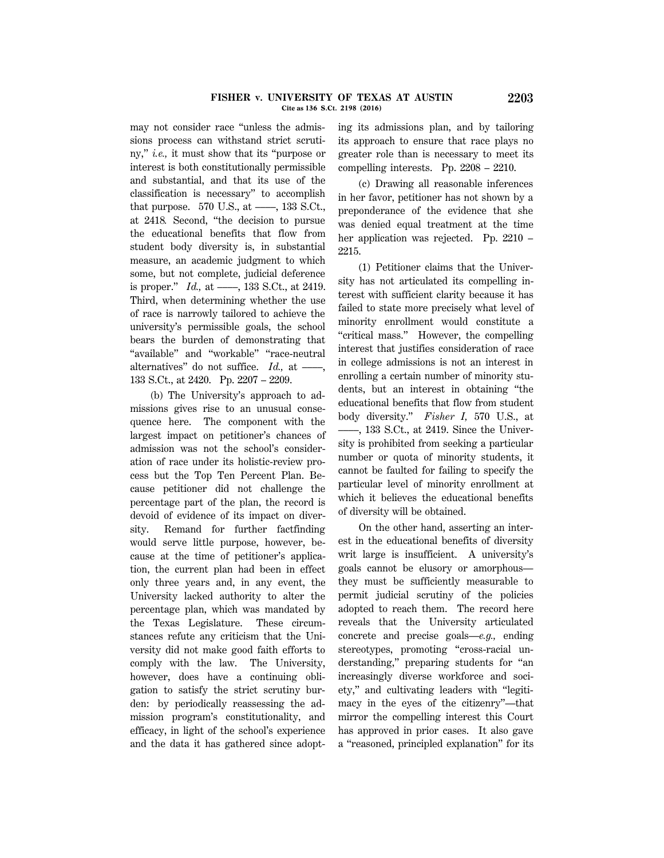### **FISHER v. UNIVERSITY OF TEXAS AT AUSTIN 2203 Cite as 136 S.Ct. 2198 (2016)**

may not consider race ''unless the admissions process can withstand strict scrutiny,'' *i.e.,* it must show that its ''purpose or interest is both constitutionally permissible and substantial, and that its use of the classification is necessary'' to accomplish that purpose.  $570$  U.S., at  $\frac{m}{1}$ , 133 S.Ct., at 2418*.* Second, ''the decision to pursue the educational benefits that flow from student body diversity is, in substantial measure, an academic judgment to which some, but not complete, judicial deference is proper.'' *Id.,* at ––––, 133 S.Ct., at 2419. Third, when determining whether the use of race is narrowly tailored to achieve the university's permissible goals, the school bears the burden of demonstrating that ''available'' and ''workable'' ''race-neutral alternatives" do not suffice. *Id.*, at -133 S.Ct., at 2420. Pp. 2207 – 2209.

(b) The University's approach to admissions gives rise to an unusual consequence here. The component with the largest impact on petitioner's chances of admission was not the school's consideration of race under its holistic-review process but the Top Ten Percent Plan. Because petitioner did not challenge the percentage part of the plan, the record is devoid of evidence of its impact on diversity. Remand for further factfinding would serve little purpose, however, because at the time of petitioner's application, the current plan had been in effect only three years and, in any event, the University lacked authority to alter the percentage plan, which was mandated by the Texas Legislature. These circumstances refute any criticism that the University did not make good faith efforts to comply with the law. The University, however, does have a continuing obligation to satisfy the strict scrutiny burden: by periodically reassessing the admission program's constitutionality, and efficacy, in light of the school's experience and the data it has gathered since adopting its admissions plan, and by tailoring its approach to ensure that race plays no greater role than is necessary to meet its compelling interests. Pp. 2208 – 2210.

(c) Drawing all reasonable inferences in her favor, petitioner has not shown by a preponderance of the evidence that she was denied equal treatment at the time her application was rejected. Pp. 2210 – 2215.

(1) Petitioner claims that the University has not articulated its compelling interest with sufficient clarity because it has failed to state more precisely what level of minority enrollment would constitute a ''critical mass.'' However, the compelling interest that justifies consideration of race in college admissions is not an interest in enrolling a certain number of minority students, but an interest in obtaining ''the educational benefits that flow from student body diversity.'' *Fisher I,* 570 U.S., at ––––, 133 S.Ct., at 2419. Since the University is prohibited from seeking a particular number or quota of minority students, it cannot be faulted for failing to specify the particular level of minority enrollment at which it believes the educational benefits of diversity will be obtained.

On the other hand, asserting an interest in the educational benefits of diversity writ large is insufficient. A university's goals cannot be elusory or amorphous they must be sufficiently measurable to permit judicial scrutiny of the policies adopted to reach them. The record here reveals that the University articulated concrete and precise goals—*e.g.,* ending stereotypes, promoting "cross-racial understanding,'' preparing students for ''an increasingly diverse workforce and society,'' and cultivating leaders with ''legitimacy in the eyes of the citizenry''—that mirror the compelling interest this Court has approved in prior cases. It also gave a ''reasoned, principled explanation'' for its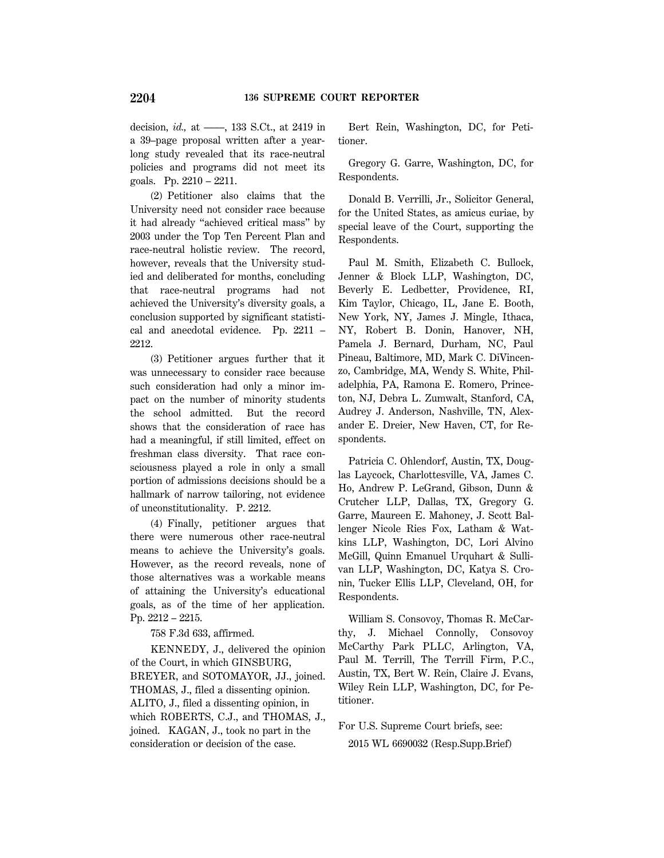decision, *id.,* at ––––, 133 S.Ct., at 2419 in a 39–page proposal written after a yearlong study revealed that its race-neutral policies and programs did not meet its goals. Pp. 2210 – 2211.

(2) Petitioner also claims that the University need not consider race because it had already ''achieved critical mass'' by 2003 under the Top Ten Percent Plan and race-neutral holistic review. The record, however, reveals that the University studied and deliberated for months, concluding that race-neutral programs had not achieved the University's diversity goals, a conclusion supported by significant statistical and anecdotal evidence. Pp. 2211 – 2212.

(3) Petitioner argues further that it was unnecessary to consider race because such consideration had only a minor impact on the number of minority students the school admitted. But the record shows that the consideration of race has had a meaningful, if still limited, effect on freshman class diversity. That race consciousness played a role in only a small portion of admissions decisions should be a hallmark of narrow tailoring, not evidence of unconstitutionality. P. 2212.

(4) Finally, petitioner argues that there were numerous other race-neutral means to achieve the University's goals. However, as the record reveals, none of those alternatives was a workable means of attaining the University's educational goals, as of the time of her application. Pp. 2212 – 2215.

758 F.3d 633, affirmed.

KENNEDY, J., delivered the opinion of the Court, in which GINSBURG, BREYER, and SOTOMAYOR, JJ., joined. THOMAS, J., filed a dissenting opinion. ALITO, J., filed a dissenting opinion, in which ROBERTS, C.J., and THOMAS, J., joined. KAGAN, J., took no part in the consideration or decision of the case.

Bert Rein, Washington, DC, for Petitioner.

Gregory G. Garre, Washington, DC, for Respondents.

Donald B. Verrilli, Jr., Solicitor General, for the United States, as amicus curiae, by special leave of the Court, supporting the Respondents.

Paul M. Smith, Elizabeth C. Bullock, Jenner & Block LLP, Washington, DC, Beverly E. Ledbetter, Providence, RI, Kim Taylor, Chicago, IL, Jane E. Booth, New York, NY, James J. Mingle, Ithaca, NY, Robert B. Donin, Hanover, NH, Pamela J. Bernard, Durham, NC, Paul Pineau, Baltimore, MD, Mark C. DiVincenzo, Cambridge, MA, Wendy S. White, Philadelphia, PA, Ramona E. Romero, Princeton, NJ, Debra L. Zumwalt, Stanford, CA, Audrey J. Anderson, Nashville, TN, Alexander E. Dreier, New Haven, CT, for Respondents.

Patricia C. Ohlendorf, Austin, TX, Douglas Laycock, Charlottesville, VA, James C. Ho, Andrew P. LeGrand, Gibson, Dunn & Crutcher LLP, Dallas, TX, Gregory G. Garre, Maureen E. Mahoney, J. Scott Ballenger Nicole Ries Fox, Latham & Watkins LLP, Washington, DC, Lori Alvino McGill, Quinn Emanuel Urquhart & Sullivan LLP, Washington, DC, Katya S. Cronin, Tucker Ellis LLP, Cleveland, OH, for Respondents.

William S. Consovoy, Thomas R. McCarthy, J. Michael Connolly, Consovoy McCarthy Park PLLC, Arlington, VA, Paul M. Terrill, The Terrill Firm, P.C., Austin, TX, Bert W. Rein, Claire J. Evans, Wiley Rein LLP, Washington, DC, for Petitioner.

For U.S. Supreme Court briefs, see: 2015 WL 6690032 (Resp.Supp.Brief)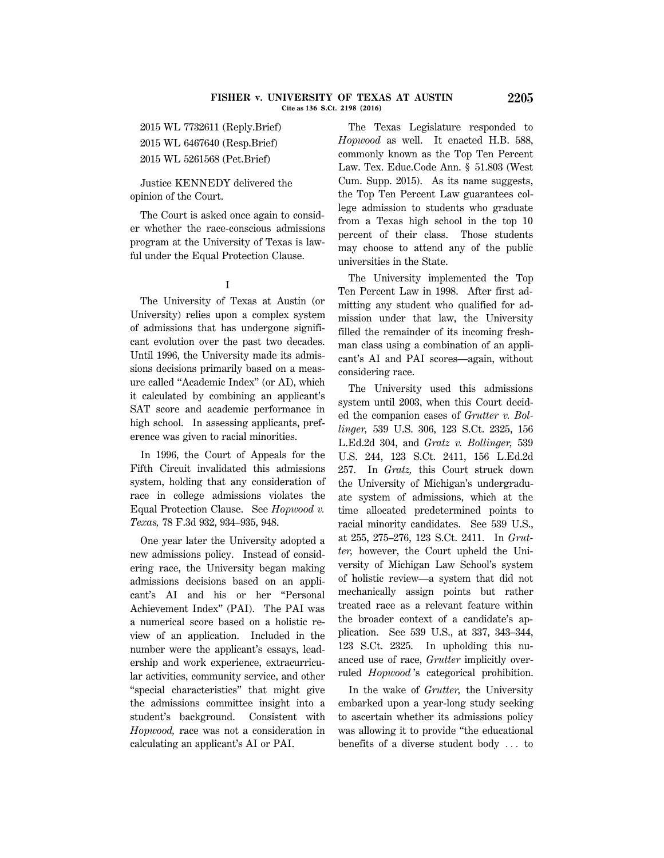2015 WL 7732611 (Reply.Brief)

2015 WL 6467640 (Resp.Brief)

2015 WL 5261568 (Pet.Brief)

Justice KENNEDY delivered the opinion of the Court.

The Court is asked once again to consider whether the race-conscious admissions program at the University of Texas is lawful under the Equal Protection Clause.

# I

The University of Texas at Austin (or University) relies upon a complex system of admissions that has undergone significant evolution over the past two decades. Until 1996, the University made its admissions decisions primarily based on a measure called ''Academic Index'' (or AI), which it calculated by combining an applicant's SAT score and academic performance in high school. In assessing applicants, preference was given to racial minorities.

In 1996, the Court of Appeals for the Fifth Circuit invalidated this admissions system, holding that any consideration of race in college admissions violates the Equal Protection Clause. See *Hopwood v. Texas,* 78 F.3d 932, 934–935, 948.

One year later the University adopted a new admissions policy. Instead of considering race, the University began making admissions decisions based on an applicant's AI and his or her ''Personal Achievement Index'' (PAI). The PAI was a numerical score based on a holistic review of an application. Included in the number were the applicant's essays, leadership and work experience, extracurricular activities, community service, and other "special characteristics" that might give the admissions committee insight into a student's background. Consistent with *Hopwood,* race was not a consideration in calculating an applicant's AI or PAI.

The Texas Legislature responded to *Hopwood* as well. It enacted H.B. 588, commonly known as the Top Ten Percent Law. Tex. Educ.Code Ann. § 51.803 (West Cum. Supp. 2015). As its name suggests, the Top Ten Percent Law guarantees college admission to students who graduate from a Texas high school in the top 10 percent of their class. Those students may choose to attend any of the public universities in the State.

The University implemented the Top Ten Percent Law in 1998. After first admitting any student who qualified for admission under that law, the University filled the remainder of its incoming freshman class using a combination of an applicant's AI and PAI scores—again, without considering race.

The University used this admissions system until 2003, when this Court decided the companion cases of *Grutter v. Bollinger,* 539 U.S. 306, 123 S.Ct. 2325, 156 L.Ed.2d 304, and *Gratz v. Bollinger,* 539 U.S. 244, 123 S.Ct. 2411, 156 L.Ed.2d 257. In *Gratz,* this Court struck down the University of Michigan's undergraduate system of admissions, which at the time allocated predetermined points to racial minority candidates. See 539 U.S., at 255, 275–276, 123 S.Ct. 2411. In *Grutter,* however, the Court upheld the University of Michigan Law School's system of holistic review—a system that did not mechanically assign points but rather treated race as a relevant feature within the broader context of a candidate's application. See 539 U.S., at 337, 343–344, 123 S.Ct. 2325. In upholding this nuanced use of race, *Grutter* implicitly overruled *Hopwood* 's categorical prohibition.

In the wake of *Grutter,* the University embarked upon a year-long study seeking to ascertain whether its admissions policy was allowing it to provide ''the educational benefits of a diverse student body  $\ldots$  to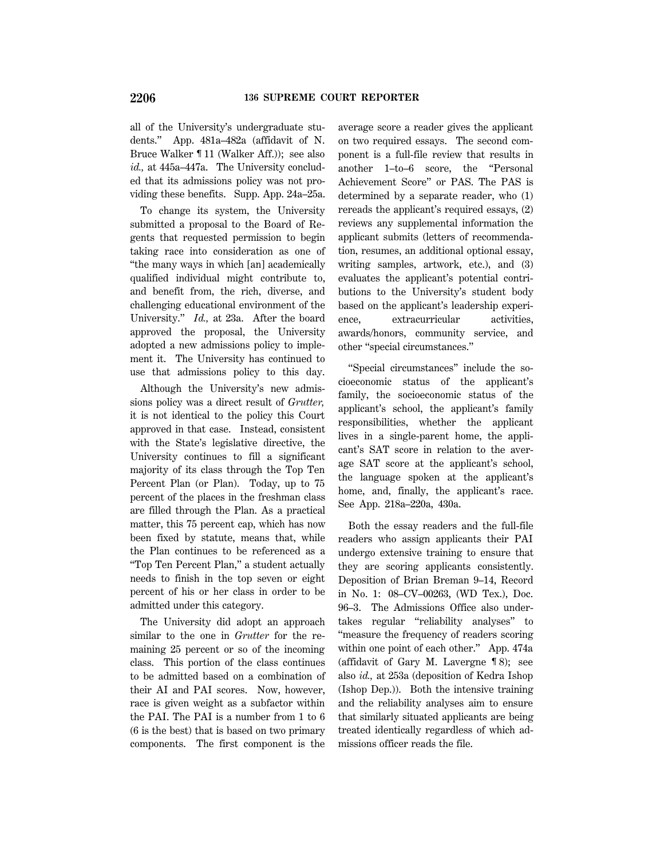all of the University's undergraduate students.'' App. 481a–482a (affidavit of N. Bruce Walker ¶ 11 (Walker Aff.)); see also *id.,* at 445a–447a. The University concluded that its admissions policy was not providing these benefits. Supp. App. 24a–25a.

To change its system, the University submitted a proposal to the Board of Regents that requested permission to begin taking race into consideration as one of ''the many ways in which [an] academically qualified individual might contribute to, and benefit from, the rich, diverse, and challenging educational environment of the University.'' *Id.,* at 23a. After the board approved the proposal, the University adopted a new admissions policy to implement it. The University has continued to use that admissions policy to this day.

Although the University's new admissions policy was a direct result of *Grutter,* it is not identical to the policy this Court approved in that case. Instead, consistent with the State's legislative directive, the University continues to fill a significant majority of its class through the Top Ten Percent Plan (or Plan). Today, up to 75 percent of the places in the freshman class are filled through the Plan. As a practical matter, this 75 percent cap, which has now been fixed by statute, means that, while the Plan continues to be referenced as a ''Top Ten Percent Plan,'' a student actually needs to finish in the top seven or eight percent of his or her class in order to be admitted under this category.

The University did adopt an approach similar to the one in *Grutter* for the remaining 25 percent or so of the incoming class. This portion of the class continues to be admitted based on a combination of their AI and PAI scores. Now, however, race is given weight as a subfactor within the PAI. The PAI is a number from 1 to 6 (6 is the best) that is based on two primary components. The first component is the average score a reader gives the applicant on two required essays. The second component is a full-file review that results in another 1–to–6 score, the ''Personal Achievement Score'' or PAS. The PAS is determined by a separate reader, who (1) rereads the applicant's required essays, (2) reviews any supplemental information the applicant submits (letters of recommendation, resumes, an additional optional essay, writing samples, artwork, etc.), and (3) evaluates the applicant's potential contributions to the University's student body based on the applicant's leadership experience, extracurricular activities, awards/honors, community service, and other ''special circumstances.''

''Special circumstances'' include the socioeconomic status of the applicant's family, the socioeconomic status of the applicant's school, the applicant's family responsibilities, whether the applicant lives in a single-parent home, the applicant's SAT score in relation to the average SAT score at the applicant's school, the language spoken at the applicant's home, and, finally, the applicant's race. See App. 218a–220a, 430a.

Both the essay readers and the full-file readers who assign applicants their PAI undergo extensive training to ensure that they are scoring applicants consistently. Deposition of Brian Breman 9–14, Record in No. 1: 08–CV–00263, (WD Tex.), Doc. 96–3. The Admissions Office also undertakes regular ''reliability analyses'' to ''measure the frequency of readers scoring within one point of each other.'' App. 474a (affidavit of Gary M. Lavergne ¶ 8); see also *id.,* at 253a (deposition of Kedra Ishop (Ishop Dep.)). Both the intensive training and the reliability analyses aim to ensure that similarly situated applicants are being treated identically regardless of which admissions officer reads the file.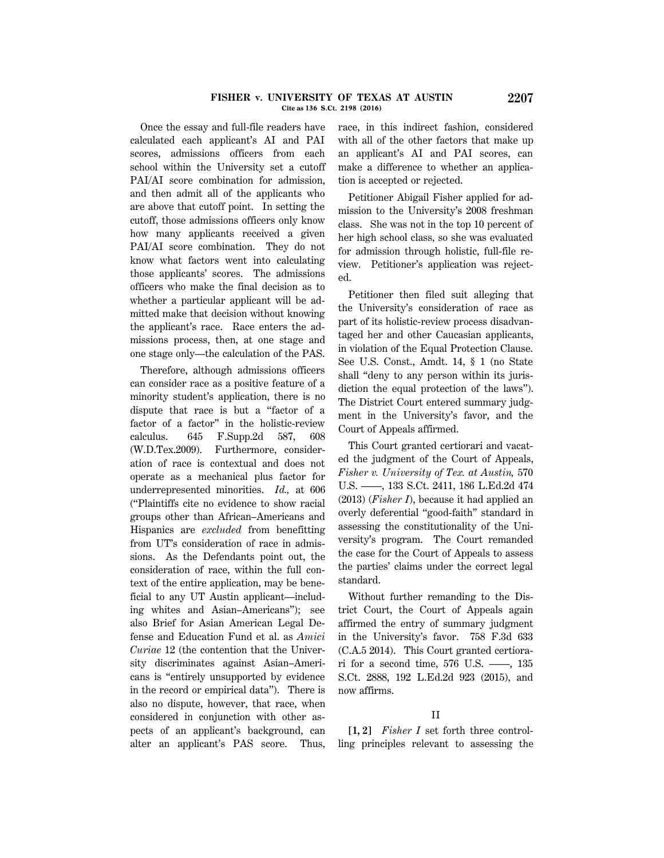### **FISHER v. UNIVERSITY OF TEXAS AT AUSTIN 2207 Cite as 136 S.Ct. 2198 (2016)**

Once the essay and full-file readers have calculated each applicant's AI and PAI scores, admissions officers from each school within the University set a cutoff PAI/AI score combination for admission, and then admit all of the applicants who are above that cutoff point. In setting the cutoff, those admissions officers only know how many applicants received a given PAI/AI score combination. They do not know what factors went into calculating those applicants' scores. The admissions officers who make the final decision as to whether a particular applicant will be admitted make that decision without knowing the applicant's race. Race enters the admissions process, then, at one stage and one stage only—the calculation of the PAS.

Therefore, although admissions officers can consider race as a positive feature of a minority student's application, there is no dispute that race is but a ''factor of a factor of a factor'' in the holistic-review calculus. 645 F.Supp.2d 587, 608 (W.D.Tex.2009). Furthermore, consideration of race is contextual and does not operate as a mechanical plus factor for underrepresented minorities. *Id.,* at 606 (''Plaintiffs cite no evidence to show racial groups other than African–Americans and Hispanics are *excluded* from benefitting from UT's consideration of race in admissions. As the Defendants point out, the consideration of race, within the full context of the entire application, may be beneficial to any UT Austin applicant—including whites and Asian–Americans''); see also Brief for Asian American Legal Defense and Education Fund et al. as *Amici Curiae* 12 (the contention that the University discriminates against Asian–Americans is ''entirely unsupported by evidence in the record or empirical data''). There is also no dispute, however, that race, when considered in conjunction with other aspects of an applicant's background, can alter an applicant's PAS score. Thus, race, in this indirect fashion, considered with all of the other factors that make up an applicant's AI and PAI scores, can make a difference to whether an application is accepted or rejected.

Petitioner Abigail Fisher applied for admission to the University's 2008 freshman class. She was not in the top 10 percent of her high school class, so she was evaluated for admission through holistic, full-file review. Petitioner's application was rejected.

Petitioner then filed suit alleging that the University's consideration of race as part of its holistic-review process disadvantaged her and other Caucasian applicants, in violation of the Equal Protection Clause. See U.S. Const., Amdt. 14, § 1 (no State shall "deny to any person within its jurisdiction the equal protection of the laws''). The District Court entered summary judgment in the University's favor, and the Court of Appeals affirmed.

This Court granted certiorari and vacated the judgment of the Court of Appeals, *Fisher v. University of Tex. at Austin,* 570 U.S. ––––, 133 S.Ct. 2411, 186 L.Ed.2d 474 (2013) (*Fisher I*), because it had applied an overly deferential ''good-faith'' standard in assessing the constitutionality of the University's program. The Court remanded the case for the Court of Appeals to assess the parties' claims under the correct legal standard.

Without further remanding to the District Court, the Court of Appeals again affirmed the entry of summary judgment in the University's favor. 758 F.3d 633 (C.A.5 2014). This Court granted certiorari for a second time, 576 U.S. ––––, 135 S.Ct. 2888, 192 L.Ed.2d 923 (2015), and now affirms.

# II

**[1, 2]** *Fisher I* set forth three controlling principles relevant to assessing the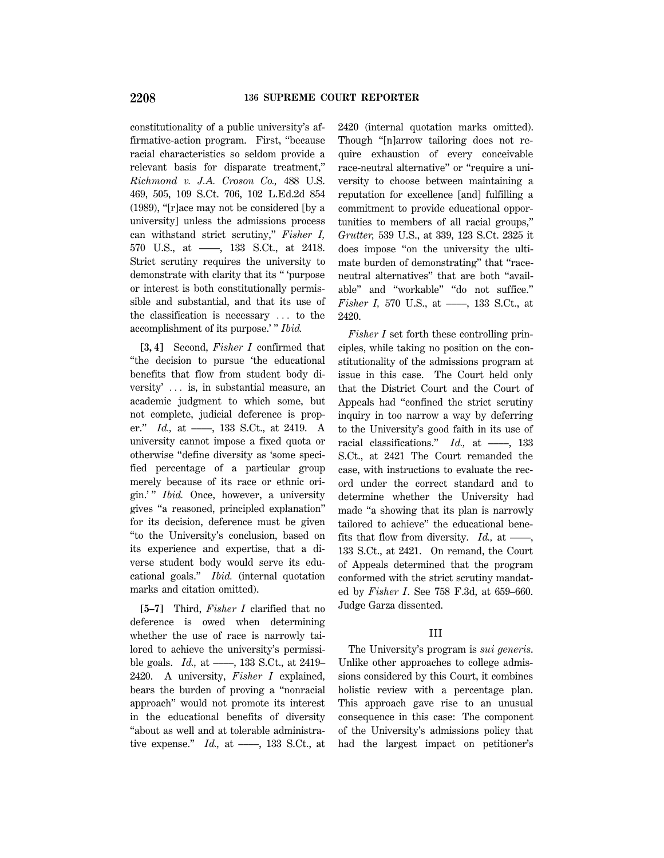constitutionality of a public university's affirmative-action program. First, ''because racial characteristics so seldom provide a relevant basis for disparate treatment,'' *Richmond v. J.A. Croson Co.,* 488 U.S. 469, 505, 109 S.Ct. 706, 102 L.Ed.2d 854 (1989), ''[r]ace may not be considered [by a university] unless the admissions process can withstand strict scrutiny,'' *Fisher I,* 570 U.S., at ––––, 133 S.Ct., at 2418. Strict scrutiny requires the university to demonstrate with clarity that its '' 'purpose or interest is both constitutionally permissible and substantial, and that its use of the classification is necessary  $\ldots$  to the accomplishment of its purpose.' '' *Ibid.*

**[3, 4]** Second, *Fisher I* confirmed that ''the decision to pursue 'the educational benefits that flow from student body diversity'  $\ldots$  is, in substantial measure, an academic judgment to which some, but not complete, judicial deference is proper." *Id.*, at —, 133 S.Ct., at 2419. A university cannot impose a fixed quota or otherwise ''define diversity as 'some specified percentage of a particular group merely because of its race or ethnic origin.' '' *Ibid.* Once, however, a university gives ''a reasoned, principled explanation'' for its decision, deference must be given ''to the University's conclusion, based on its experience and expertise, that a diverse student body would serve its educational goals.'' *Ibid.* (internal quotation marks and citation omitted).

**[5–7]** Third, *Fisher I* clarified that no deference is owed when determining whether the use of race is narrowly tailored to achieve the university's permissible goals. *Id.,* at ––––, 133 S.Ct., at 2419– 2420. A university, *Fisher I* explained, bears the burden of proving a ''nonracial approach'' would not promote its interest in the educational benefits of diversity ''about as well and at tolerable administrative expense." *Id.*, at —–, 133 S.Ct., at 2420 (internal quotation marks omitted). Though "[n]arrow tailoring does not require exhaustion of every conceivable race-neutral alternative'' or ''require a university to choose between maintaining a reputation for excellence [and] fulfilling a commitment to provide educational opportunities to members of all racial groups,'' *Grutter,* 539 U.S., at 339, 123 S.Ct. 2325 it does impose ''on the university the ultimate burden of demonstrating'' that ''raceneutral alternatives'' that are both ''available'' and ''workable'' ''do not suffice.'' *Fisher I,* 570 U.S., at —, 133 S.Ct., at 2420.

*Fisher I* set forth these controlling principles, while taking no position on the constitutionality of the admissions program at issue in this case. The Court held only that the District Court and the Court of Appeals had ''confined the strict scrutiny inquiry in too narrow a way by deferring to the University's good faith in its use of racial classifications." *Id.*, at ---, 133 S.Ct., at 2421 The Court remanded the case, with instructions to evaluate the record under the correct standard and to determine whether the University had made "a showing that its plan is narrowly tailored to achieve'' the educational benefits that flow from diversity.  $Id$ , at  $-$ 133 S.Ct., at 2421. On remand, the Court of Appeals determined that the program conformed with the strict scrutiny mandated by *Fisher I*. See 758 F.3d, at 659–660. Judge Garza dissented.

## III

The University's program is *sui generis*. Unlike other approaches to college admissions considered by this Court, it combines holistic review with a percentage plan. This approach gave rise to an unusual consequence in this case: The component of the University's admissions policy that had the largest impact on petitioner's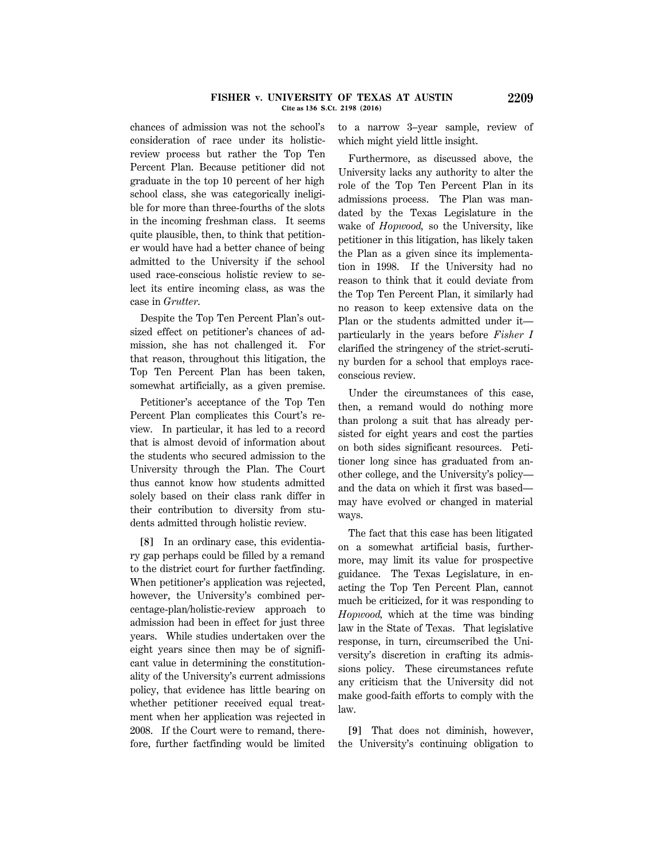### **FISHER v. UNIVERSITY OF TEXAS AT AUSTIN 2209 Cite as 136 S.Ct. 2198 (2016)**

chances of admission was not the school's consideration of race under its holisticreview process but rather the Top Ten Percent Plan. Because petitioner did not graduate in the top 10 percent of her high school class, she was categorically ineligible for more than three-fourths of the slots in the incoming freshman class. It seems quite plausible, then, to think that petitioner would have had a better chance of being admitted to the University if the school used race-conscious holistic review to select its entire incoming class, as was the case in *Grutter*.

Despite the Top Ten Percent Plan's outsized effect on petitioner's chances of admission, she has not challenged it. For that reason, throughout this litigation, the Top Ten Percent Plan has been taken, somewhat artificially, as a given premise.

Petitioner's acceptance of the Top Ten Percent Plan complicates this Court's review. In particular, it has led to a record that is almost devoid of information about the students who secured admission to the University through the Plan. The Court thus cannot know how students admitted solely based on their class rank differ in their contribution to diversity from students admitted through holistic review.

**[8]** In an ordinary case, this evidentiary gap perhaps could be filled by a remand to the district court for further factfinding. When petitioner's application was rejected, however, the University's combined percentage-plan/holistic-review approach to admission had been in effect for just three years. While studies undertaken over the eight years since then may be of significant value in determining the constitutionality of the University's current admissions policy, that evidence has little bearing on whether petitioner received equal treatment when her application was rejected in 2008. If the Court were to remand, therefore, further factfinding would be limited to a narrow 3–year sample, review of which might yield little insight.

Furthermore, as discussed above, the University lacks any authority to alter the role of the Top Ten Percent Plan in its admissions process. The Plan was mandated by the Texas Legislature in the wake of *Hopwood,* so the University, like petitioner in this litigation, has likely taken the Plan as a given since its implementation in 1998. If the University had no reason to think that it could deviate from the Top Ten Percent Plan, it similarly had no reason to keep extensive data on the Plan or the students admitted under it particularly in the years before *Fisher I* clarified the stringency of the strict-scrutiny burden for a school that employs raceconscious review.

Under the circumstances of this case, then, a remand would do nothing more than prolong a suit that has already persisted for eight years and cost the parties on both sides significant resources. Petitioner long since has graduated from another college, and the University's policy and the data on which it first was based may have evolved or changed in material ways.

The fact that this case has been litigated on a somewhat artificial basis, furthermore, may limit its value for prospective guidance. The Texas Legislature, in enacting the Top Ten Percent Plan, cannot much be criticized, for it was responding to *Hopwood,* which at the time was binding law in the State of Texas. That legislative response, in turn, circumscribed the University's discretion in crafting its admissions policy. These circumstances refute any criticism that the University did not make good-faith efforts to comply with the law.

**[9]** That does not diminish, however, the University's continuing obligation to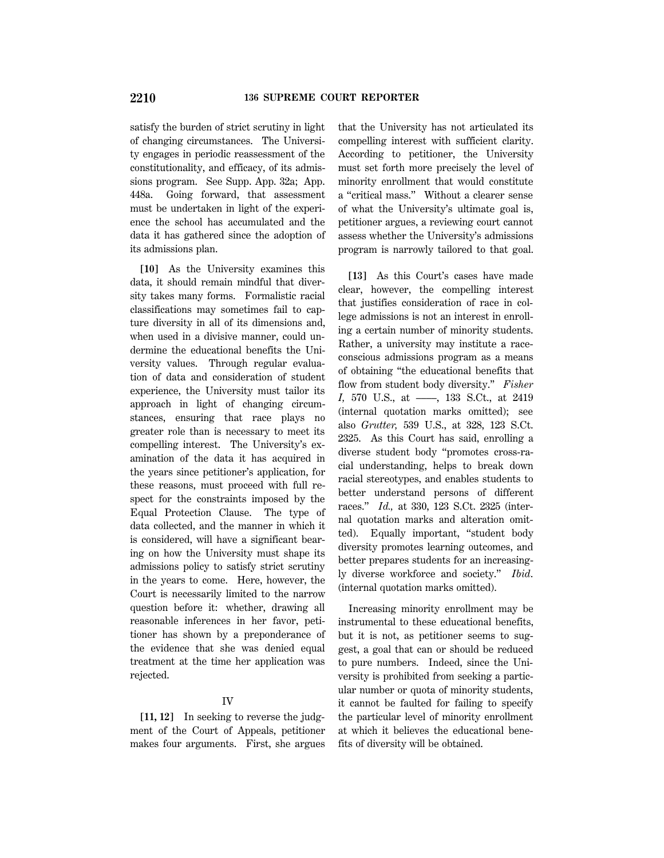satisfy the burden of strict scrutiny in light of changing circumstances. The University engages in periodic reassessment of the constitutionality, and efficacy, of its admissions program. See Supp. App. 32a; App. 448a. Going forward, that assessment must be undertaken in light of the experience the school has accumulated and the data it has gathered since the adoption of its admissions plan.

**[10]** As the University examines this data, it should remain mindful that diversity takes many forms. Formalistic racial classifications may sometimes fail to capture diversity in all of its dimensions and, when used in a divisive manner, could undermine the educational benefits the University values. Through regular evaluation of data and consideration of student experience, the University must tailor its approach in light of changing circumstances, ensuring that race plays no greater role than is necessary to meet its compelling interest. The University's examination of the data it has acquired in the years since petitioner's application, for these reasons, must proceed with full respect for the constraints imposed by the Equal Protection Clause. The type of data collected, and the manner in which it is considered, will have a significant bearing on how the University must shape its admissions policy to satisfy strict scrutiny in the years to come. Here, however, the Court is necessarily limited to the narrow question before it: whether, drawing all reasonable inferences in her favor, petitioner has shown by a preponderance of the evidence that she was denied equal treatment at the time her application was rejected.

# IV

**[11, 12]** In seeking to reverse the judgment of the Court of Appeals, petitioner makes four arguments. First, she argues that the University has not articulated its compelling interest with sufficient clarity. According to petitioner, the University must set forth more precisely the level of minority enrollment that would constitute a ''critical mass.'' Without a clearer sense of what the University's ultimate goal is, petitioner argues, a reviewing court cannot assess whether the University's admissions program is narrowly tailored to that goal.

**[13]** As this Court's cases have made clear, however, the compelling interest that justifies consideration of race in college admissions is not an interest in enrolling a certain number of minority students. Rather, a university may institute a raceconscious admissions program as a means of obtaining ''the educational benefits that flow from student body diversity.'' *Fisher I*, 570 U.S., at —–, 133 S.Ct., at 2419 (internal quotation marks omitted); see also *Grutter,* 539 U.S., at 328, 123 S.Ct. 2325. As this Court has said, enrolling a diverse student body ''promotes cross-racial understanding, helps to break down racial stereotypes, and enables students to better understand persons of different races.'' *Id.,* at 330, 123 S.Ct. 2325 (internal quotation marks and alteration omitted). Equally important, ''student body diversity promotes learning outcomes, and better prepares students for an increasingly diverse workforce and society.'' *Ibid*. (internal quotation marks omitted).

Increasing minority enrollment may be instrumental to these educational benefits, but it is not, as petitioner seems to suggest, a goal that can or should be reduced to pure numbers. Indeed, since the University is prohibited from seeking a particular number or quota of minority students, it cannot be faulted for failing to specify the particular level of minority enrollment at which it believes the educational benefits of diversity will be obtained.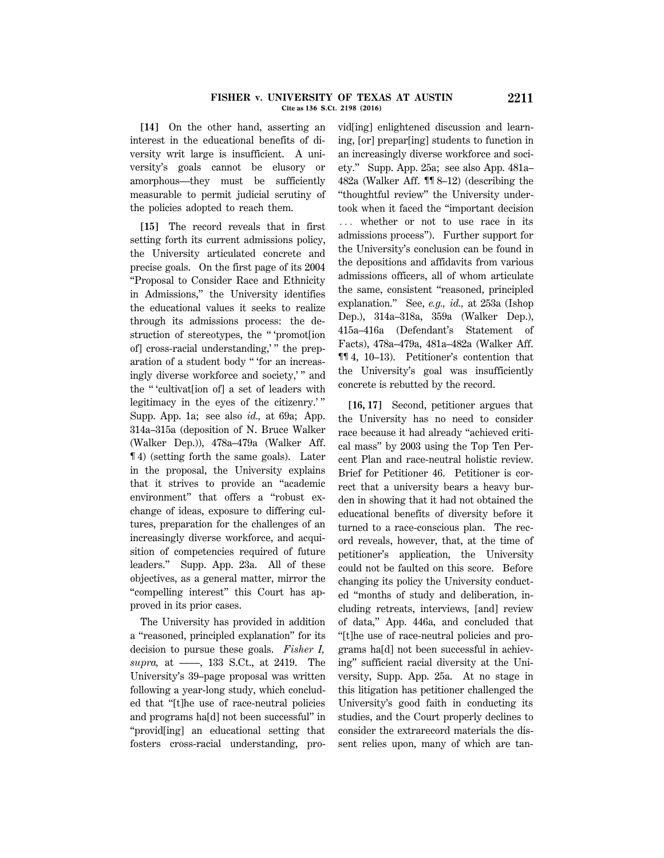### **FISHER v. UNIVERSITY OF TEXAS AT AUSTIN 2211 Cite as 136 S.Ct. 2198 (2016)**

**[14]** On the other hand, asserting an interest in the educational benefits of diversity writ large is insufficient. A university's goals cannot be elusory or amorphous—they must be sufficiently measurable to permit judicial scrutiny of the policies adopted to reach them.

**[15]** The record reveals that in first setting forth its current admissions policy, the University articulated concrete and precise goals. On the first page of its 2004 ''Proposal to Consider Race and Ethnicity in Admissions,'' the University identifies the educational values it seeks to realize through its admissions process: the destruction of stereotypes, the '' 'promot[ion of] cross-racial understanding,' '' the preparation of a student body '' 'for an increasingly diverse workforce and society,' '' and the '' 'cultivat[ion of] a set of leaders with legitimacy in the eyes of the citizenry.' '' Supp. App. 1a; see also *id.,* at 69a; App. 314a–315a (deposition of N. Bruce Walker (Walker Dep.)), 478a–479a (Walker Aff. ¶ 4) (setting forth the same goals). Later in the proposal, the University explains that it strives to provide an ''academic environment'' that offers a ''robust exchange of ideas, exposure to differing cultures, preparation for the challenges of an increasingly diverse workforce, and acquisition of competencies required of future leaders.'' Supp. App. 23a. All of these objectives, as a general matter, mirror the ''compelling interest'' this Court has approved in its prior cases.

The University has provided in addition a ''reasoned, principled explanation'' for its decision to pursue these goals. *Fisher I, supra,* at ––––, 133 S.Ct., at 2419. The University's 39–page proposal was written following a year-long study, which concluded that ''[t]he use of race-neutral policies and programs ha[d] not been successful'' in ''provid[ing] an educational setting that fosters cross-racial understanding, provid[ing] enlightened discussion and learning, [or] prepar[ing] students to function in an increasingly diverse workforce and society.'' Supp. App. 25a; see also App. 481a– 482a (Walker Aff. ¶¶ 8–12) (describing the ''thoughtful review'' the University undertook when it faced the ''important decision ... whether or not to use race in its admissions process''). Further support for the University's conclusion can be found in the depositions and affidavits from various admissions officers, all of whom articulate the same, consistent ''reasoned, principled explanation.'' See, *e.g., id.,* at 253a (Ishop Dep.), 314a–318a, 359a (Walker Dep.), 415a–416a (Defendant's Statement of Facts), 478a–479a, 481a–482a (Walker Aff. ¶¶ 4, 10–13). Petitioner's contention that the University's goal was insufficiently concrete is rebutted by the record.

**[16, 17]** Second, petitioner argues that the University has no need to consider race because it had already ''achieved critical mass'' by 2003 using the Top Ten Percent Plan and race-neutral holistic review. Brief for Petitioner 46. Petitioner is correct that a university bears a heavy burden in showing that it had not obtained the educational benefits of diversity before it turned to a race-conscious plan. The record reveals, however, that, at the time of petitioner's application, the University could not be faulted on this score. Before changing its policy the University conducted ''months of study and deliberation, including retreats, interviews, [and] review of data,'' App. 446a, and concluded that ''[t]he use of race-neutral policies and programs ha[d] not been successful in achieving'' sufficient racial diversity at the University, Supp. App. 25a. At no stage in this litigation has petitioner challenged the University's good faith in conducting its studies, and the Court properly declines to consider the extrarecord materials the dissent relies upon, many of which are tan-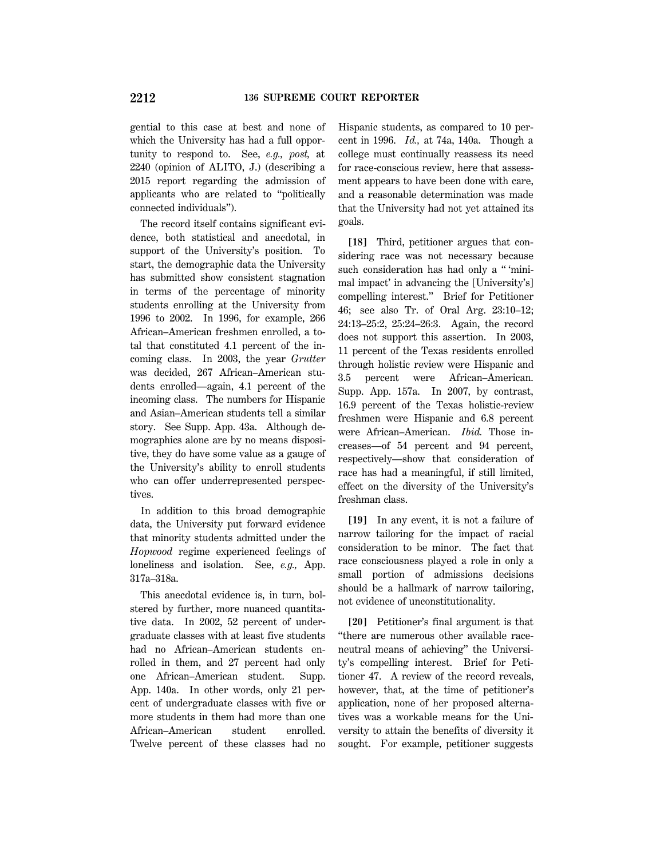gential to this case at best and none of which the University has had a full opportunity to respond to. See, *e.g., post,* at 2240 (opinion of ALITO, J.) (describing a 2015 report regarding the admission of applicants who are related to ''politically connected individuals'').

The record itself contains significant evidence, both statistical and anecdotal, in support of the University's position. To start, the demographic data the University has submitted show consistent stagnation in terms of the percentage of minority students enrolling at the University from 1996 to 2002. In 1996, for example, 266 African–American freshmen enrolled, a total that constituted 4.1 percent of the incoming class. In 2003, the year *Grutter* was decided, 267 African–American students enrolled—again, 4.1 percent of the incoming class. The numbers for Hispanic and Asian–American students tell a similar story. See Supp. App. 43a. Although demographics alone are by no means dispositive, they do have some value as a gauge of the University's ability to enroll students who can offer underrepresented perspectives.

In addition to this broad demographic data, the University put forward evidence that minority students admitted under the *Hopwood* regime experienced feelings of loneliness and isolation. See, *e.g.,* App. 317a–318a.

This anecdotal evidence is, in turn, bolstered by further, more nuanced quantitative data. In 2002, 52 percent of undergraduate classes with at least five students had no African–American students enrolled in them, and 27 percent had only one African–American student. Supp. App. 140a. In other words, only 21 percent of undergraduate classes with five or more students in them had more than one African–American student enrolled. Twelve percent of these classes had no Hispanic students, as compared to 10 percent in 1996. *Id.,* at 74a, 140a. Though a college must continually reassess its need for race-conscious review, here that assessment appears to have been done with care, and a reasonable determination was made that the University had not yet attained its goals.

**[18]** Third, petitioner argues that considering race was not necessary because such consideration has had only a "'minimal impact' in advancing the [University's] compelling interest.'' Brief for Petitioner 46; see also Tr. of Oral Arg. 23:10–12; 24:13–25:2, 25:24–26:3. Again, the record does not support this assertion. In 2003, 11 percent of the Texas residents enrolled through holistic review were Hispanic and 3.5 percent were African–American. Supp. App. 157a. In 2007, by contrast, 16.9 percent of the Texas holistic-review freshmen were Hispanic and 6.8 percent were African–American. *Ibid.* Those increases—of 54 percent and 94 percent, respectively—show that consideration of race has had a meaningful, if still limited, effect on the diversity of the University's freshman class.

**[19]** In any event, it is not a failure of narrow tailoring for the impact of racial consideration to be minor. The fact that race consciousness played a role in only a small portion of admissions decisions should be a hallmark of narrow tailoring, not evidence of unconstitutionality.

**[20]** Petitioner's final argument is that ''there are numerous other available raceneutral means of achieving'' the University's compelling interest. Brief for Petitioner 47. A review of the record reveals, however, that, at the time of petitioner's application, none of her proposed alternatives was a workable means for the University to attain the benefits of diversity it sought. For example, petitioner suggests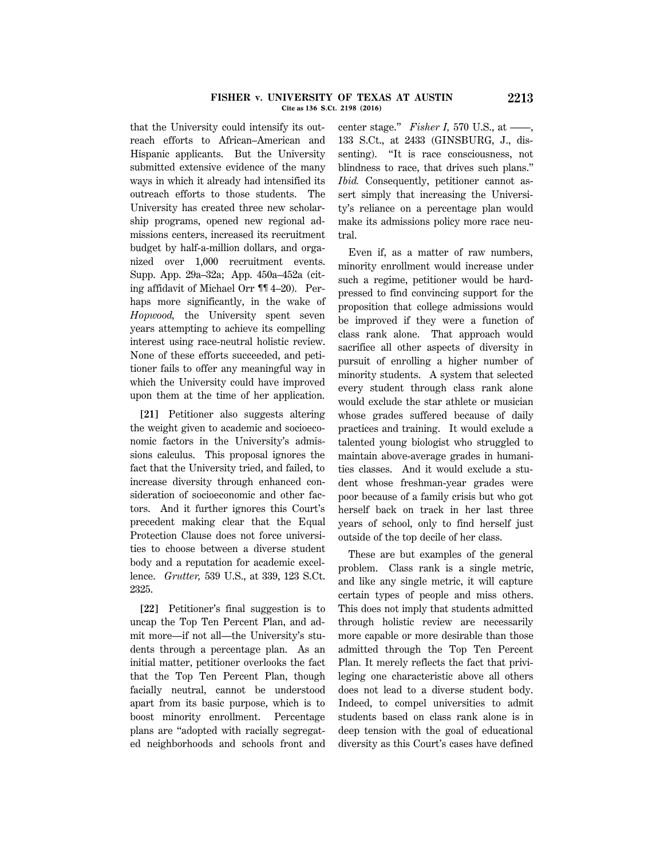#### **FISHER v. UNIVERSITY OF TEXAS AT AUSTIN 2213 Cite as 136 S.Ct. 2198 (2016)**

that the University could intensify its outreach efforts to African–American and Hispanic applicants. But the University submitted extensive evidence of the many ways in which it already had intensified its outreach efforts to those students. The University has created three new scholarship programs, opened new regional admissions centers, increased its recruitment budget by half-a-million dollars, and organized over 1,000 recruitment events. Supp. App. 29a–32a; App. 450a–452a (citing affidavit of Michael Orr ¶¶ 4–20). Perhaps more significantly, in the wake of *Hopwood,* the University spent seven years attempting to achieve its compelling interest using race-neutral holistic review. None of these efforts succeeded, and petitioner fails to offer any meaningful way in which the University could have improved upon them at the time of her application.

**[21]** Petitioner also suggests altering the weight given to academic and socioeconomic factors in the University's admissions calculus. This proposal ignores the fact that the University tried, and failed, to increase diversity through enhanced consideration of socioeconomic and other factors. And it further ignores this Court's precedent making clear that the Equal Protection Clause does not force universities to choose between a diverse student body and a reputation for academic excellence. *Grutter,* 539 U.S., at 339, 123 S.Ct. 2325.

**[22]** Petitioner's final suggestion is to uncap the Top Ten Percent Plan, and admit more—if not all—the University's students through a percentage plan. As an initial matter, petitioner overlooks the fact that the Top Ten Percent Plan, though facially neutral, cannot be understood apart from its basic purpose, which is to boost minority enrollment. Percentage plans are ''adopted with racially segregated neighborhoods and schools front and

center stage." *Fisher I*, 570 U.S., at  $-$ 133 S.Ct., at 2433 (GINSBURG, J., dissenting). "It is race consciousness, not blindness to race, that drives such plans.'' *Ibid.* Consequently, petitioner cannot assert simply that increasing the University's reliance on a percentage plan would make its admissions policy more race neutral.

Even if, as a matter of raw numbers, minority enrollment would increase under such a regime, petitioner would be hardpressed to find convincing support for the proposition that college admissions would be improved if they were a function of class rank alone. That approach would sacrifice all other aspects of diversity in pursuit of enrolling a higher number of minority students. A system that selected every student through class rank alone would exclude the star athlete or musician whose grades suffered because of daily practices and training. It would exclude a talented young biologist who struggled to maintain above-average grades in humanities classes. And it would exclude a student whose freshman-year grades were poor because of a family crisis but who got herself back on track in her last three years of school, only to find herself just outside of the top decile of her class.

These are but examples of the general problem. Class rank is a single metric, and like any single metric, it will capture certain types of people and miss others. This does not imply that students admitted through holistic review are necessarily more capable or more desirable than those admitted through the Top Ten Percent Plan. It merely reflects the fact that privileging one characteristic above all others does not lead to a diverse student body. Indeed, to compel universities to admit students based on class rank alone is in deep tension with the goal of educational diversity as this Court's cases have defined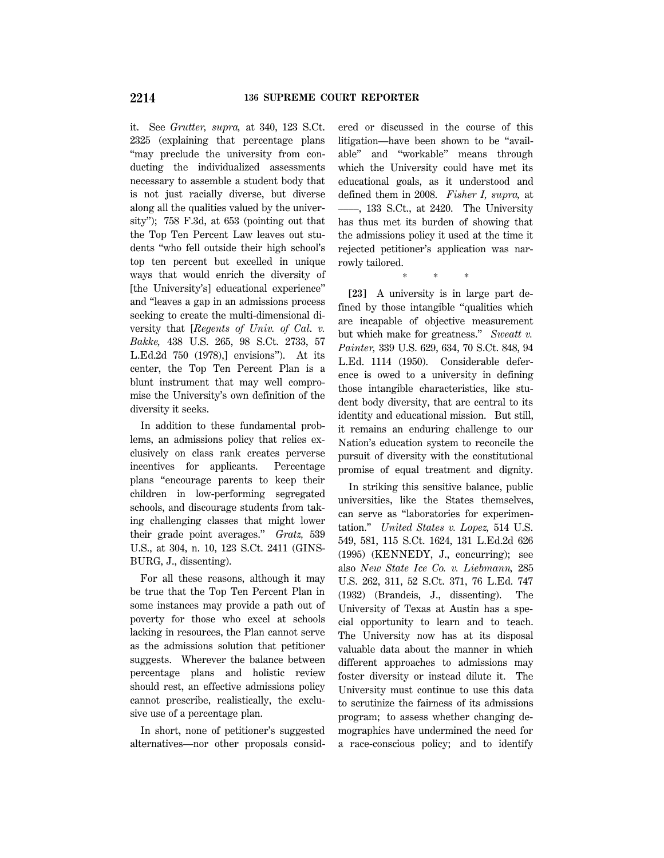it. See *Grutter, supra,* at 340, 123 S.Ct. 2325 (explaining that percentage plans "may preclude the university from conducting the individualized assessments necessary to assemble a student body that is not just racially diverse, but diverse along all the qualities valued by the university''); 758 F.3d, at 653 (pointing out that the Top Ten Percent Law leaves out students ''who fell outside their high school's top ten percent but excelled in unique ways that would enrich the diversity of [the University's] educational experience" and ''leaves a gap in an admissions process seeking to create the multi-dimensional diversity that [*Regents of Univ. of Cal*. *v. Bakke,* 438 U.S. 265, 98 S.Ct. 2733, 57 L.Ed.2d 750 (1978),] envisions''). At its center, the Top Ten Percent Plan is a blunt instrument that may well compromise the University's own definition of the diversity it seeks.

In addition to these fundamental problems, an admissions policy that relies exclusively on class rank creates perverse incentives for applicants. Percentage plans ''encourage parents to keep their children in low-performing segregated schools, and discourage students from taking challenging classes that might lower their grade point averages.'' *Gratz,* 539 U.S., at 304, n. 10, 123 S.Ct. 2411 (GINS-BURG, J., dissenting).

For all these reasons, although it may be true that the Top Ten Percent Plan in some instances may provide a path out of poverty for those who excel at schools lacking in resources, the Plan cannot serve as the admissions solution that petitioner suggests. Wherever the balance between percentage plans and holistic review should rest, an effective admissions policy cannot prescribe, realistically, the exclusive use of a percentage plan.

In short, none of petitioner's suggested alternatives—nor other proposals consid-

ered or discussed in the course of this litigation—have been shown to be ''available'' and ''workable'' means through which the University could have met its educational goals, as it understood and defined them in 2008. *Fisher I, supra,* at ––––, 133 S.Ct., at 2420. The University has thus met its burden of showing that the admissions policy it used at the time it rejected petitioner's application was narrowly tailored.

\* \* \*

**[23]** A university is in large part defined by those intangible ''qualities which are incapable of objective measurement but which make for greatness.'' *Sweatt v. Painter,* 339 U.S. 629, 634, 70 S.Ct. 848, 94 L.Ed. 1114 (1950). Considerable deference is owed to a university in defining those intangible characteristics, like student body diversity, that are central to its identity and educational mission. But still, it remains an enduring challenge to our Nation's education system to reconcile the pursuit of diversity with the constitutional promise of equal treatment and dignity.

In striking this sensitive balance, public universities, like the States themselves, can serve as ''laboratories for experimentation.'' *United States v. Lopez,* 514 U.S. 549, 581, 115 S.Ct. 1624, 131 L.Ed.2d 626 (1995) (KENNEDY, J., concurring); see also *New State Ice Co. v. Liebmann,* 285 U.S. 262, 311, 52 S.Ct. 371, 76 L.Ed. 747 (1932) (Brandeis, J., dissenting). The University of Texas at Austin has a special opportunity to learn and to teach. The University now has at its disposal valuable data about the manner in which different approaches to admissions may foster diversity or instead dilute it. The University must continue to use this data to scrutinize the fairness of its admissions program; to assess whether changing demographics have undermined the need for a race-conscious policy; and to identify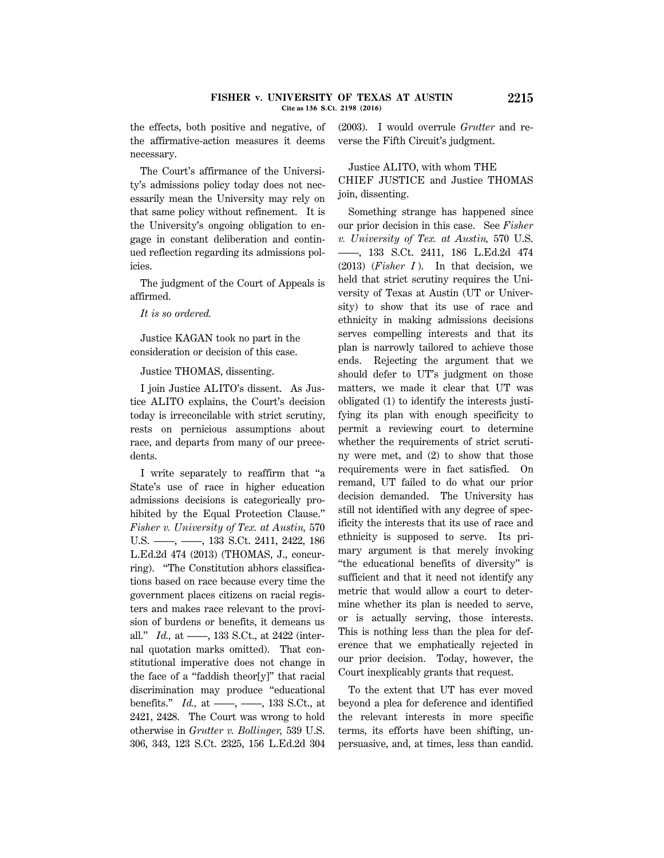the effects, both positive and negative, of the affirmative-action measures it deems necessary.

The Court's affirmance of the University's admissions policy today does not necessarily mean the University may rely on that same policy without refinement. It is the University's ongoing obligation to engage in constant deliberation and continued reflection regarding its admissions policies.

The judgment of the Court of Appeals is affirmed.

*It is so ordered.*

Justice KAGAN took no part in the consideration or decision of this case.

Justice THOMAS, dissenting.

I join Justice ALITO's dissent. As Justice ALITO explains, the Court's decision today is irreconcilable with strict scrutiny, rests on pernicious assumptions about race, and departs from many of our precedents.

I write separately to reaffirm that ''a State's use of race in higher education admissions decisions is categorically prohibited by the Equal Protection Clause.'' *Fisher v. University of Tex. at Austin,* 570 U.S. ––––, ––––, 133 S.Ct. 2411, 2422, 186 L.Ed.2d 474 (2013) (THOMAS, J., concurring). ''The Constitution abhors classifications based on race because every time the government places citizens on racial registers and makes race relevant to the provision of burdens or benefits, it demeans us all." *Id.*, at ——, 133 S.Ct., at 2422 (internal quotation marks omitted). That constitutional imperative does not change in the face of a ''faddish theor[y]'' that racial discrimination may produce ''educational benefits." *Id.*, at —–, —–, 133 S.Ct., at 2421, 2428. The Court was wrong to hold otherwise in *Grutter v. Bollinger,* 539 U.S. 306, 343, 123 S.Ct. 2325, 156 L.Ed.2d 304

(2003). I would overrule *Grutter* and reverse the Fifth Circuit's judgment.

Justice ALITO, with whom THE CHIEF JUSTICE and Justice THOMAS join, dissenting.

Something strange has happened since our prior decision in this case. See *Fisher v. University of Tex. at Austin,* 570 U.S. ––––, 133 S.Ct. 2411, 186 L.Ed.2d 474 (2013) (*Fisher I* ). In that decision, we held that strict scrutiny requires the University of Texas at Austin (UT or University) to show that its use of race and ethnicity in making admissions decisions serves compelling interests and that its plan is narrowly tailored to achieve those ends. Rejecting the argument that we should defer to UT's judgment on those matters, we made it clear that UT was obligated (1) to identify the interests justifying its plan with enough specificity to permit a reviewing court to determine whether the requirements of strict scrutiny were met, and (2) to show that those requirements were in fact satisfied. On remand, UT failed to do what our prior decision demanded. The University has still not identified with any degree of specificity the interests that its use of race and ethnicity is supposed to serve. Its primary argument is that merely invoking "the educational benefits of diversity" is sufficient and that it need not identify any metric that would allow a court to determine whether its plan is needed to serve, or is actually serving, those interests. This is nothing less than the plea for deference that we emphatically rejected in our prior decision. Today, however, the Court inexplicably grants that request.

To the extent that UT has ever moved beyond a plea for deference and identified the relevant interests in more specific terms, its efforts have been shifting, unpersuasive, and, at times, less than candid.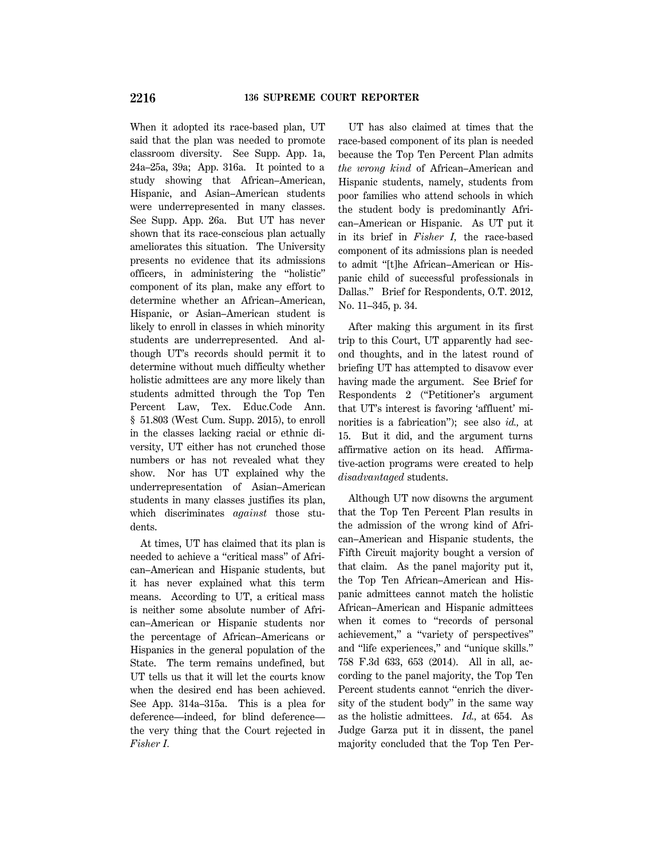When it adopted its race-based plan, UT said that the plan was needed to promote classroom diversity. See Supp. App. 1a, 24a–25a, 39a; App. 316a. It pointed to a study showing that African–American, Hispanic, and Asian–American students were underrepresented in many classes. See Supp. App. 26a. But UT has never shown that its race-conscious plan actually ameliorates this situation. The University presents no evidence that its admissions officers, in administering the ''holistic'' component of its plan, make any effort to determine whether an African–American, Hispanic, or Asian–American student is likely to enroll in classes in which minority students are underrepresented. And although UT's records should permit it to determine without much difficulty whether holistic admittees are any more likely than students admitted through the Top Ten Percent Law, Tex. Educ.Code Ann. § 51.803 (West Cum. Supp. 2015), to enroll in the classes lacking racial or ethnic diversity, UT either has not crunched those numbers or has not revealed what they show. Nor has UT explained why the underrepresentation of Asian–American students in many classes justifies its plan, which discriminates *against* those students.

At times, UT has claimed that its plan is needed to achieve a ''critical mass'' of African–American and Hispanic students, but it has never explained what this term means. According to UT, a critical mass is neither some absolute number of African–American or Hispanic students nor the percentage of African–Americans or Hispanics in the general population of the State. The term remains undefined, but UT tells us that it will let the courts know when the desired end has been achieved. See App. 314a–315a. This is a plea for deference—indeed, for blind deference the very thing that the Court rejected in *Fisher I.*

UT has also claimed at times that the race-based component of its plan is needed because the Top Ten Percent Plan admits *the wrong kind* of African–American and Hispanic students, namely, students from poor families who attend schools in which the student body is predominantly African–American or Hispanic. As UT put it in its brief in *Fisher I,* the race-based component of its admissions plan is needed to admit ''[t]he African–American or Hispanic child of successful professionals in Dallas.'' Brief for Respondents, O.T. 2012, No. 11–345, p. 34.

After making this argument in its first trip to this Court, UT apparently had second thoughts, and in the latest round of briefing UT has attempted to disavow ever having made the argument. See Brief for Respondents 2 (''Petitioner's argument that UT's interest is favoring 'affluent' minorities is a fabrication''); see also *id.,* at 15. But it did, and the argument turns affirmative action on its head. Affirmative-action programs were created to help *disadvantaged* students.

Although UT now disowns the argument that the Top Ten Percent Plan results in the admission of the wrong kind of African–American and Hispanic students, the Fifth Circuit majority bought a version of that claim. As the panel majority put it, the Top Ten African–American and Hispanic admittees cannot match the holistic African–American and Hispanic admittees when it comes to "records of personal achievement,'' a ''variety of perspectives'' and ''life experiences,'' and ''unique skills.'' 758 F.3d 633, 653 (2014). All in all, according to the panel majority, the Top Ten Percent students cannot ''enrich the diversity of the student body'' in the same way as the holistic admittees. *Id.,* at 654. As Judge Garza put it in dissent, the panel majority concluded that the Top Ten Per-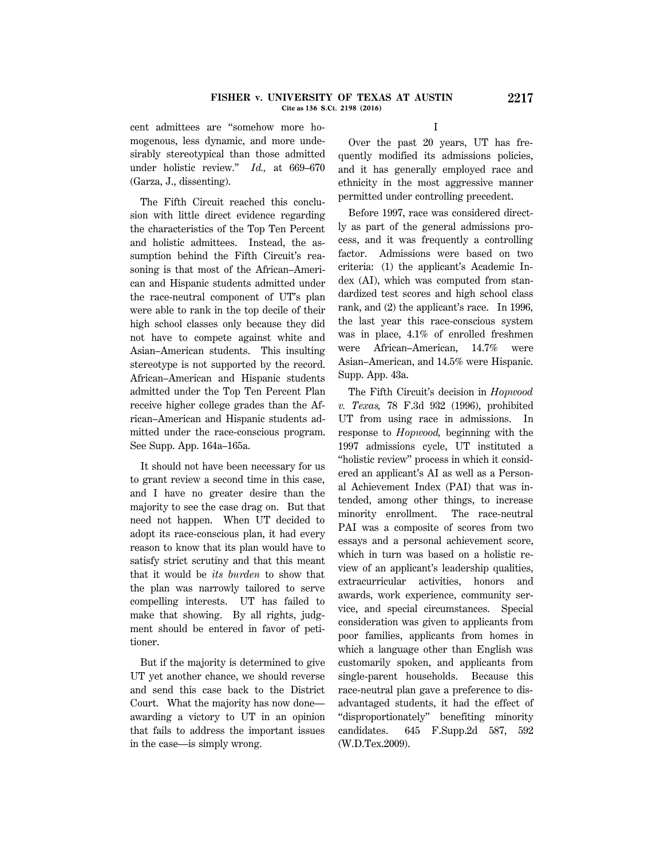### **FISHER v. UNIVERSITY OF TEXAS AT AUSTIN 2217 Cite as 136 S.Ct. 2198 (2016)**

cent admittees are ''somehow more homogenous, less dynamic, and more undesirably stereotypical than those admitted under holistic review.'' *Id.,* at 669–670 (Garza, J., dissenting).

The Fifth Circuit reached this conclusion with little direct evidence regarding the characteristics of the Top Ten Percent and holistic admittees. Instead, the assumption behind the Fifth Circuit's reasoning is that most of the African–American and Hispanic students admitted under the race-neutral component of UT's plan were able to rank in the top decile of their high school classes only because they did not have to compete against white and Asian–American students. This insulting stereotype is not supported by the record. African–American and Hispanic students admitted under the Top Ten Percent Plan receive higher college grades than the African–American and Hispanic students admitted under the race-conscious program. See Supp. App. 164a–165a.

It should not have been necessary for us to grant review a second time in this case, and I have no greater desire than the majority to see the case drag on. But that need not happen. When UT decided to adopt its race-conscious plan, it had every reason to know that its plan would have to satisfy strict scrutiny and that this meant that it would be *its burden* to show that the plan was narrowly tailored to serve compelling interests. UT has failed to make that showing. By all rights, judgment should be entered in favor of petitioner.

But if the majority is determined to give UT yet another chance, we should reverse and send this case back to the District Court. What the majority has now done awarding a victory to UT in an opinion that fails to address the important issues in the case—is simply wrong.

I

Over the past 20 years, UT has frequently modified its admissions policies, and it has generally employed race and ethnicity in the most aggressive manner permitted under controlling precedent.

Before 1997, race was considered directly as part of the general admissions process, and it was frequently a controlling factor. Admissions were based on two criteria: (1) the applicant's Academic Index (AI), which was computed from standardized test scores and high school class rank, and (2) the applicant's race. In 1996, the last year this race-conscious system was in place, 4.1% of enrolled freshmen were African–American, 14.7% were Asian–American, and 14.5% were Hispanic. Supp. App. 43a.

The Fifth Circuit's decision in *Hopwood v. Texas,* 78 F.3d 932 (1996), prohibited UT from using race in admissions. In response to *Hopwood,* beginning with the 1997 admissions cycle, UT instituted a ''holistic review'' process in which it considered an applicant's AI as well as a Personal Achievement Index (PAI) that was intended, among other things, to increase minority enrollment. The race-neutral PAI was a composite of scores from two essays and a personal achievement score, which in turn was based on a holistic review of an applicant's leadership qualities, extracurricular activities, honors and awards, work experience, community service, and special circumstances. Special consideration was given to applicants from poor families, applicants from homes in which a language other than English was customarily spoken, and applicants from single-parent households. Because this race-neutral plan gave a preference to disadvantaged students, it had the effect of ''disproportionately'' benefiting minority candidates. 645 F.Supp.2d 587, 592 (W.D.Tex.2009).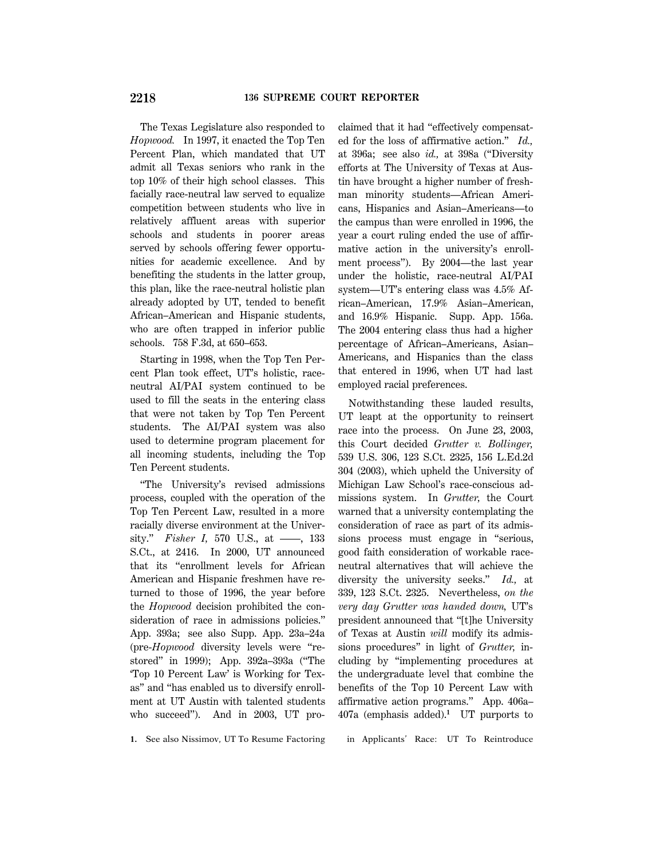The Texas Legislature also responded to *Hopwood.* In 1997, it enacted the Top Ten Percent Plan, which mandated that UT admit all Texas seniors who rank in the top 10% of their high school classes. This facially race-neutral law served to equalize competition between students who live in relatively affluent areas with superior schools and students in poorer areas served by schools offering fewer opportunities for academic excellence. And by benefiting the students in the latter group, this plan, like the race-neutral holistic plan already adopted by UT, tended to benefit African–American and Hispanic students, who are often trapped in inferior public schools. 758 F.3d, at 650–653.

Starting in 1998, when the Top Ten Percent Plan took effect, UT's holistic, raceneutral AI/PAI system continued to be used to fill the seats in the entering class that were not taken by Top Ten Percent students. The AI/PAI system was also used to determine program placement for all incoming students, including the Top Ten Percent students.

''The University's revised admissions process, coupled with the operation of the Top Ten Percent Law, resulted in a more racially diverse environment at the University." *Fisher I*, 570 U.S., at —, 133 S.Ct., at 2416. In 2000, UT announced that its ''enrollment levels for African American and Hispanic freshmen have returned to those of 1996, the year before the *Hopwood* decision prohibited the consideration of race in admissions policies.'' App. 393a; see also Supp. App. 23a–24a (pre-*Hopwood* diversity levels were ''restored'' in 1999); App. 392a–393a (''The 'Top 10 Percent Law' is Working for Texas'' and ''has enabled us to diversify enrollment at UT Austin with talented students who succeed''). And in 2003, UT proclaimed that it had ''effectively compensated for the loss of affirmative action.'' *Id.,* at 396a; see also *id.,* at 398a (''Diversity efforts at The University of Texas at Austin have brought a higher number of freshman minority students—African Americans, Hispanics and Asian–Americans—to the campus than were enrolled in 1996, the year a court ruling ended the use of affirmative action in the university's enrollment process''). By 2004—the last year under the holistic, race-neutral AI/PAI system—UT's entering class was 4.5% African–American, 17.9% Asian–American, and 16.9% Hispanic. Supp. App. 156a. The 2004 entering class thus had a higher percentage of African–Americans, Asian– Americans, and Hispanics than the class that entered in 1996, when UT had last employed racial preferences.

Notwithstanding these lauded results, UT leapt at the opportunity to reinsert race into the process. On June 23, 2003, this Court decided *Grutter v. Bollinger,* 539 U.S. 306, 123 S.Ct. 2325, 156 L.Ed.2d 304 (2003), which upheld the University of Michigan Law School's race-conscious admissions system. In *Grutter,* the Court warned that a university contemplating the consideration of race as part of its admissions process must engage in ''serious, good faith consideration of workable raceneutral alternatives that will achieve the diversity the university seeks.'' *Id.,* at 339, 123 S.Ct. 2325. Nevertheless, *on the very day Grutter was handed down,* UT's president announced that ''[t]he University of Texas at Austin *will* modify its admissions procedures'' in light of *Grutter,* including by ''implementing procedures at the undergraduate level that combine the benefits of the Top 10 Percent Law with affirmative action programs.'' App. 406a– 407a (emphasis added).**<sup>1</sup>** UT purports to

**1.** See also Nissimov, UT To Resume Factoring in Applicants' Race: UT To Reintroduce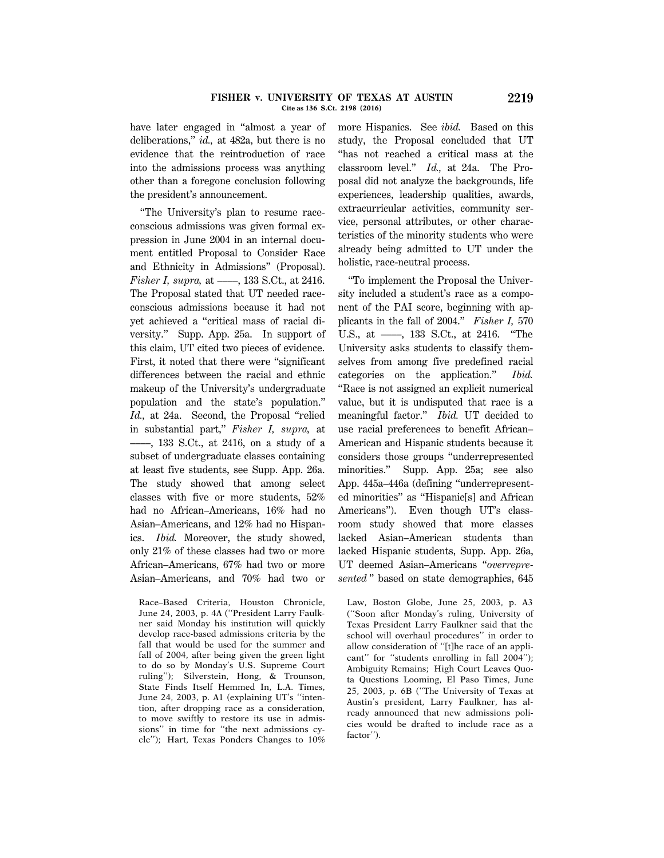#### **FISHER v. UNIVERSITY OF TEXAS AT AUSTIN 2219 Cite as 136 S.Ct. 2198 (2016)**

have later engaged in ''almost a year of deliberations,'' *id.,* at 482a, but there is no evidence that the reintroduction of race into the admissions process was anything other than a foregone conclusion following the president's announcement.

''The University's plan to resume raceconscious admissions was given formal expression in June 2004 in an internal document entitled Proposal to Consider Race and Ethnicity in Admissions'' (Proposal). *Fisher I, supra, at ——, 133 S.Ct., at 2416.* The Proposal stated that UT needed raceconscious admissions because it had not yet achieved a ''critical mass of racial diversity.'' Supp. App. 25a. In support of this claim, UT cited two pieces of evidence. First, it noted that there were ''significant differences between the racial and ethnic makeup of the University's undergraduate population and the state's population.'' Id., at 24a. Second, the Proposal "relied in substantial part,'' *Fisher I, supra,* at ––––, 133 S.Ct., at 2416, on a study of a subset of undergraduate classes containing at least five students, see Supp. App. 26a. The study showed that among select classes with five or more students, 52% had no African–Americans, 16% had no Asian–Americans, and 12% had no Hispanics. *Ibid.* Moreover, the study showed, only 21% of these classes had two or more African–Americans, 67% had two or more Asian–Americans, and 70% had two or

Race–Based Criteria, Houston Chronicle, June 24, 2003, p. 4A (''President Larry Faulkner said Monday his institution will quickly develop race-based admissions criteria by the fall that would be used for the summer and fall of 2004, after being given the green light to do so by Monday's U.S. Supreme Court ruling''); Silverstein, Hong, & Trounson, State Finds Itself Hemmed In, L.A. Times, June 24, 2003, p. A1 (explaining UT's ''intention, after dropping race as a consideration, to move swiftly to restore its use in admissions'' in time for ''the next admissions cycle''); Hart, Texas Ponders Changes to 10% more Hispanics. See *ibid.* Based on this study, the Proposal concluded that UT ''has not reached a critical mass at the classroom level.'' *Id.,* at 24a. The Proposal did not analyze the backgrounds, life experiences, leadership qualities, awards, extracurricular activities, community service, personal attributes, or other characteristics of the minority students who were already being admitted to UT under the holistic, race-neutral process.

''To implement the Proposal the University included a student's race as a component of the PAI score, beginning with applicants in the fall of 2004.'' *Fisher I,* 570 U.S., at ––––, 133 S.Ct., at 2416. ''The University asks students to classify themselves from among five predefined racial categories on the application.'' *Ibid.* ''Race is not assigned an explicit numerical value, but it is undisputed that race is a meaningful factor.'' *Ibid.* UT decided to use racial preferences to benefit African– American and Hispanic students because it considers those groups ''underrepresented minorities.'' Supp. App. 25a; see also App. 445a–446a (defining ''underrepresented minorities'' as ''Hispanic[s] and African Americans''). Even though UT's classroom study showed that more classes lacked Asian–American students than lacked Hispanic students, Supp. App. 26a, UT deemed Asian–Americans ''*overrepresented* '' based on state demographics, 645

Law, Boston Globe, June 25, 2003, p. A3 (''Soon after Monday's ruling, University of Texas President Larry Faulkner said that the school will overhaul procedures'' in order to allow consideration of ''[t]he race of an applicant'' for ''students enrolling in fall 2004''); Ambiguity Remains; High Court Leaves Quota Questions Looming, El Paso Times, June 25, 2003, p. 6B (''The University of Texas at Austin's president, Larry Faulkner, has already announced that new admissions policies would be drafted to include race as a factor'').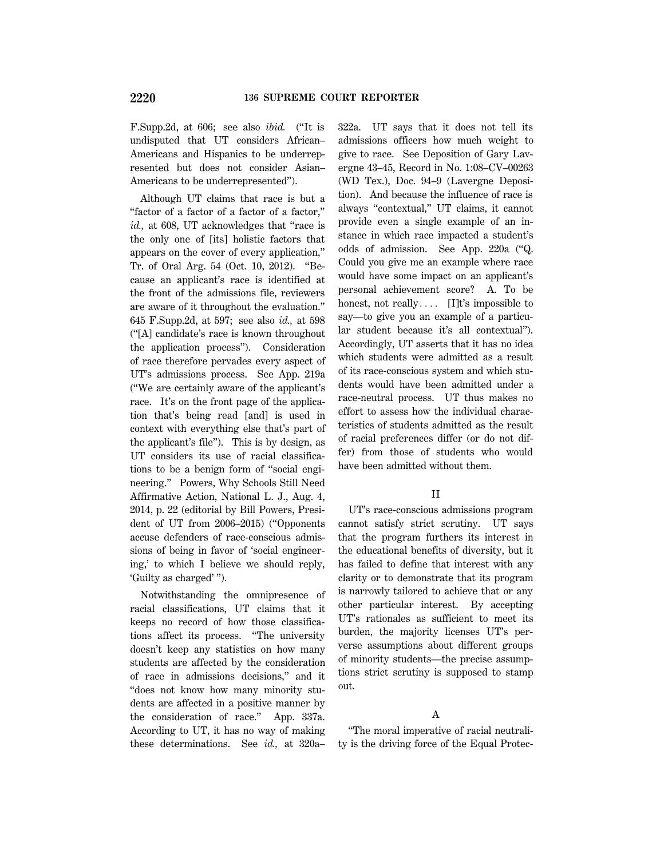F.Supp.2d, at 606; see also *ibid.* (''It is undisputed that UT considers African– Americans and Hispanics to be underrepresented but does not consider Asian– Americans to be underrepresented'').

Although UT claims that race is but a ''factor of a factor of a factor of a factor,'' id., at 608, UT acknowledges that "race is the only one of [its] holistic factors that appears on the cover of every application,'' Tr. of Oral Arg. 54 (Oct. 10, 2012). ''Because an applicant's race is identified at the front of the admissions file, reviewers are aware of it throughout the evaluation.'' 645 F.Supp.2d, at 597; see also *id.,* at 598 (''[A] candidate's race is known throughout the application process''). Consideration of race therefore pervades every aspect of UT's admissions process. See App. 219a (''We are certainly aware of the applicant's race. It's on the front page of the application that's being read [and] is used in context with everything else that's part of the applicant's file''). This is by design, as UT considers its use of racial classifications to be a benign form of ''social engineering.'' Powers, Why Schools Still Need Affirmative Action, National L. J., Aug. 4, 2014, p. 22 (editorial by Bill Powers, President of UT from 2006–2015) (''Opponents accuse defenders of race-conscious admissions of being in favor of 'social engineering,' to which I believe we should reply, 'Guilty as charged' '').

Notwithstanding the omnipresence of racial classifications, UT claims that it keeps no record of how those classifications affect its process. ''The university doesn't keep any statistics on how many students are affected by the consideration of race in admissions decisions,'' and it ''does not know how many minority students are affected in a positive manner by the consideration of race.'' App. 337a. According to UT, it has no way of making these determinations. See *id.,* at 320a– 322a. UT says that it does not tell its admissions officers how much weight to give to race. See Deposition of Gary Lavergne 43–45, Record in No. 1:08–CV–00263 (WD Tex.), Doc. 94–9 (Lavergne Deposition). And because the influence of race is always ''contextual,'' UT claims, it cannot provide even a single example of an instance in which race impacted a student's odds of admission. See App. 220a (''Q. Could you give me an example where race would have some impact on an applicant's personal achievement score? A. To be honest, not really.... [I]t's impossible to say—to give you an example of a particular student because it's all contextual''). Accordingly, UT asserts that it has no idea which students were admitted as a result of its race-conscious system and which students would have been admitted under a race-neutral process. UT thus makes no effort to assess how the individual characteristics of students admitted as the result of racial preferences differ (or do not differ) from those of students who would have been admitted without them.

## II

UT's race-conscious admissions program cannot satisfy strict scrutiny. UT says that the program furthers its interest in the educational benefits of diversity, but it has failed to define that interest with any clarity or to demonstrate that its program is narrowly tailored to achieve that or any other particular interest. By accepting UT's rationales as sufficient to meet its burden, the majority licenses UT's perverse assumptions about different groups of minority students—the precise assumptions strict scrutiny is supposed to stamp out.

# A

''The moral imperative of racial neutrality is the driving force of the Equal Protec-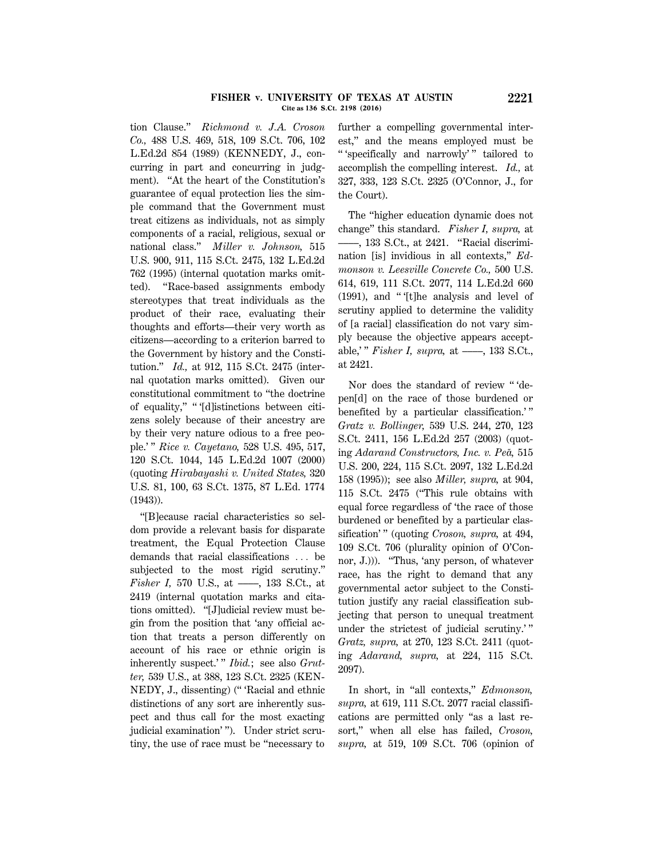### **FISHER v. UNIVERSITY OF TEXAS AT AUSTIN 2221 Cite as 136 S.Ct. 2198 (2016)**

tion Clause.'' *Richmond v. J.A. Croson Co.,* 488 U.S. 469, 518, 109 S.Ct. 706, 102 L.Ed.2d 854 (1989) (KENNEDY, J., concurring in part and concurring in judgment). ''At the heart of the Constitution's guarantee of equal protection lies the simple command that the Government must treat citizens as individuals, not as simply components of a racial, religious, sexual or national class.'' *Miller v. Johnson,* 515 U.S. 900, 911, 115 S.Ct. 2475, 132 L.Ed.2d 762 (1995) (internal quotation marks omitted). ''Race-based assignments embody stereotypes that treat individuals as the product of their race, evaluating their thoughts and efforts—their very worth as citizens—according to a criterion barred to the Government by history and the Constitution.'' *Id.,* at 912, 115 S.Ct. 2475 (internal quotation marks omitted). Given our constitutional commitment to ''the doctrine of equality," " '[d]istinctions between citizens solely because of their ancestry are by their very nature odious to a free people.' '' *Rice v. Cayetano,* 528 U.S. 495, 517, 120 S.Ct. 1044, 145 L.Ed.2d 1007 (2000) (quoting *Hirabayashi v. United States,* 320 U.S. 81, 100, 63 S.Ct. 1375, 87 L.Ed. 1774 (1943)).

''[B]ecause racial characteristics so seldom provide a relevant basis for disparate treatment, the Equal Protection Clause demands that racial classifications ... be subjected to the most rigid scrutiny.'' *Fisher I,* 570 U.S., at ——, 133 S.Ct., at 2419 (internal quotation marks and citations omitted). ''[J]udicial review must begin from the position that 'any official action that treats a person differently on account of his race or ethnic origin is inherently suspect.'" *Ibid.*; see also *Grutter,* 539 U.S., at 388, 123 S.Ct. 2325 (KEN-NEDY, J., dissenting) ('' 'Racial and ethnic distinctions of any sort are inherently suspect and thus call for the most exacting judicial examination' ''). Under strict scrutiny, the use of race must be ''necessary to further a compelling governmental interest,'' and the means employed must be "' specifically and narrowly'" tailored to accomplish the compelling interest. *Id.,* at 327, 333, 123 S.Ct. 2325 (O'Connor, J., for the Court).

The ''higher education dynamic does not change'' this standard. *Fisher I, supra,* at ––––, 133 S.Ct., at 2421. ''Racial discrimination [is] invidious in all contexts,'' *Edmonson v. Leesville Concrete Co.,* 500 U.S. 614, 619, 111 S.Ct. 2077, 114 L.Ed.2d 660 (1991), and '' '[t]he analysis and level of scrutiny applied to determine the validity of [a racial] classification do not vary simply because the objective appears acceptable,' '' *Fisher I, supra,* at ––––, 133 S.Ct., at 2421.

Nor does the standard of review '' 'depen[d] on the race of those burdened or benefited by a particular classification.' '' *Gratz v. Bollinger,* 539 U.S. 244, 270, 123 S.Ct. 2411, 156 L.Ed.2d 257 (2003) (quoting *Adarand Constructors, Inc. v. Pea*, 515 U.S. 200, 224, 115 S.Ct. 2097, 132 L.Ed.2d 158 (1995)); see also *Miller, supra,* at 904, 115 S.Ct. 2475 (''This rule obtains with equal force regardless of 'the race of those burdened or benefited by a particular classification' '' (quoting *Croson, supra,* at 494, 109 S.Ct. 706 (plurality opinion of O'Connor, J.))). ''Thus, 'any person, of whatever race, has the right to demand that any governmental actor subject to the Constitution justify any racial classification subjecting that person to unequal treatment under the strictest of judicial scrutiny.' '' *Gratz, supra,* at 270, 123 S.Ct. 2411 (quoting *Adarand, supra,* at 224, 115 S.Ct. 2097).

In short, in ''all contexts,'' *Edmonson, supra,* at 619, 111 S.Ct. 2077 racial classifications are permitted only ''as a last resort,'' when all else has failed, *Croson, supra,* at 519, 109 S.Ct. 706 (opinion of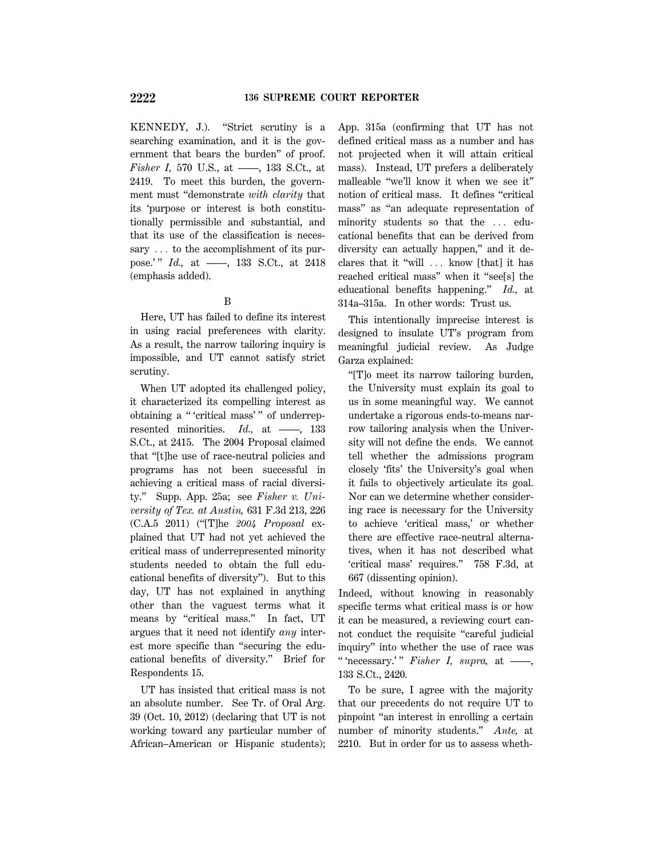KENNEDY, J.). ''Strict scrutiny is a searching examination, and it is the government that bears the burden'' of proof. *Fisher I,* 570 U.S., at —, 133 S.Ct., at 2419. To meet this burden, the government must ''demonstrate *with clarity* that its 'purpose or interest is both constitutionally permissible and substantial, and that its use of the classification is necessary  $\ldots$  to the accomplishment of its purpose.'" *Id.*, at —–, 133 S.Ct., at 2418 (emphasis added).

# B

Here, UT has failed to define its interest in using racial preferences with clarity. As a result, the narrow tailoring inquiry is impossible, and UT cannot satisfy strict scrutiny.

When UT adopted its challenged policy, it characterized its compelling interest as obtaining a '' 'critical mass' '' of underrepresented minorities. *Id.*, at —–, 133 S.Ct., at 2415. The 2004 Proposal claimed that ''[t]he use of race-neutral policies and programs has not been successful in achieving a critical mass of racial diversity.'' Supp. App. 25a; see *Fisher v. University of Tex. at Austin,* 631 F.3d 213, 226 (C.A.5 2011) (''[T]he *2004 Proposal* explained that UT had not yet achieved the critical mass of underrepresented minority students needed to obtain the full educational benefits of diversity''). But to this day, UT has not explained in anything other than the vaguest terms what it means by "critical mass." In fact, UT argues that it need not identify *any* interest more specific than ''securing the educational benefits of diversity.'' Brief for Respondents 15.

UT has insisted that critical mass is not an absolute number. See Tr. of Oral Arg. 39 (Oct. 10, 2012) (declaring that UT is not working toward any particular number of African–American or Hispanic students);

App. 315a (confirming that UT has not defined critical mass as a number and has not projected when it will attain critical mass). Instead, UT prefers a deliberately malleable ''we'll know it when we see it'' notion of critical mass. It defines ''critical mass'' as ''an adequate representation of minority students so that the ... educational benefits that can be derived from diversity can actually happen,'' and it declares that it "will  $\ldots$  know [that] it has reached critical mass'' when it ''see[s] the educational benefits happening.'' *Id.,* at 314a–315a. In other words: Trust us.

This intentionally imprecise interest is designed to insulate UT's program from meaningful judicial review. As Judge Garza explained:

''[T]o meet its narrow tailoring burden, the University must explain its goal to us in some meaningful way. We cannot undertake a rigorous ends-to-means narrow tailoring analysis when the University will not define the ends. We cannot tell whether the admissions program closely 'fits' the University's goal when it fails to objectively articulate its goal. Nor can we determine whether considering race is necessary for the University to achieve 'critical mass,' or whether there are effective race-neutral alternatives, when it has not described what 'critical mass' requires.'' 758 F.3d, at 667 (dissenting opinion).

Indeed, without knowing in reasonably specific terms what critical mass is or how it can be measured, a reviewing court cannot conduct the requisite ''careful judicial inquiry'' into whether the use of race was "'necessary.'" Fisher I, supra, at — 133 S.Ct., 2420.

To be sure, I agree with the majority that our precedents do not require UT to pinpoint ''an interest in enrolling a certain number of minority students.'' *Ante,* at 2210. But in order for us to assess wheth-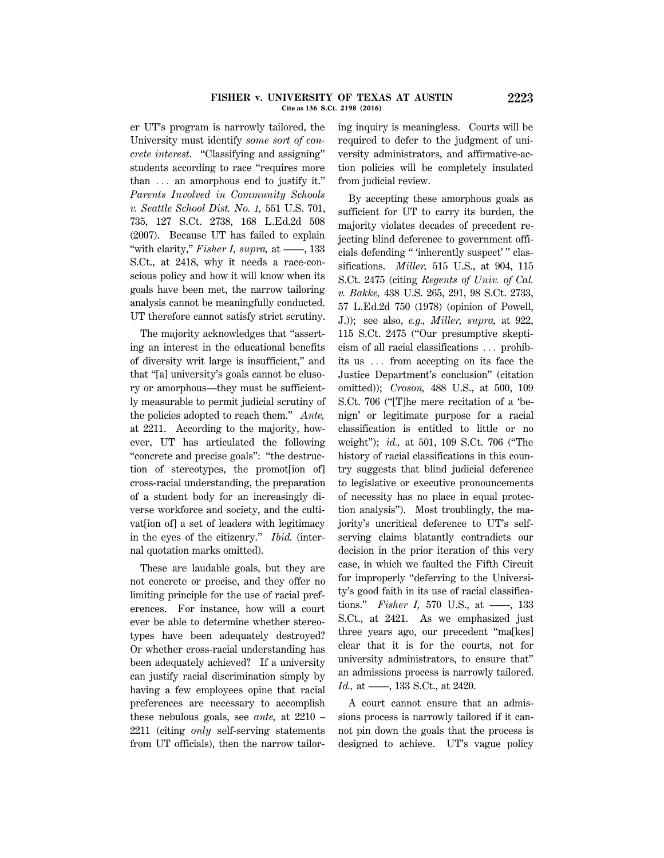### **FISHER v. UNIVERSITY OF TEXAS AT AUSTIN 2223 Cite as 136 S.Ct. 2198 (2016)**

er UT's program is narrowly tailored, the University must identify *some sort of concrete interest*. ''Classifying and assigning'' students according to race ''requires more than  $\ldots$  an amorphous end to justify it." *Parents Involved in Community Schools v. Seattle School Dist. No. 1,* 551 U.S. 701, 735, 127 S.Ct. 2738, 168 L.Ed.2d 508 (2007). Because UT has failed to explain "with clarity," *Fisher I, supra, at ——, 133* S.Ct., at 2418, why it needs a race-conscious policy and how it will know when its goals have been met, the narrow tailoring analysis cannot be meaningfully conducted. UT therefore cannot satisfy strict scrutiny.

The majority acknowledges that "asserting an interest in the educational benefits of diversity writ large is insufficient,'' and that ''[a] university's goals cannot be elusory or amorphous—they must be sufficiently measurable to permit judicial scrutiny of the policies adopted to reach them.'' *Ante,* at 2211. According to the majority, however, UT has articulated the following ''concrete and precise goals'': ''the destruction of stereotypes, the promot[ion of] cross-racial understanding, the preparation of a student body for an increasingly diverse workforce and society, and the cultivat[ion of] a set of leaders with legitimacy in the eyes of the citizenry.'' *Ibid.* (internal quotation marks omitted).

These are laudable goals, but they are not concrete or precise, and they offer no limiting principle for the use of racial preferences. For instance, how will a court ever be able to determine whether stereotypes have been adequately destroyed? Or whether cross-racial understanding has been adequately achieved? If a university can justify racial discrimination simply by having a few employees opine that racial preferences are necessary to accomplish these nebulous goals, see *ante,* at 2210 – 2211 (citing *only* self-serving statements from UT officials), then the narrow tailoring inquiry is meaningless. Courts will be required to defer to the judgment of university administrators, and affirmative-action policies will be completely insulated from judicial review.

By accepting these amorphous goals as sufficient for UT to carry its burden, the majority violates decades of precedent rejecting blind deference to government officials defending '' 'inherently suspect' '' classifications. *Miller,* 515 U.S., at 904, 115 S.Ct. 2475 (citing *Regents of Univ. of Cal. v. Bakke,* 438 U.S. 265, 291, 98 S.Ct. 2733, 57 L.Ed.2d 750 (1978) (opinion of Powell, J.)); see also, *e.g., Miller, supra,* at 922, 115 S.Ct. 2475 (''Our presumptive skepti $cism$  of all racial classifications  $\ldots$  prohibits us  $\ldots$  from accepting on its face the Justice Department's conclusion'' (citation omitted)); *Croson,* 488 U.S., at 500, 109 S.Ct. 706 (''[T]he mere recitation of a 'benign' or legitimate purpose for a racial classification is entitled to little or no weight''); *id.,* at 501, 109 S.Ct. 706 (''The history of racial classifications in this country suggests that blind judicial deference to legislative or executive pronouncements of necessity has no place in equal protection analysis''). Most troublingly, the majority's uncritical deference to UT's selfserving claims blatantly contradicts our decision in the prior iteration of this very case, in which we faulted the Fifth Circuit for improperly ''deferring to the University's good faith in its use of racial classifications." *Fisher I*, 570 U.S., at —, 133 S.Ct., at 2421. As we emphasized just three years ago, our precedent ''ma[kes] clear that it is for the courts, not for university administrators, to ensure that'' an admissions process is narrowly tailored. *Id.*, at ——, 133 S.Ct., at 2420.

A court cannot ensure that an admissions process is narrowly tailored if it cannot pin down the goals that the process is designed to achieve. UT's vague policy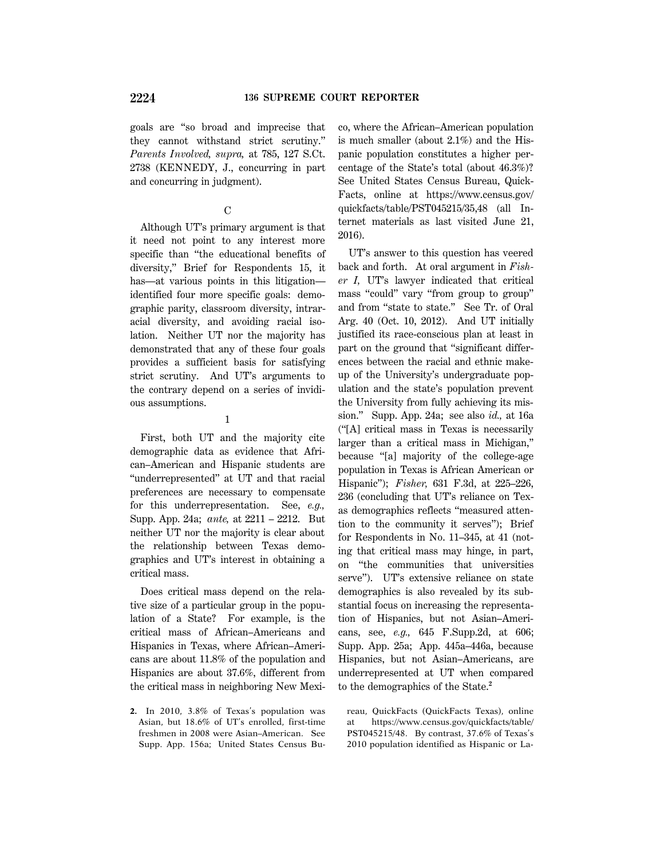goals are ''so broad and imprecise that they cannot withstand strict scrutiny.'' *Parents Involved, supra,* at 785, 127 S.Ct. 2738 (KENNEDY, J., concurring in part and concurring in judgment).

# $\mathcal{C}$

Although UT's primary argument is that it need not point to any interest more specific than ''the educational benefits of diversity,'' Brief for Respondents 15, it has—at various points in this litigation identified four more specific goals: demographic parity, classroom diversity, intraracial diversity, and avoiding racial isolation. Neither UT nor the majority has demonstrated that any of these four goals provides a sufficient basis for satisfying strict scrutiny. And UT's arguments to the contrary depend on a series of invidious assumptions.

### 1

First, both UT and the majority cite demographic data as evidence that African–American and Hispanic students are ''underrepresented'' at UT and that racial preferences are necessary to compensate for this underrepresentation. See, *e.g.,* Supp. App. 24a; *ante,* at 2211 – 2212. But neither UT nor the majority is clear about the relationship between Texas demographics and UT's interest in obtaining a critical mass.

Does critical mass depend on the relative size of a particular group in the population of a State? For example, is the critical mass of African–Americans and Hispanics in Texas, where African–Americans are about 11.8% of the population and Hispanics are about 37.6%, different from the critical mass in neighboring New Mexi-

**2.** In 2010, 3.8% of Texas's population was Asian, but 18.6% of UT's enrolled, first-time freshmen in 2008 were Asian–American. See Supp. App. 156a; United States Census Buco, where the African–American population is much smaller (about 2.1%) and the Hispanic population constitutes a higher percentage of the State's total (about 46.3%)? See United States Census Bureau, Quick-Facts, online at https://www.census.gov/ quickfacts/table/PST045215/35,48 (all Internet materials as last visited June 21, 2016).

UT's answer to this question has veered back and forth. At oral argument in *Fisher I,* UT's lawyer indicated that critical mass ''could'' vary ''from group to group'' and from ''state to state.'' See Tr. of Oral Arg. 40 (Oct. 10, 2012). And UT initially justified its race-conscious plan at least in part on the ground that ''significant differences between the racial and ethnic makeup of the University's undergraduate population and the state's population prevent the University from fully achieving its mission.'' Supp. App. 24a; see also *id.,* at 16a (''[A] critical mass in Texas is necessarily larger than a critical mass in Michigan,'' because ''[a] majority of the college-age population in Texas is African American or Hispanic''); *Fisher,* 631 F.3d, at 225–226, 236 (concluding that UT's reliance on Texas demographics reflects ''measured attention to the community it serves''); Brief for Respondents in No. 11–345, at 41 (noting that critical mass may hinge, in part, on ''the communities that universities serve''). UT's extensive reliance on state demographics is also revealed by its substantial focus on increasing the representation of Hispanics, but not Asian–Americans, see, *e.g.,* 645 F.Supp.2d, at 606; Supp. App. 25a; App. 445a–446a, because Hispanics, but not Asian–Americans, are underrepresented at UT when compared to the demographics of the State.**<sup>2</sup>**

reau, QuickFacts (QuickFacts Texas), online at https://www.census.gov/quickfacts/table/ PST045215/48. By contrast, 37.6% of Texas's 2010 population identified as Hispanic or La-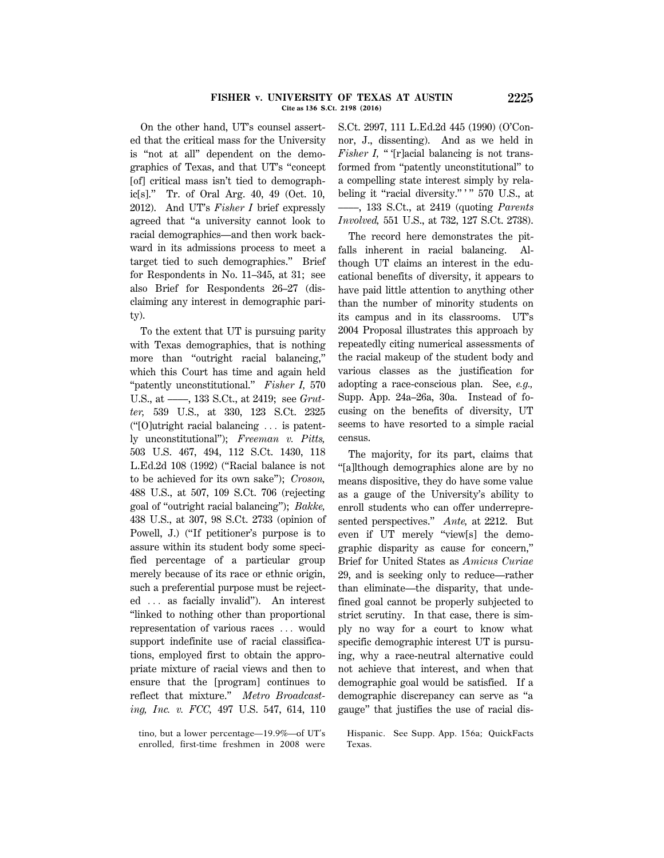#### **FISHER v. UNIVERSITY OF TEXAS AT AUSTIN 2225 Cite as 136 S.Ct. 2198 (2016)**

On the other hand, UT's counsel asserted that the critical mass for the University is ''not at all'' dependent on the demographics of Texas, and that UT's ''concept [of] critical mass isn't tied to demographic[s].'' Tr. of Oral Arg. 40, 49 (Oct. 10, 2012). And UT's *Fisher I* brief expressly agreed that ''a university cannot look to racial demographics—and then work backward in its admissions process to meet a target tied to such demographics.'' Brief for Respondents in No. 11–345, at 31; see also Brief for Respondents 26–27 (disclaiming any interest in demographic parity).

To the extent that UT is pursuing parity with Texas demographics, that is nothing more than ''outright racial balancing,'' which this Court has time and again held ''patently unconstitutional.'' *Fisher I,* 570 U.S., at ––––, 133 S.Ct., at 2419; see *Grutter,* 539 U.S., at 330, 123 S.Ct. 2325 ("[O]utright racial balancing  $\ldots$  is patently unconstitutional''); *Freeman v. Pitts,* 503 U.S. 467, 494, 112 S.Ct. 1430, 118 L.Ed.2d 108 (1992) (''Racial balance is not to be achieved for its own sake''); *Croson,* 488 U.S., at 507, 109 S.Ct. 706 (rejecting goal of ''outright racial balancing''); *Bakke,* 438 U.S., at 307, 98 S.Ct. 2733 (opinion of Powell, J.) (''If petitioner's purpose is to assure within its student body some specified percentage of a particular group merely because of its race or ethnic origin, such a preferential purpose must be rejected ... as facially invalid"). An interest ''linked to nothing other than proportional representation of various races ... would support indefinite use of racial classifications, employed first to obtain the appropriate mixture of racial views and then to ensure that the [program] continues to reflect that mixture.'' *Metro Broadcasting, Inc. v. FCC,* 497 U.S. 547, 614, 110

tino, but a lower percentage—19.9%—of UT's enrolled, first-time freshmen in 2008 were S.Ct. 2997, 111 L.Ed.2d 445 (1990) (O'Connor, J., dissenting). And as we held in *Fisher I,* "[r]acial balancing is not transformed from ''patently unconstitutional'' to a compelling state interest simply by relabeling it "racial diversity." '" 570 U.S., at ––––, 133 S.Ct., at 2419 (quoting *Parents Involved,* 551 U.S., at 732, 127 S.Ct. 2738).

The record here demonstrates the pitfalls inherent in racial balancing. Although UT claims an interest in the educational benefits of diversity, it appears to have paid little attention to anything other than the number of minority students on its campus and in its classrooms. UT's 2004 Proposal illustrates this approach by repeatedly citing numerical assessments of the racial makeup of the student body and various classes as the justification for adopting a race-conscious plan. See, *e.g.,* Supp. App. 24a–26a, 30a. Instead of focusing on the benefits of diversity, UT seems to have resorted to a simple racial census.

The majority, for its part, claims that ''[a]lthough demographics alone are by no means dispositive, they do have some value as a gauge of the University's ability to enroll students who can offer underrepresented perspectives.'' *Ante,* at 2212. But even if UT merely ''view[s] the demographic disparity as cause for concern,'' Brief for United States as *Amicus Curiae* 29, and is seeking only to reduce—rather than eliminate—the disparity, that undefined goal cannot be properly subjected to strict scrutiny. In that case, there is simply no way for a court to know what specific demographic interest UT is pursuing, why a race-neutral alternative could not achieve that interest, and when that demographic goal would be satisfied. If a demographic discrepancy can serve as ''a gauge'' that justifies the use of racial dis-

Hispanic. See Supp. App. 156a; QuickFacts Texas.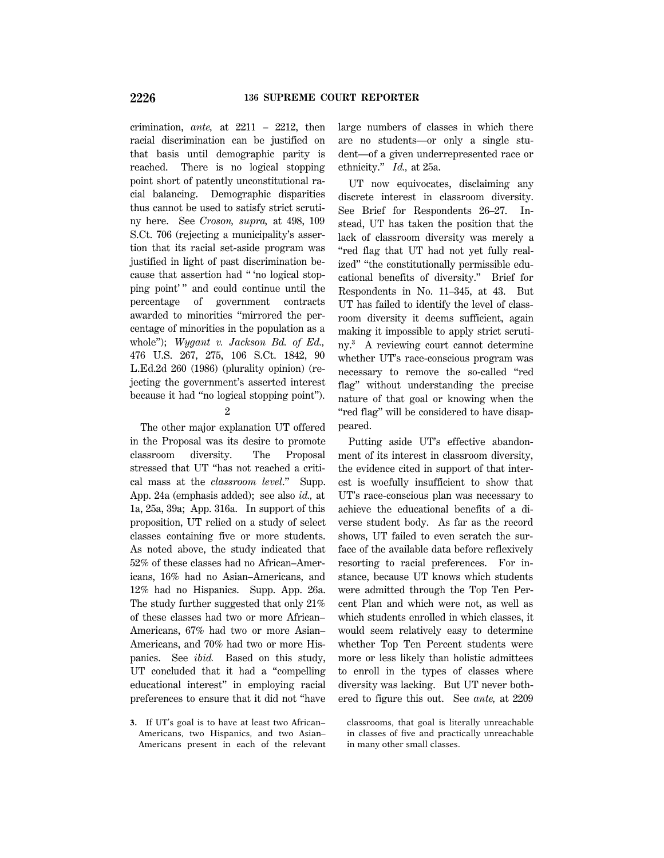crimination, *ante,* at 2211 – 2212, then racial discrimination can be justified on that basis until demographic parity is reached. There is no logical stopping point short of patently unconstitutional racial balancing. Demographic disparities thus cannot be used to satisfy strict scrutiny here. See *Croson, supra,* at 498, 109 S.Ct. 706 (rejecting a municipality's assertion that its racial set-aside program was justified in light of past discrimination because that assertion had '' 'no logical stopping point' '' and could continue until the percentage of government contracts awarded to minorities ''mirrored the percentage of minorities in the population as a whole''); *Wygant v. Jackson Bd. of Ed.,* 476 U.S. 267, 275, 106 S.Ct. 1842, 90 L.Ed.2d 260 (1986) (plurality opinion) (rejecting the government's asserted interest because it had ''no logical stopping point'').

## 2

The other major explanation UT offered in the Proposal was its desire to promote classroom diversity. The Proposal stressed that UT ''has not reached a critical mass at the *classroom level*.'' Supp. App. 24a (emphasis added); see also *id.,* at 1a, 25a, 39a; App. 316a. In support of this proposition, UT relied on a study of select classes containing five or more students. As noted above, the study indicated that 52% of these classes had no African–Americans, 16% had no Asian–Americans, and 12% had no Hispanics. Supp. App. 26a. The study further suggested that only 21% of these classes had two or more African– Americans, 67% had two or more Asian– Americans, and 70% had two or more Hispanics. See *ibid.* Based on this study, UT concluded that it had a ''compelling educational interest'' in employing racial preferences to ensure that it did not ''have

**3.** If UT's goal is to have at least two African– Americans, two Hispanics, and two Asian– Americans present in each of the relevant large numbers of classes in which there are no students—or only a single student—of a given underrepresented race or ethnicity.'' *Id.,* at 25a.

UT now equivocates, disclaiming any discrete interest in classroom diversity. See Brief for Respondents 26–27. Instead, UT has taken the position that the lack of classroom diversity was merely a "red flag that UT had not yet fully realized" "the constitutionally permissible educational benefits of diversity.'' Brief for Respondents in No. 11–345, at 43. But UT has failed to identify the level of classroom diversity it deems sufficient, again making it impossible to apply strict scrutiny.**<sup>3</sup>** A reviewing court cannot determine whether UT's race-conscious program was necessary to remove the so-called ''red flag'' without understanding the precise nature of that goal or knowing when the "red flag" will be considered to have disappeared.

Putting aside UT's effective abandonment of its interest in classroom diversity, the evidence cited in support of that interest is woefully insufficient to show that UT's race-conscious plan was necessary to achieve the educational benefits of a diverse student body. As far as the record shows, UT failed to even scratch the surface of the available data before reflexively resorting to racial preferences. For instance, because UT knows which students were admitted through the Top Ten Percent Plan and which were not, as well as which students enrolled in which classes, it would seem relatively easy to determine whether Top Ten Percent students were more or less likely than holistic admittees to enroll in the types of classes where diversity was lacking. But UT never bothered to figure this out. See *ante,* at 2209

classrooms, that goal is literally unreachable in classes of five and practically unreachable in many other small classes.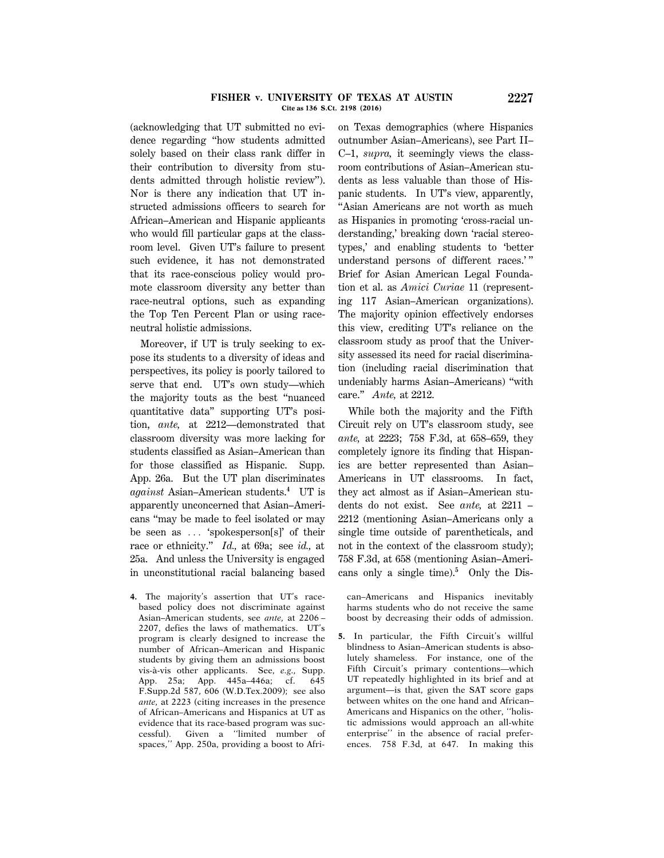#### **FISHER v. UNIVERSITY OF TEXAS AT AUSTIN 2227 Cite as 136 S.Ct. 2198 (2016)**

(acknowledging that UT submitted no evidence regarding ''how students admitted solely based on their class rank differ in their contribution to diversity from students admitted through holistic review''). Nor is there any indication that UT instructed admissions officers to search for African–American and Hispanic applicants who would fill particular gaps at the classroom level. Given UT's failure to present such evidence, it has not demonstrated that its race-conscious policy would promote classroom diversity any better than race-neutral options, such as expanding the Top Ten Percent Plan or using raceneutral holistic admissions.

Moreover, if UT is truly seeking to expose its students to a diversity of ideas and perspectives, its policy is poorly tailored to serve that end. UT's own study—which the majority touts as the best ''nuanced quantitative data'' supporting UT's position, *ante,* at 2212—demonstrated that classroom diversity was more lacking for students classified as Asian–American than for those classified as Hispanic. Supp. App. 26a. But the UT plan discriminates *against* Asian–American students.**<sup>4</sup>** UT is apparently unconcerned that Asian–Americans ''may be made to feel isolated or may be seen as  $\ldots$  'spokesperson[s]' of their race or ethnicity.'' *Id.,* at 69a; see *id.,* at 25a. And unless the University is engaged in unconstitutional racial balancing based

**4.** The majority's assertion that UT's racebased policy does not discriminate against Asian–American students, see *ante,* at 2206 – 2207, defies the laws of mathematics. UT's program is clearly designed to increase the number of African–American and Hispanic students by giving them an admissions boost vis-à-vis other applicants. See, e.g., Supp. App. 25a; App. 445a–446a; cf. 645 F.Supp.2d 587, 606 (W.D.Tex.2009); see also *ante,* at 2223 (citing increases in the presence of African–Americans and Hispanics at UT as evidence that its race-based program was successful). Given a ''limited number of spaces,'' App. 250a, providing a boost to Afrion Texas demographics (where Hispanics outnumber Asian–Americans), see Part II– C–1, *supra,* it seemingly views the classroom contributions of Asian–American students as less valuable than those of Hispanic students. In UT's view, apparently, ''Asian Americans are not worth as much as Hispanics in promoting 'cross-racial understanding,' breaking down 'racial stereotypes,' and enabling students to 'better understand persons of different races.' '' Brief for Asian American Legal Foundation et al. as *Amici Curiae* 11 (representing 117 Asian–American organizations). The majority opinion effectively endorses this view, crediting UT's reliance on the classroom study as proof that the University assessed its need for racial discrimination (including racial discrimination that undeniably harms Asian–Americans) ''with care.'' *Ante,* at 2212.

While both the majority and the Fifth Circuit rely on UT's classroom study, see *ante,* at 2223; 758 F.3d, at 658–659, they completely ignore its finding that Hispanics are better represented than Asian– Americans in UT classrooms. In fact, they act almost as if Asian–American students do not exist. See *ante,* at 2211 – 2212 (mentioning Asian–Americans only a single time outside of parentheticals, and not in the context of the classroom study); 758 F.3d, at 658 (mentioning Asian–Americans only a single time).**<sup>5</sup>** Only the Dis-

can–Americans and Hispanics inevitably harms students who do not receive the same boost by decreasing their odds of admission.

**5.** In particular, the Fifth Circuit's willful blindness to Asian–American students is absolutely shameless. For instance, one of the Fifth Circuit's primary contentions—which UT repeatedly highlighted in its brief and at argument—is that, given the SAT score gaps between whites on the one hand and African– Americans and Hispanics on the other, ''holistic admissions would approach an all-white enterprise'' in the absence of racial preferences. 758 F.3d, at 647. In making this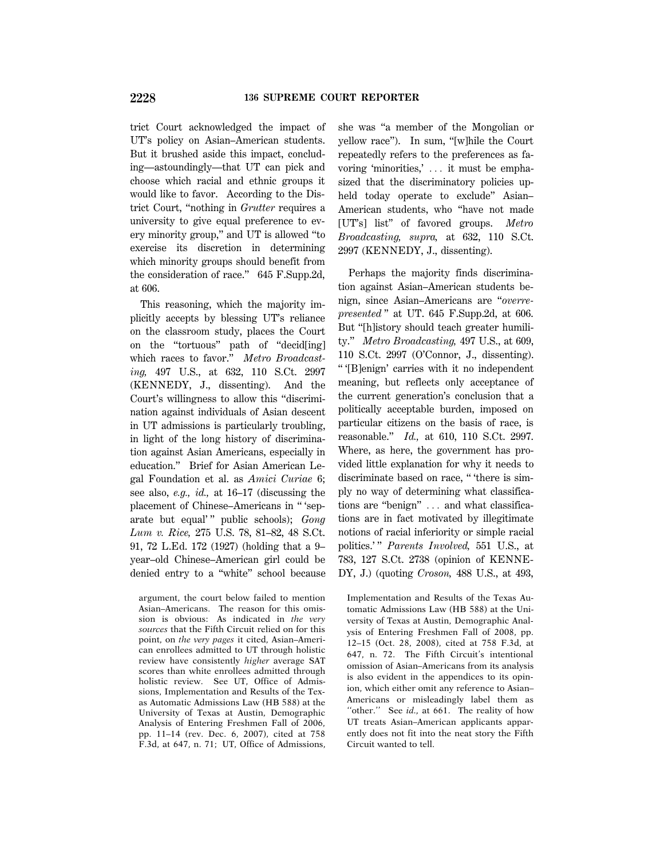trict Court acknowledged the impact of UT's policy on Asian–American students. But it brushed aside this impact, concluding—astoundingly—that UT can pick and choose which racial and ethnic groups it would like to favor. According to the District Court, ''nothing in *Grutter* requires a university to give equal preference to every minority group,'' and UT is allowed ''to exercise its discretion in determining which minority groups should benefit from the consideration of race.'' 645 F.Supp.2d, at 606.

This reasoning, which the majority implicitly accepts by blessing UT's reliance on the classroom study, places the Court on the ''tortuous'' path of ''decid[ing] which races to favor.'' *Metro Broadcasting,* 497 U.S., at 632, 110 S.Ct. 2997 (KENNEDY, J., dissenting). And the Court's willingness to allow this ''discrimination against individuals of Asian descent in UT admissions is particularly troubling, in light of the long history of discrimination against Asian Americans, especially in education.'' Brief for Asian American Legal Foundation et al. as *Amici Curiae* 6; see also, *e.g., id.,* at 16–17 (discussing the placement of Chinese–Americans in '' 'separate but equal' '' public schools); *Gong Lum v. Rice,* 275 U.S. 78, 81–82, 48 S.Ct. 91, 72 L.Ed. 172 (1927) (holding that a 9– year–old Chinese–American girl could be denied entry to a ''white'' school because she was ''a member of the Mongolian or yellow race''). In sum, ''[w]hile the Court repeatedly refers to the preferences as favoring 'minorities,'  $\ldots$  it must be emphasized that the discriminatory policies upheld today operate to exclude'' Asian– American students, who ''have not made [UT's] list'' of favored groups. *Metro Broadcasting, supra,* at 632, 110 S.Ct. 2997 (KENNEDY, J., dissenting).

Perhaps the majority finds discrimination against Asian–American students benign, since Asian–Americans are ''*overrepresented* '' at UT. 645 F.Supp.2d, at 606. But ''[h]istory should teach greater humility.'' *Metro Broadcasting,* 497 U.S., at 609, 110 S.Ct. 2997 (O'Connor, J., dissenting). '' '[B]enign' carries with it no independent meaning, but reflects only acceptance of the current generation's conclusion that a politically acceptable burden, imposed on particular citizens on the basis of race, is reasonable.'' *Id.,* at 610, 110 S.Ct. 2997. Where, as here, the government has provided little explanation for why it needs to discriminate based on race, "there is simply no way of determining what classifications are "benign" ... and what classifications are in fact motivated by illegitimate notions of racial inferiority or simple racial politics.' '' *Parents Involved,* 551 U.S., at 783, 127 S.Ct. 2738 (opinion of KENNE-DY, J.) (quoting *Croson,* 488 U.S., at 493,

Implementation and Results of the Texas Automatic Admissions Law (HB 588) at the University of Texas at Austin, Demographic Analysis of Entering Freshmen Fall of 2008, pp. 12–15 (Oct. 28, 2008), cited at 758 F.3d, at 647, n. 72. The Fifth Circuit's intentional omission of Asian–Americans from its analysis is also evident in the appendices to its opinion, which either omit any reference to Asian– Americans or misleadingly label them as "other." See *id.*, at 661. The reality of how UT treats Asian–American applicants apparently does not fit into the neat story the Fifth Circuit wanted to tell.

argument, the court below failed to mention Asian–Americans. The reason for this omission is obvious: As indicated in *the very sources* that the Fifth Circuit relied on for this point, on *the very pages* it cited, Asian–American enrollees admitted to UT through holistic review have consistently *higher* average SAT scores than white enrollees admitted through holistic review. See UT, Office of Admissions, Implementation and Results of the Texas Automatic Admissions Law (HB 588) at the University of Texas at Austin, Demographic Analysis of Entering Freshmen Fall of 2006, pp. 11–14 (rev. Dec. 6, 2007), cited at 758 F.3d, at 647, n. 71; UT, Office of Admissions,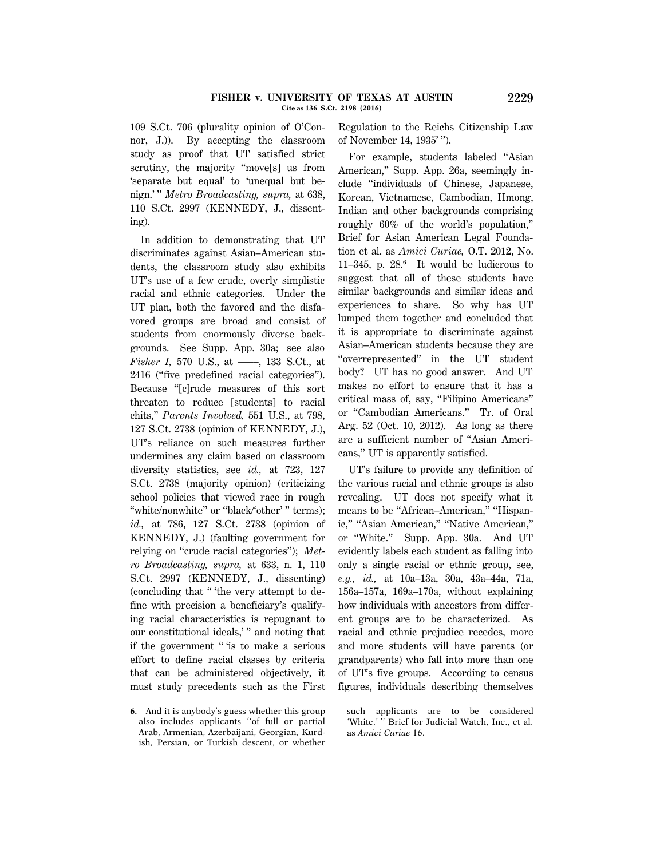### **FISHER v. UNIVERSITY OF TEXAS AT AUSTIN 2229 Cite as 136 S.Ct. 2198 (2016)**

109 S.Ct. 706 (plurality opinion of O'Connor, J.)). By accepting the classroom study as proof that UT satisfied strict scrutiny, the majority "move[s] us from 'separate but equal' to 'unequal but benign.' '' *Metro Broadcasting, supra,* at 638, 110 S.Ct. 2997 (KENNEDY, J., dissenting).

In addition to demonstrating that UT discriminates against Asian–American students, the classroom study also exhibits UT's use of a few crude, overly simplistic racial and ethnic categories. Under the UT plan, both the favored and the disfavored groups are broad and consist of students from enormously diverse backgrounds. See Supp. App. 30a; see also *Fisher I,* 570 U.S., at —, 133 S.Ct., at 2416 (''five predefined racial categories''). Because ''[c]rude measures of this sort threaten to reduce [students] to racial chits,'' *Parents Involved,* 551 U.S., at 798, 127 S.Ct. 2738 (opinion of KENNEDY, J.), UT's reliance on such measures further undermines any claim based on classroom diversity statistics, see *id.,* at 723, 127 S.Ct. 2738 (majority opinion) (criticizing school policies that viewed race in rough "white/nonwhite" or "black/'other' " terms); *id.,* at 786, 127 S.Ct. 2738 (opinion of KENNEDY, J.) (faulting government for relying on ''crude racial categories''); *Metro Broadcasting, supra,* at 633, n. 1, 110 S.Ct. 2997 (KENNEDY, J., dissenting) (concluding that '' 'the very attempt to define with precision a beneficiary's qualifying racial characteristics is repugnant to our constitutional ideals,' '' and noting that if the government '' 'is to make a serious effort to define racial classes by criteria that can be administered objectively, it must study precedents such as the First Regulation to the Reichs Citizenship Law of November 14, 1935' '').

For example, students labeled ''Asian American,'' Supp. App. 26a, seemingly include ''individuals of Chinese, Japanese, Korean, Vietnamese, Cambodian, Hmong, Indian and other backgrounds comprising roughly 60% of the world's population,'' Brief for Asian American Legal Foundation et al. as *Amici Curiae,* O.T. 2012, No. 11–345, p. 28.**<sup>6</sup>** It would be ludicrous to suggest that all of these students have similar backgrounds and similar ideas and experiences to share. So why has UT lumped them together and concluded that it is appropriate to discriminate against Asian–American students because they are "overrepresented" in the UT student body? UT has no good answer. And UT makes no effort to ensure that it has a critical mass of, say, ''Filipino Americans'' or ''Cambodian Americans.'' Tr. of Oral Arg. 52 (Oct. 10, 2012). As long as there are a sufficient number of ''Asian Americans,'' UT is apparently satisfied.

UT's failure to provide any definition of the various racial and ethnic groups is also revealing. UT does not specify what it means to be "African–American," "Hispanic," "Asian American," "Native American," or ''White.'' Supp. App. 30a. And UT evidently labels each student as falling into only a single racial or ethnic group, see, *e.g., id.,* at 10a–13a, 30a, 43a–44a, 71a, 156a–157a, 169a–170a, without explaining how individuals with ancestors from different groups are to be characterized. As racial and ethnic prejudice recedes, more and more students will have parents (or grandparents) who fall into more than one of UT's five groups. According to census figures, individuals describing themselves

**<sup>6.</sup>** And it is anybody's guess whether this group also includes applicants ''of full or partial Arab, Armenian, Azerbaijani, Georgian, Kurdish, Persian, or Turkish descent, or whether

such applicants are to be considered 'White.' '' Brief for Judicial Watch, Inc., et al. as *Amici Curiae* 16.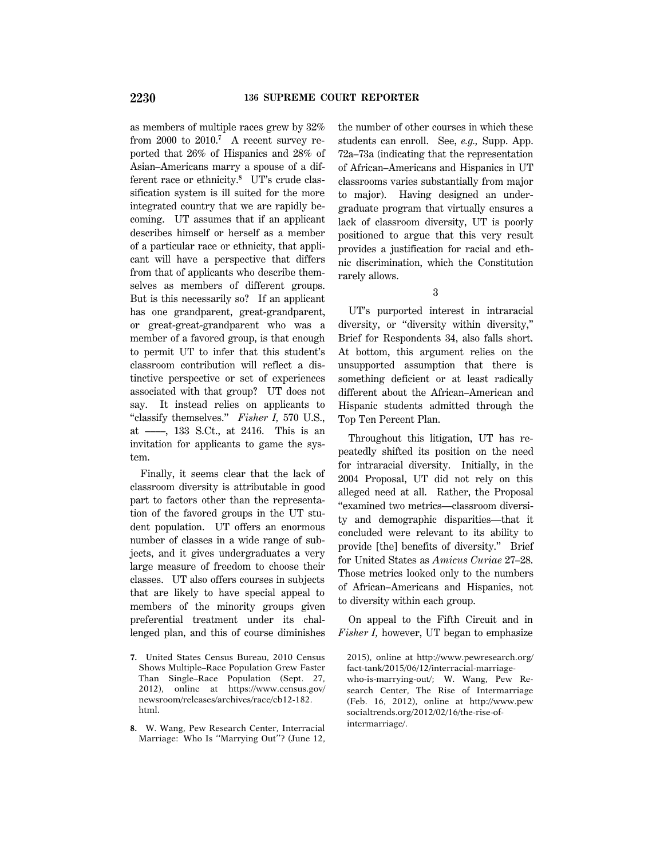as members of multiple races grew by 32% from 2000 to 2010.**<sup>7</sup>** A recent survey reported that 26% of Hispanics and 28% of Asian–Americans marry a spouse of a different race or ethnicity.**<sup>8</sup>** UT's crude classification system is ill suited for the more integrated country that we are rapidly becoming. UT assumes that if an applicant describes himself or herself as a member of a particular race or ethnicity, that applicant will have a perspective that differs from that of applicants who describe themselves as members of different groups. But is this necessarily so? If an applicant has one grandparent, great-grandparent, or great-great-grandparent who was a member of a favored group, is that enough to permit UT to infer that this student's classroom contribution will reflect a distinctive perspective or set of experiences associated with that group? UT does not say. It instead relies on applicants to ''classify themselves.'' *Fisher I,* 570 U.S., at ––––, 133 S.Ct., at 2416. This is an invitation for applicants to game the system.

Finally, it seems clear that the lack of classroom diversity is attributable in good part to factors other than the representation of the favored groups in the UT student population. UT offers an enormous number of classes in a wide range of subjects, and it gives undergraduates a very large measure of freedom to choose their classes. UT also offers courses in subjects that are likely to have special appeal to members of the minority groups given preferential treatment under its challenged plan, and this of course diminishes

- **7.** United States Census Bureau, 2010 Census Shows Multiple–Race Population Grew Faster Than Single–Race Population (Sept. 27, 2012), online at https://www.census.gov/ newsroom/releases/archives/race/cb12-182. html.
- **8.** W. Wang, Pew Research Center, Interracial Marriage: Who Is ''Marrying Out''? (June 12,

the number of other courses in which these students can enroll. See, *e.g.,* Supp. App. 72a–73a (indicating that the representation of African–Americans and Hispanics in UT classrooms varies substantially from major to major). Having designed an undergraduate program that virtually ensures a lack of classroom diversity, UT is poorly positioned to argue that this very result provides a justification for racial and ethnic discrimination, which the Constitution rarely allows.

3

UT's purported interest in intraracial diversity, or ''diversity within diversity,'' Brief for Respondents 34, also falls short. At bottom, this argument relies on the unsupported assumption that there is something deficient or at least radically different about the African–American and Hispanic students admitted through the Top Ten Percent Plan.

Throughout this litigation, UT has repeatedly shifted its position on the need for intraracial diversity. Initially, in the 2004 Proposal, UT did not rely on this alleged need at all. Rather, the Proposal ''examined two metrics—classroom diversity and demographic disparities—that it concluded were relevant to its ability to provide [the] benefits of diversity.'' Brief for United States as *Amicus Curiae* 27–28. Those metrics looked only to the numbers of African–Americans and Hispanics, not to diversity within each group.

On appeal to the Fifth Circuit and in *Fisher I,* however, UT began to emphasize

<sup>2015),</sup> online at http://www.pewresearch.org/ fact-tank/2015/06/12/interracial-marriagewho-is-marrying-out/; W. Wang, Pew Research Center, The Rise of Intermarriage (Feb. 16, 2012), online at http://www.pew socialtrends.org/2012/02/16/the-rise-ofintermarriage/.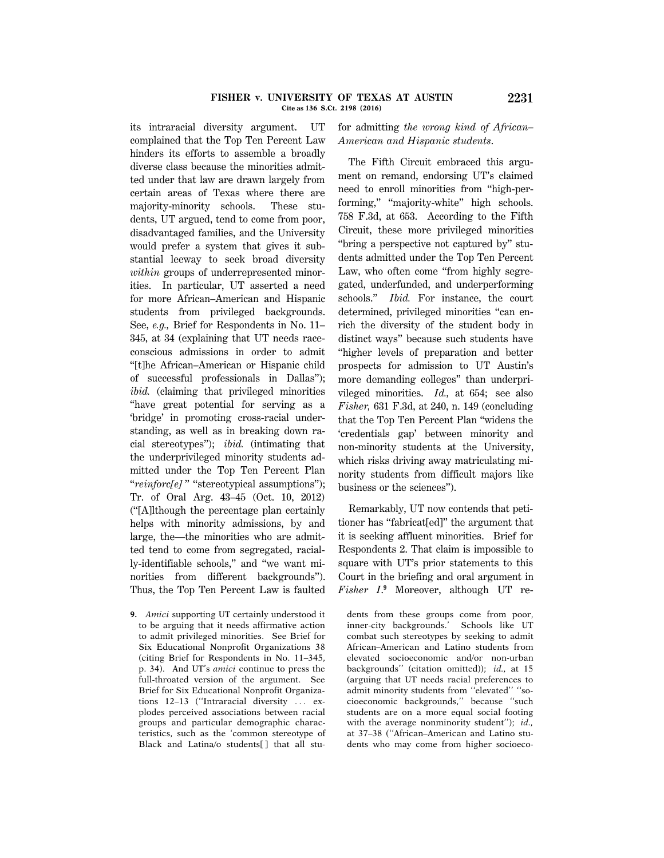### **FISHER v. UNIVERSITY OF TEXAS AT AUSTIN 2231 Cite as 136 S.Ct. 2198 (2016)**

its intraracial diversity argument. UT complained that the Top Ten Percent Law hinders its efforts to assemble a broadly diverse class because the minorities admitted under that law are drawn largely from certain areas of Texas where there are majority-minority schools. These students, UT argued, tend to come from poor, disadvantaged families, and the University would prefer a system that gives it substantial leeway to seek broad diversity *within* groups of underrepresented minorities. In particular, UT asserted a need for more African–American and Hispanic students from privileged backgrounds. See, *e.g.,* Brief for Respondents in No. 11– 345, at 34 (explaining that UT needs raceconscious admissions in order to admit ''[t]he African–American or Hispanic child of successful professionals in Dallas''); *ibid.* (claiming that privileged minorities ''have great potential for serving as a 'bridge' in promoting cross-racial understanding, as well as in breaking down racial stereotypes''); *ibid.* (intimating that the underprivileged minority students admitted under the Top Ten Percent Plan "*reinforc[e]*" "stereotypical assumptions"); Tr. of Oral Arg. 43–45 (Oct. 10, 2012) (''[A]lthough the percentage plan certainly helps with minority admissions, by and large, the—the minorities who are admitted tend to come from segregated, racially-identifiable schools,'' and ''we want minorities from different backgrounds''). Thus, the Top Ten Percent Law is faulted

**9.** *Amici* supporting UT certainly understood it to be arguing that it needs affirmative action to admit privileged minorities. See Brief for Six Educational Nonprofit Organizations 38 (citing Brief for Respondents in No. 11–345, p. 34). And UT's *amici* continue to press the full-throated version of the argument. See Brief for Six Educational Nonprofit Organizations  $12-13$  ("Intraracial diversity  $\ldots$  explodes perceived associations between racial groups and particular demographic characteristics, such as the 'common stereotype of Black and Latina/o students[ ] that all stufor admitting *the wrong kind of African– American and Hispanic students*.

The Fifth Circuit embraced this argument on remand, endorsing UT's claimed need to enroll minorities from ''high-performing," "majority-white" high schools. 758 F.3d, at 653. According to the Fifth Circuit, these more privileged minorities ''bring a perspective not captured by'' students admitted under the Top Ten Percent Law, who often come "from highly segregated, underfunded, and underperforming schools.'' *Ibid.* For instance, the court determined, privileged minorities ''can enrich the diversity of the student body in distinct ways'' because such students have ''higher levels of preparation and better prospects for admission to UT Austin's more demanding colleges'' than underprivileged minorities. *Id.,* at 654; see also *Fisher,* 631 F.3d, at 240, n. 149 (concluding that the Top Ten Percent Plan ''widens the 'credentials gap' between minority and non-minority students at the University, which risks driving away matriculating minority students from difficult majors like business or the sciences'').

Remarkably, UT now contends that petitioner has ''fabricat[ed]'' the argument that it is seeking affluent minorities. Brief for Respondents 2. That claim is impossible to square with UT's prior statements to this Court in the briefing and oral argument in *Fisher I*. **9** Moreover, although UT re-

dents from these groups come from poor, inner-city backgrounds.' Schools like UT combat such stereotypes by seeking to admit African–American and Latino students from elevated socioeconomic and/or non-urban backgrounds'' (citation omitted)); *id.,* at 15 (arguing that UT needs racial preferences to admit minority students from ''elevated'' ''socioeconomic backgrounds,'' because ''such students are on a more equal social footing with the average nonminority student''); *id.,* at 37–38 (''African–American and Latino students who may come from higher socioeco-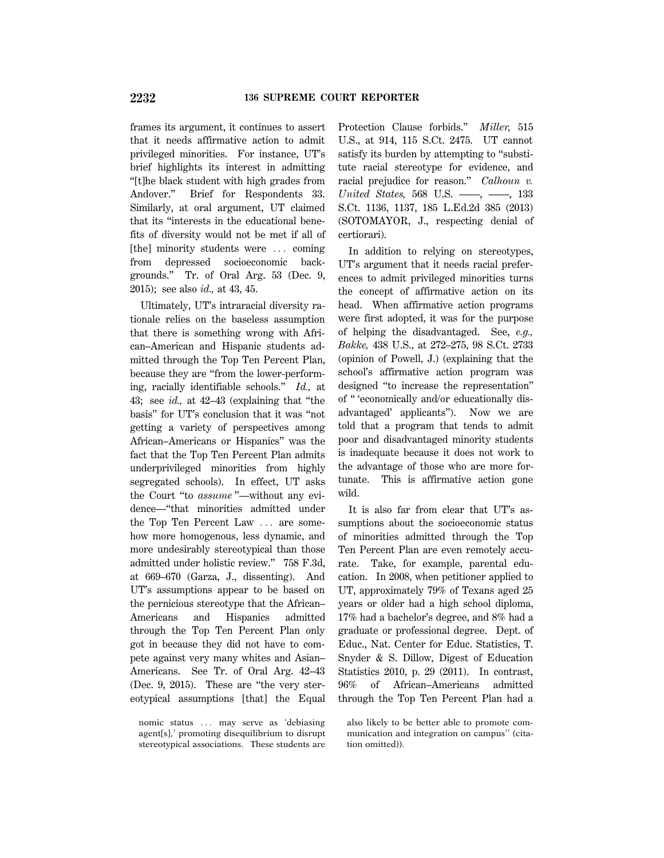frames its argument, it continues to assert that it needs affirmative action to admit privileged minorities. For instance, UT's brief highlights its interest in admitting ''[t]he black student with high grades from Andover.'' Brief for Respondents 33. Similarly, at oral argument, UT claimed that its ''interests in the educational benefits of diversity would not be met if all of [the] minority students were  $\ldots$  coming from depressed socioeconomic backgrounds.'' Tr. of Oral Arg. 53 (Dec. 9, 2015); see also *id.,* at 43, 45.

Ultimately, UT's intraracial diversity rationale relies on the baseless assumption that there is something wrong with African–American and Hispanic students admitted through the Top Ten Percent Plan, because they are ''from the lower-performing, racially identifiable schools.'' *Id.,* at 43; see *id.,* at 42–43 (explaining that ''the basis'' for UT's conclusion that it was ''not getting a variety of perspectives among African–Americans or Hispanics'' was the fact that the Top Ten Percent Plan admits underprivileged minorities from highly segregated schools). In effect, UT asks the Court "to *assume* "-without any evidence—''that minorities admitted under the Top Ten Percent Law  $\ldots$  are somehow more homogenous, less dynamic, and more undesirably stereotypical than those admitted under holistic review.'' 758 F.3d, at 669–670 (Garza, J., dissenting). And UT's assumptions appear to be based on the pernicious stereotype that the African– Americans and Hispanics admitted through the Top Ten Percent Plan only got in because they did not have to compete against very many whites and Asian– Americans. See Tr. of Oral Arg. 42–43 (Dec. 9, 2015). These are ''the very stereotypical assumptions [that] the Equal

nomic status ... may serve as 'debiasing agent[s],' promoting disequilibrium to disrupt stereotypical associations. These students are Protection Clause forbids.'' *Miller,* 515 U.S., at 914, 115 S.Ct. 2475. UT cannot satisfy its burden by attempting to "substitute racial stereotype for evidence, and racial prejudice for reason.'' *Calhoun v. United States,* 568 U.S. ––––, ––––, 133 S.Ct. 1136, 1137, 185 L.Ed.2d 385 (2013) (SOTOMAYOR, J., respecting denial of certiorari).

In addition to relying on stereotypes, UT's argument that it needs racial preferences to admit privileged minorities turns the concept of affirmative action on its head. When affirmative action programs were first adopted, it was for the purpose of helping the disadvantaged. See, *e.g., Bakke,* 438 U.S., at 272–275, 98 S.Ct. 2733 (opinion of Powell, J.) (explaining that the school's affirmative action program was designed ''to increase the representation'' of '' 'economically and/or educationally disadvantaged' applicants''). Now we are told that a program that tends to admit poor and disadvantaged minority students is inadequate because it does not work to the advantage of those who are more fortunate. This is affirmative action gone wild.

It is also far from clear that UT's assumptions about the socioeconomic status of minorities admitted through the Top Ten Percent Plan are even remotely accurate. Take, for example, parental education. In 2008, when petitioner applied to UT, approximately 79% of Texans aged 25 years or older had a high school diploma, 17% had a bachelor's degree, and 8% had a graduate or professional degree. Dept. of Educ., Nat. Center for Educ. Statistics, T. Snyder & S. Dillow, Digest of Education Statistics 2010, p. 29 (2011). In contrast, 96% of African–Americans admitted through the Top Ten Percent Plan had a

also likely to be better able to promote communication and integration on campus'' (citation omitted)).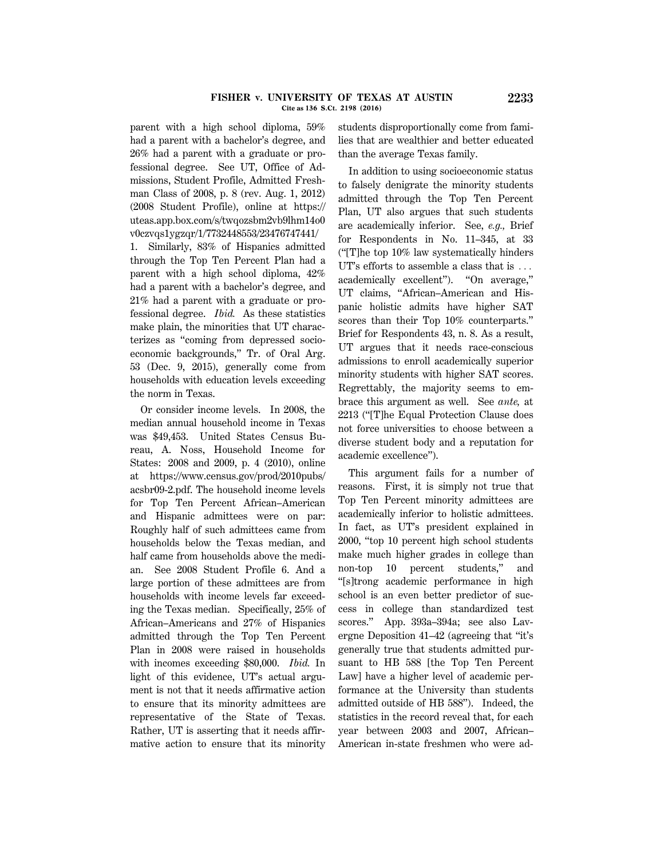### **FISHER v. UNIVERSITY OF TEXAS AT AUSTIN 2233 Cite as 136 S.Ct. 2198 (2016)**

parent with a high school diploma, 59% had a parent with a bachelor's degree, and 26% had a parent with a graduate or professional degree. See UT, Office of Admissions, Student Profile, Admitted Freshman Class of 2008, p. 8 (rev. Aug. 1, 2012) (2008 Student Profile), online at https:// uteas.app.box.com/s/twqozsbm2vb9lhm14o0 v0czvqs1ygzqr/1/7732448553/23476747441/

1. Similarly, 83% of Hispanics admitted through the Top Ten Percent Plan had a parent with a high school diploma, 42% had a parent with a bachelor's degree, and 21% had a parent with a graduate or professional degree. *Ibid.* As these statistics make plain, the minorities that UT characterizes as ''coming from depressed socioeconomic backgrounds,'' Tr. of Oral Arg. 53 (Dec. 9, 2015), generally come from households with education levels exceeding the norm in Texas.

Or consider income levels. In 2008, the median annual household income in Texas was \$49,453. United States Census Bureau, A. Noss, Household Income for States: 2008 and 2009, p. 4 (2010), online at https://www.census.gov/prod/2010pubs/ acsbr09-2.pdf. The household income levels for Top Ten Percent African–American and Hispanic admittees were on par: Roughly half of such admittees came from households below the Texas median, and half came from households above the median. See 2008 Student Profile 6. And a large portion of these admittees are from households with income levels far exceeding the Texas median. Specifically, 25% of African–Americans and 27% of Hispanics admitted through the Top Ten Percent Plan in 2008 were raised in households with incomes exceeding \$80,000. *Ibid.* In light of this evidence, UT's actual argument is not that it needs affirmative action to ensure that its minority admittees are representative of the State of Texas. Rather, UT is asserting that it needs affirmative action to ensure that its minority students disproportionally come from families that are wealthier and better educated than the average Texas family.

In addition to using socioeconomic status to falsely denigrate the minority students admitted through the Top Ten Percent Plan, UT also argues that such students are academically inferior. See, *e.g.,* Brief for Respondents in No. 11–345, at 33 (''[T]he top 10% law systematically hinders UT's efforts to assemble a class that is  $\ldots$ academically excellent''). ''On average,'' UT claims, ''African–American and Hispanic holistic admits have higher SAT scores than their Top 10% counterparts.'' Brief for Respondents 43, n. 8. As a result, UT argues that it needs race-conscious admissions to enroll academically superior minority students with higher SAT scores. Regrettably, the majority seems to embrace this argument as well. See *ante,* at 2213 (''[T]he Equal Protection Clause does not force universities to choose between a diverse student body and a reputation for academic excellence'').

This argument fails for a number of reasons. First, it is simply not true that Top Ten Percent minority admittees are academically inferior to holistic admittees. In fact, as UT's president explained in 2000, ''top 10 percent high school students make much higher grades in college than non-top 10 percent students,'' and ''[s]trong academic performance in high school is an even better predictor of success in college than standardized test scores.'' App. 393a–394a; see also Lavergne Deposition 41–42 (agreeing that ''it's generally true that students admitted pursuant to HB 588 [the Top Ten Percent Law] have a higher level of academic performance at the University than students admitted outside of HB 588''). Indeed, the statistics in the record reveal that, for each year between 2003 and 2007, African– American in-state freshmen who were ad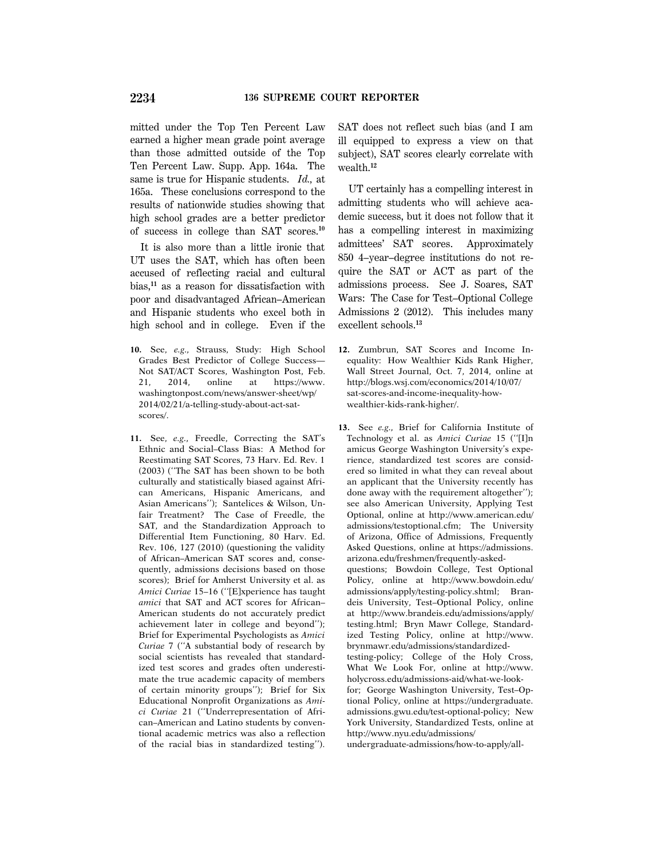mitted under the Top Ten Percent Law earned a higher mean grade point average than those admitted outside of the Top Ten Percent Law. Supp. App. 164a. The same is true for Hispanic students. *Id.,* at 165a. These conclusions correspond to the results of nationwide studies showing that high school grades are a better predictor of success in college than SAT scores.**<sup>10</sup>**

It is also more than a little ironic that UT uses the SAT, which has often been accused of reflecting racial and cultural bias,**<sup>11</sup>** as a reason for dissatisfaction with poor and disadvantaged African–American and Hispanic students who excel both in high school and in college. Even if the

- **10.** See, *e.g.,* Strauss, Study: High School Grades Best Predictor of College Success— Not SAT/ACT Scores, Washington Post, Feb. 21, 2014, online at https://www. washingtonpost.com/news/answer-sheet/wp/ 2014/02/21/a-telling-study-about-act-satscores/.
- **11.** See, *e.g.,* Freedle, Correcting the SAT's Ethnic and Social–Class Bias: A Method for Reestimating SAT Scores, 73 Harv. Ed. Rev. 1 (2003) (''The SAT has been shown to be both culturally and statistically biased against African Americans, Hispanic Americans, and Asian Americans''); Santelices & Wilson, Unfair Treatment? The Case of Freedle, the SAT, and the Standardization Approach to Differential Item Functioning, 80 Harv. Ed. Rev. 106, 127 (2010) (questioning the validity of African–American SAT scores and, consequently, admissions decisions based on those scores); Brief for Amherst University et al. as *Amici Curiae* 15–16 (''[E]xperience has taught *amici* that SAT and ACT scores for African– American students do not accurately predict achievement later in college and beyond''); Brief for Experimental Psychologists as *Amici Curiae* 7 (''A substantial body of research by social scientists has revealed that standardized test scores and grades often underestimate the true academic capacity of members of certain minority groups''); Brief for Six Educational Nonprofit Organizations as *Amici Curiae* 21 (''Underrepresentation of African–American and Latino students by conventional academic metrics was also a reflection of the racial bias in standardized testing'').

SAT does not reflect such bias (and I am ill equipped to express a view on that subject), SAT scores clearly correlate with wealth.**<sup>12</sup>**

UT certainly has a compelling interest in admitting students who will achieve academic success, but it does not follow that it has a compelling interest in maximizing admittees' SAT scores. Approximately 850 4–year–degree institutions do not require the SAT or ACT as part of the admissions process. See J. Soares, SAT Wars: The Case for Test–Optional College Admissions 2 (2012). This includes many excellent schools.**<sup>13</sup>**

- **12.** Zumbrun, SAT Scores and Income Inequality: How Wealthier Kids Rank Higher, Wall Street Journal, Oct. 7, 2014, online at http://blogs.wsj.com/economics/2014/10/07/ sat-scores-and-income-inequality-howwealthier-kids-rank-higher/.
- **13.** See *e.g.,* Brief for California Institute of Technology et al. as *Amici Curiae* 15 (''[I]n amicus George Washington University's experience, standardized test scores are considered so limited in what they can reveal about an applicant that the University recently has done away with the requirement altogether''); see also American University, Applying Test Optional, online at http://www.american.edu/ admissions/testoptional.cfm; The University of Arizona, Office of Admissions, Frequently Asked Questions, online at https://admissions. arizona.edu/freshmen/frequently-askedquestions; Bowdoin College, Test Optional Policy, online at http://www.bowdoin.edu/ admissions/apply/testing-policy.shtml; Brandeis University, Test–Optional Policy, online at http://www.brandeis.edu/admissions/apply/ testing.html; Bryn Mawr College, Standardized Testing Policy, online at http://www. brynmawr.edu/admissions/standardizedtesting-policy; College of the Holy Cross, What We Look For, online at http://www. holycross.edu/admissions-aid/what-we-lookfor; George Washington University, Test–Optional Policy, online at https://undergraduate. admissions.gwu.edu/test-optional-policy; New York University, Standardized Tests, online at http://www.nyu.edu/admissions/ undergraduate-admissions/how-to-apply/all-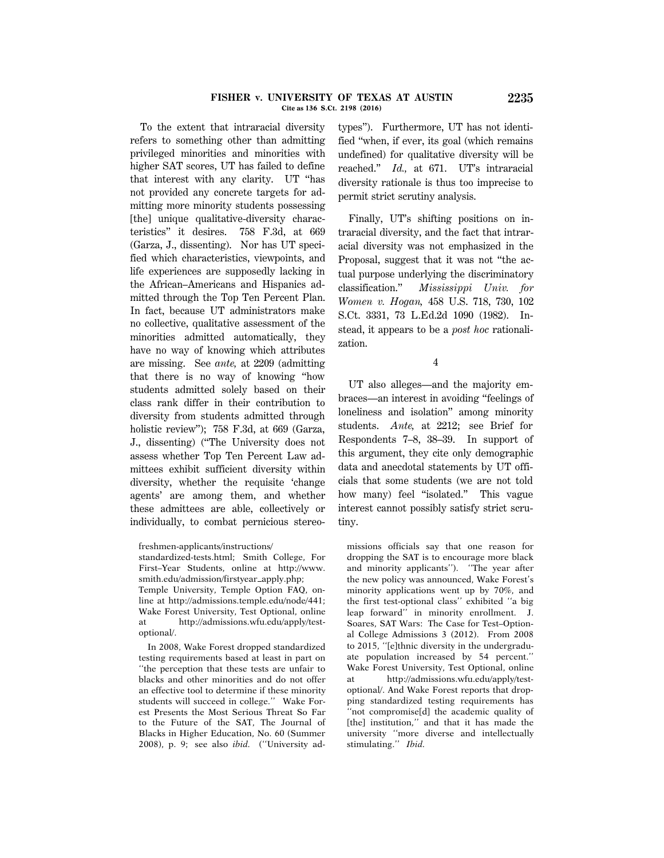### **FISHER v. UNIVERSITY OF TEXAS AT AUSTIN 2235 Cite as 136 S.Ct. 2198 (2016)**

To the extent that intraracial diversity refers to something other than admitting privileged minorities and minorities with higher SAT scores, UT has failed to define that interest with any clarity. UT ''has not provided any concrete targets for admitting more minority students possessing [the] unique qualitative-diversity characteristics'' it desires. 758 F.3d, at 669 (Garza, J., dissenting). Nor has UT specified which characteristics, viewpoints, and life experiences are supposedly lacking in the African–Americans and Hispanics admitted through the Top Ten Percent Plan. In fact, because UT administrators make no collective, qualitative assessment of the minorities admitted automatically, they have no way of knowing which attributes are missing. See *ante,* at 2209 (admitting that there is no way of knowing ''how students admitted solely based on their class rank differ in their contribution to diversity from students admitted through holistic review''); 758 F.3d, at 669 (Garza, J., dissenting) (''The University does not assess whether Top Ten Percent Law admittees exhibit sufficient diversity within diversity, whether the requisite 'change agents' are among them, and whether these admittees are able, collectively or individually, to combat pernicious stereo-

In 2008, Wake Forest dropped standardized testing requirements based at least in part on ''the perception that these tests are unfair to blacks and other minorities and do not offer an effective tool to determine if these minority students will succeed in college.'' Wake Forest Presents the Most Serious Threat So Far to the Future of the SAT, The Journal of Blacks in Higher Education, No. 60 (Summer 2008), p. 9; see also *ibid.* (''University adtypes''). Furthermore, UT has not identified ''when, if ever, its goal (which remains undefined) for qualitative diversity will be reached.'' *Id.,* at 671. UT's intraracial diversity rationale is thus too imprecise to permit strict scrutiny analysis.

Finally, UT's shifting positions on intraracial diversity, and the fact that intraracial diversity was not emphasized in the Proposal, suggest that it was not ''the actual purpose underlying the discriminatory classification.'' *Mississippi Univ. for Women v. Hogan,* 458 U.S. 718, 730, 102 S.Ct. 3331, 73 L.Ed.2d 1090 (1982). Instead, it appears to be a *post hoc* rationalization.

4

UT also alleges—and the majority embraces—an interest in avoiding ''feelings of loneliness and isolation'' among minority students. *Ante,* at 2212; see Brief for Respondents 7–8, 38–39. In support of this argument, they cite only demographic data and anecdotal statements by UT officials that some students (we are not told how many) feel "isolated." This vague interest cannot possibly satisfy strict scrutiny.

missions officials say that one reason for dropping the SAT is to encourage more black and minority applicants''). ''The year after the new policy was announced, Wake Forest's minority applications went up by 70%, and the first test-optional class'' exhibited ''a big leap forward'' in minority enrollment. J. Soares, SAT Wars: The Case for Test–Optional College Admissions 3 (2012). From 2008 to 2015, ''[e]thnic diversity in the undergraduate population increased by 54 percent.'' Wake Forest University, Test Optional, online at http://admissions.wfu.edu/apply/testoptional/. And Wake Forest reports that dropping standardized testing requirements has ''not compromise[d] the academic quality of [the] institution,'' and that it has made the university ''more diverse and intellectually stimulating.'' *Ibid.*

freshmen-applicants/instructions/

standardized-tests.html; Smith College, For First–Year Students, online at http://www. smith.edu/admission/firstyear\_apply.php; Temple University, Temple Option FAQ, online at http://admissions.temple.edu/node/441; Wake Forest University, Test Optional, online at http://admissions.wfu.edu/apply/testoptional/.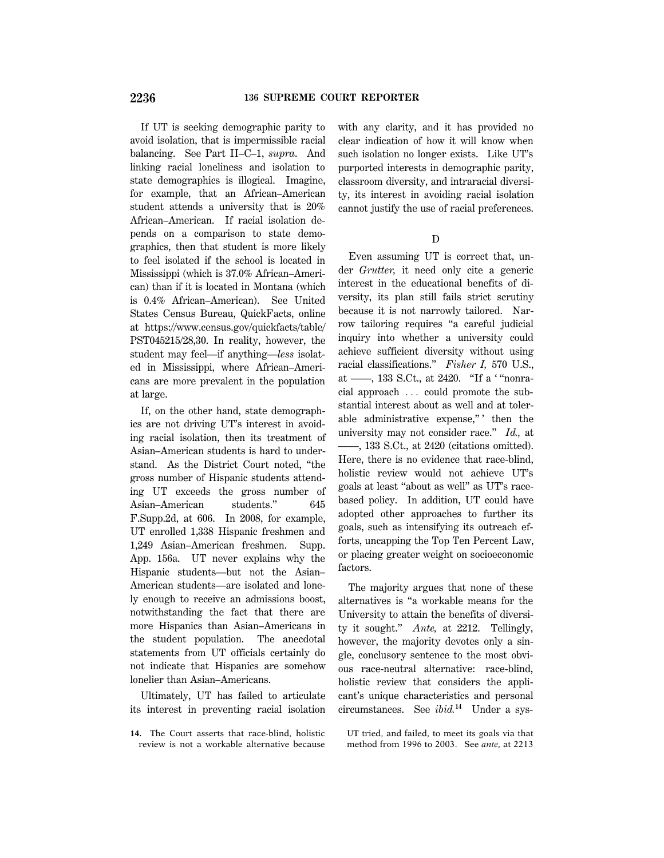If UT is seeking demographic parity to avoid isolation, that is impermissible racial balancing. See Part II–C–1, *supra*. And linking racial loneliness and isolation to state demographics is illogical. Imagine, for example, that an African–American student attends a university that is 20% African–American. If racial isolation depends on a comparison to state demographics, then that student is more likely to feel isolated if the school is located in Mississippi (which is 37.0% African–American) than if it is located in Montana (which is 0.4% African–American). See United States Census Bureau, QuickFacts, online at https://www.census.gov/quickfacts/table/ PST045215/28,30. In reality, however, the student may feel—if anything—*less* isolated in Mississippi, where African–Americans are more prevalent in the population at large.

If, on the other hand, state demographics are not driving UT's interest in avoiding racial isolation, then its treatment of Asian–American students is hard to understand. As the District Court noted, ''the gross number of Hispanic students attending UT exceeds the gross number of Asian–American students.'' 645 F.Supp.2d, at 606. In 2008, for example, UT enrolled 1,338 Hispanic freshmen and 1,249 Asian–American freshmen. Supp. App. 156a. UT never explains why the Hispanic students—but not the Asian– American students—are isolated and lonely enough to receive an admissions boost, notwithstanding the fact that there are more Hispanics than Asian–Americans in the student population. The anecdotal statements from UT officials certainly do not indicate that Hispanics are somehow lonelier than Asian–Americans.

Ultimately, UT has failed to articulate its interest in preventing racial isolation with any clarity, and it has provided no clear indication of how it will know when such isolation no longer exists. Like UT's purported interests in demographic parity, classroom diversity, and intraracial diversity, its interest in avoiding racial isolation cannot justify the use of racial preferences.

# D

Even assuming UT is correct that, under *Grutter,* it need only cite a generic interest in the educational benefits of diversity, its plan still fails strict scrutiny because it is not narrowly tailored. Narrow tailoring requires ''a careful judicial inquiry into whether a university could achieve sufficient diversity without using racial classifications.'' *Fisher I,* 570 U.S., at —–, 133 S.Ct., at 2420. "If a '"nonra $cial$  approach  $\ldots$  could promote the substantial interest about as well and at tolerable administrative expense," then the university may not consider race.'' *Id.,* at ––––, 133 S.Ct., at 2420 (citations omitted). Here, there is no evidence that race-blind, holistic review would not achieve UT's goals at least ''about as well'' as UT's racebased policy. In addition, UT could have adopted other approaches to further its goals, such as intensifying its outreach efforts, uncapping the Top Ten Percent Law, or placing greater weight on socioeconomic factors.

The majority argues that none of these alternatives is ''a workable means for the University to attain the benefits of diversity it sought.'' *Ante,* at 2212. Tellingly, however, the majority devotes only a single, conclusory sentence to the most obvious race-neutral alternative: race-blind, holistic review that considers the applicant's unique characteristics and personal circumstances. See *ibid.***14** Under a sys-

UT tried, and failed, to meet its goals via that method from 1996 to 2003. See *ante,* at 2213

**<sup>14.</sup>** The Court asserts that race-blind, holistic review is not a workable alternative because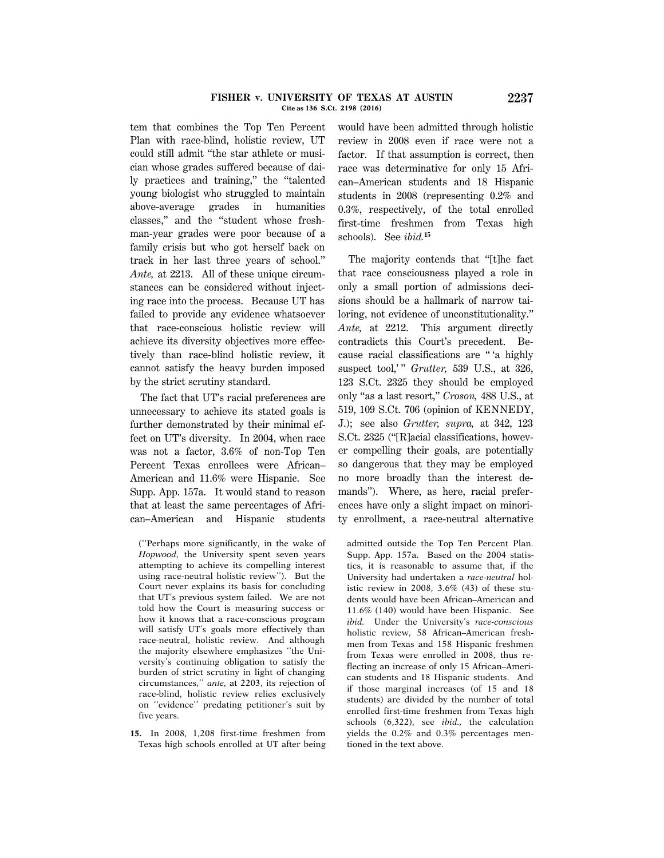#### **FISHER v. UNIVERSITY OF TEXAS AT AUSTIN 2237 Cite as 136 S.Ct. 2198 (2016)**

tem that combines the Top Ten Percent Plan with race-blind, holistic review, UT could still admit ''the star athlete or musician whose grades suffered because of daily practices and training,'' the ''talented young biologist who struggled to maintain above-average grades in humanities classes,'' and the ''student whose freshman-year grades were poor because of a family crisis but who got herself back on track in her last three years of school.'' *Ante,* at 2213. All of these unique circumstances can be considered without injecting race into the process. Because UT has failed to provide any evidence whatsoever that race-conscious holistic review will achieve its diversity objectives more effectively than race-blind holistic review, it cannot satisfy the heavy burden imposed by the strict scrutiny standard.

The fact that UT's racial preferences are unnecessary to achieve its stated goals is further demonstrated by their minimal effect on UT's diversity. In 2004, when race was not a factor, 3.6% of non-Top Ten Percent Texas enrollees were African– American and 11.6% were Hispanic. See Supp. App. 157a. It would stand to reason that at least the same percentages of African–American and Hispanic students

(''Perhaps more significantly, in the wake of *Hopwood,* the University spent seven years attempting to achieve its compelling interest using race-neutral holistic review''). But the Court never explains its basis for concluding that UT's previous system failed. We are not told how the Court is measuring success or how it knows that a race-conscious program will satisfy UT's goals more effectively than race-neutral, holistic review. And although the majority elsewhere emphasizes ''the University's continuing obligation to satisfy the burden of strict scrutiny in light of changing circumstances,'' *ante,* at 2203, its rejection of race-blind, holistic review relies exclusively on ''evidence'' predating petitioner's suit by five years.

**15.** In 2008, 1,208 first-time freshmen from Texas high schools enrolled at UT after being would have been admitted through holistic review in 2008 even if race were not a factor. If that assumption is correct, then race was determinative for only 15 African–American students and 18 Hispanic students in 2008 (representing 0.2% and 0.3%, respectively, of the total enrolled first-time freshmen from Texas high schools). See *ibid.***<sup>15</sup>**

The majority contends that "[t]he fact that race consciousness played a role in only a small portion of admissions decisions should be a hallmark of narrow tailoring, not evidence of unconstitutionality.'' *Ante,* at 2212. This argument directly contradicts this Court's precedent. Because racial classifications are '' 'a highly suspect tool,'" *Grutter*, 539 U.S., at 326, 123 S.Ct. 2325 they should be employed only ''as a last resort,'' *Croson,* 488 U.S., at 519, 109 S.Ct. 706 (opinion of KENNEDY, J.); see also *Grutter, supra,* at 342, 123 S.Ct. 2325 (''[R]acial classifications, however compelling their goals, are potentially so dangerous that they may be employed no more broadly than the interest demands''). Where, as here, racial preferences have only a slight impact on minority enrollment, a race-neutral alternative

admitted outside the Top Ten Percent Plan. Supp. App. 157a. Based on the 2004 statistics, it is reasonable to assume that, if the University had undertaken a *race-neutral* holistic review in 2008, 3.6% (43) of these students would have been African–American and 11.6% (140) would have been Hispanic. See *ibid.* Under the University's *race-conscious* holistic review, 58 African–American freshmen from Texas and 158 Hispanic freshmen from Texas were enrolled in 2008, thus reflecting an increase of only 15 African–American students and 18 Hispanic students. And if those marginal increases (of 15 and 18 students) are divided by the number of total enrolled first-time freshmen from Texas high schools (6,322), see *ibid.,* the calculation yields the 0.2% and 0.3% percentages mentioned in the text above.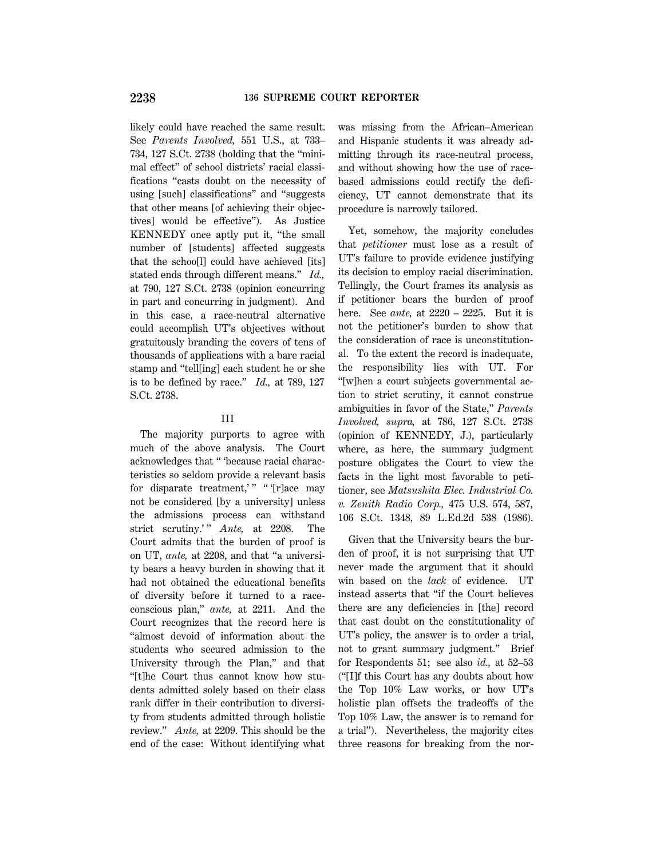likely could have reached the same result. See *Parents Involved,* 551 U.S., at 733– 734, 127 S.Ct. 2738 (holding that the ''minimal effect'' of school districts' racial classifications ''casts doubt on the necessity of using [such] classifications'' and ''suggests that other means [of achieving their objectives] would be effective''). As Justice KENNEDY once aptly put it, ''the small number of [students] affected suggests that the schoo[l] could have achieved [its] stated ends through different means.'' *Id.,* at 790, 127 S.Ct. 2738 (opinion concurring in part and concurring in judgment). And in this case, a race-neutral alternative could accomplish UT's objectives without gratuitously branding the covers of tens of thousands of applications with a bare racial stamp and ''tell[ing] each student he or she is to be defined by race.'' *Id.,* at 789, 127 S.Ct. 2738.

### III

The majority purports to agree with much of the above analysis. The Court acknowledges that '' 'because racial characteristics so seldom provide a relevant basis for disparate treatment,'" "'[r]ace may not be considered [by a university] unless the admissions process can withstand strict scrutiny.'" *Ante*, at 2208. The Court admits that the burden of proof is on UT, *ante,* at 2208, and that ''a university bears a heavy burden in showing that it had not obtained the educational benefits of diversity before it turned to a raceconscious plan,'' *ante,* at 2211. And the Court recognizes that the record here is ''almost devoid of information about the students who secured admission to the University through the Plan," and that ''[t]he Court thus cannot know how students admitted solely based on their class rank differ in their contribution to diversity from students admitted through holistic review.'' *Ante,* at 2209. This should be the end of the case: Without identifying what was missing from the African–American and Hispanic students it was already admitting through its race-neutral process, and without showing how the use of racebased admissions could rectify the deficiency, UT cannot demonstrate that its procedure is narrowly tailored.

Yet, somehow, the majority concludes that *petitioner* must lose as a result of UT's failure to provide evidence justifying its decision to employ racial discrimination. Tellingly, the Court frames its analysis as if petitioner bears the burden of proof here. See *ante,* at 2220 – 2225. But it is not the petitioner's burden to show that the consideration of race is unconstitutional. To the extent the record is inadequate, the responsibility lies with UT. For ''[w]hen a court subjects governmental action to strict scrutiny, it cannot construe ambiguities in favor of the State,'' *Parents Involved, supra,* at 786, 127 S.Ct. 2738 (opinion of KENNEDY, J.), particularly where, as here, the summary judgment posture obligates the Court to view the facts in the light most favorable to petitioner, see *Matsushita Elec. Industrial Co. v. Zenith Radio Corp.,* 475 U.S. 574, 587, 106 S.Ct. 1348, 89 L.Ed.2d 538 (1986).

Given that the University bears the burden of proof, it is not surprising that UT never made the argument that it should win based on the *lack* of evidence. UT instead asserts that ''if the Court believes there are any deficiencies in [the] record that cast doubt on the constitutionality of UT's policy, the answer is to order a trial, not to grant summary judgment.'' Brief for Respondents 51; see also *id.,* at 52–53 (''[I]f this Court has any doubts about how the Top 10% Law works, or how UT's holistic plan offsets the tradeoffs of the Top 10% Law, the answer is to remand for a trial''). Nevertheless, the majority cites three reasons for breaking from the nor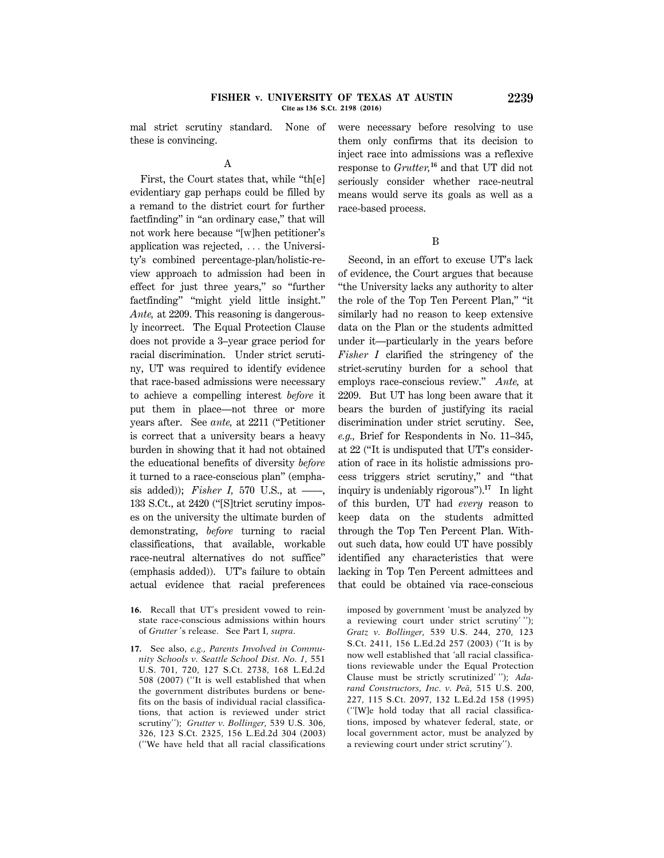mal strict scrutiny standard. None of these is convincing.

A

First, the Court states that, while ''th[e] evidentiary gap perhaps could be filled by a remand to the district court for further factfinding" in "an ordinary case," that will not work here because ''[w]hen petitioner's application was rejected,  $\dots$  the University's combined percentage-plan/holistic-review approach to admission had been in effect for just three years,'' so ''further factfinding'' ''might yield little insight.'' *Ante,* at 2209. This reasoning is dangerously incorrect. The Equal Protection Clause does not provide a 3–year grace period for racial discrimination. Under strict scrutiny, UT was required to identify evidence that race-based admissions were necessary to achieve a compelling interest *before* it put them in place—not three or more years after. See *ante,* at 2211 (''Petitioner is correct that a university bears a heavy burden in showing that it had not obtained the educational benefits of diversity *before* it turned to a race-conscious plan'' (emphasis added)); *Fisher I*, 570 U.S., at – 133 S.Ct., at 2420 (''[S]trict scrutiny imposes on the university the ultimate burden of demonstrating, *before* turning to racial classifications, that available, workable race-neutral alternatives do not suffice'' (emphasis added)). UT's failure to obtain actual evidence that racial preferences

- **16.** Recall that UT's president vowed to reinstate race-conscious admissions within hours of *Grutter* 's release. See Part I, *supra*.
- **17.** See also, *e.g., Parents Involved in Community Schools v. Seattle School Dist. No. 1,* 551 U.S. 701, 720, 127 S.Ct. 2738, 168 L.Ed.2d 508 (2007) (''It is well established that when the government distributes burdens or benefits on the basis of individual racial classifications, that action is reviewed under strict scrutiny''); *Grutter v. Bollinger,* 539 U.S. 306, 326, 123 S.Ct. 2325, 156 L.Ed.2d 304 (2003) (''We have held that all racial classifications

were necessary before resolving to use them only confirms that its decision to inject race into admissions was a reflexive response to *Grutter,***<sup>16</sup>** and that UT did not seriously consider whether race-neutral means would serve its goals as well as a race-based process.

B

Second, in an effort to excuse UT's lack of evidence, the Court argues that because ''the University lacks any authority to alter the role of the Top Ten Percent Plan,'' ''it similarly had no reason to keep extensive data on the Plan or the students admitted under it—particularly in the years before *Fisher I* clarified the stringency of the strict-scrutiny burden for a school that employs race-conscious review.'' *Ante,* at 2209. But UT has long been aware that it bears the burden of justifying its racial discrimination under strict scrutiny. See, *e.g.,* Brief for Respondents in No. 11–345, at 22 (''It is undisputed that UT's consideration of race in its holistic admissions process triggers strict scrutiny,'' and ''that inquiry is undeniably rigorous'').**<sup>17</sup>** In light of this burden, UT had *every* reason to keep data on the students admitted through the Top Ten Percent Plan. Without such data, how could UT have possibly identified any characteristics that were lacking in Top Ten Percent admittees and that could be obtained via race-conscious

imposed by government 'must be analyzed by a reviewing court under strict scrutiny' ''); *Gratz v. Bollinger,* 539 U.S. 244, 270, 123 S.Ct. 2411, 156 L.Ed.2d 257 (2003) (''It is by now well established that 'all racial classifications reviewable under the Equal Protection Clause must be strictly scrutinized' ''); *Ada*rand Constructors, Inc. v. Pea, 515 U.S. 200, 227, 115 S.Ct. 2097, 132 L.Ed.2d 158 (1995) (''[W]e hold today that all racial classifications, imposed by whatever federal, state, or local government actor, must be analyzed by a reviewing court under strict scrutiny'').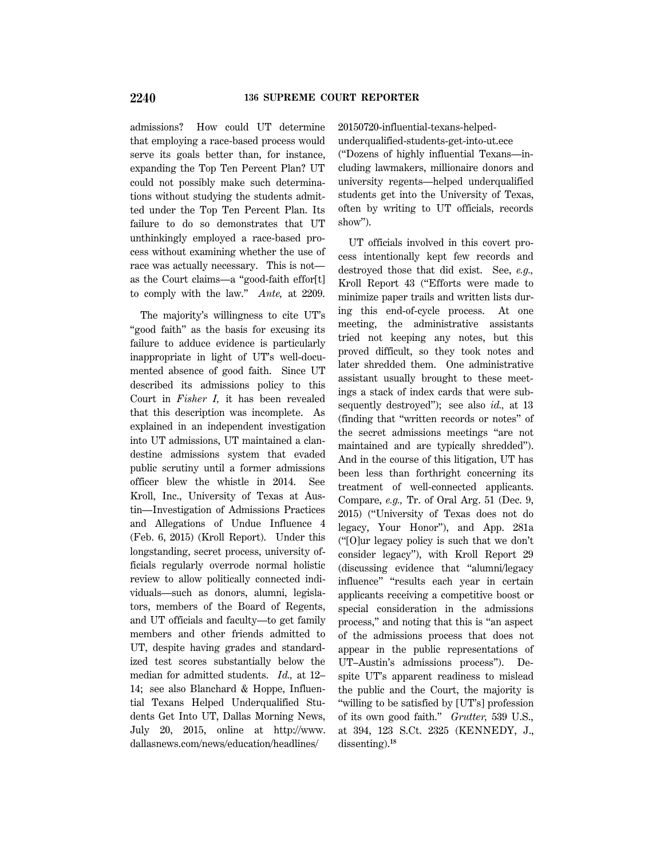admissions? How could UT determine that employing a race-based process would serve its goals better than, for instance, expanding the Top Ten Percent Plan? UT could not possibly make such determinations without studying the students admitted under the Top Ten Percent Plan. Its failure to do so demonstrates that UT unthinkingly employed a race-based process without examining whether the use of race was actually necessary. This is not as the Court claims—a ''good-faith effor[t] to comply with the law.'' *Ante,* at 2209.

The majority's willingness to cite UT's "good faith" as the basis for excusing its failure to adduce evidence is particularly inappropriate in light of UT's well-documented absence of good faith. Since UT described its admissions policy to this Court in *Fisher I,* it has been revealed that this description was incomplete. As explained in an independent investigation into UT admissions, UT maintained a clandestine admissions system that evaded public scrutiny until a former admissions officer blew the whistle in 2014. See Kroll, Inc., University of Texas at Austin—Investigation of Admissions Practices and Allegations of Undue Influence 4 (Feb. 6, 2015) (Kroll Report). Under this longstanding, secret process, university officials regularly overrode normal holistic review to allow politically connected individuals—such as donors, alumni, legislators, members of the Board of Regents, and UT officials and faculty—to get family members and other friends admitted to UT, despite having grades and standardized test scores substantially below the median for admitted students. *Id.,* at 12– 14; see also Blanchard & Hoppe, Influential Texans Helped Underqualified Students Get Into UT, Dallas Morning News, July 20, 2015, online at http://www. dallasnews.com/news/education/headlines/

20150720-influential-texans-helped-

underqualified-students-get-into-ut.ece (''Dozens of highly influential Texans—including lawmakers, millionaire donors and university regents—helped underqualified students get into the University of Texas, often by writing to UT officials, records show'').

UT officials involved in this covert process intentionally kept few records and destroyed those that did exist. See, *e.g.,* Kroll Report 43 (''Efforts were made to minimize paper trails and written lists during this end-of-cycle process. At one meeting, the administrative assistants tried not keeping any notes, but this proved difficult, so they took notes and later shredded them. One administrative assistant usually brought to these meetings a stack of index cards that were subsequently destroyed''); see also *id.,* at 13 (finding that ''written records or notes'' of the secret admissions meetings ''are not maintained and are typically shredded''). And in the course of this litigation, UT has been less than forthright concerning its treatment of well-connected applicants. Compare, *e.g.,* Tr. of Oral Arg. 51 (Dec. 9, 2015) (''University of Texas does not do legacy, Your Honor''), and App. 281a (''[O]ur legacy policy is such that we don't consider legacy''), with Kroll Report 29 (discussing evidence that ''alumni/legacy influence'' ''results each year in certain applicants receiving a competitive boost or special consideration in the admissions process,'' and noting that this is ''an aspect of the admissions process that does not appear in the public representations of UT–Austin's admissions process''). Despite UT's apparent readiness to mislead the public and the Court, the majority is ''willing to be satisfied by [UT's] profession of its own good faith.'' *Grutter,* 539 U.S., at 394, 123 S.Ct. 2325 (KENNEDY, J., dissenting).**18**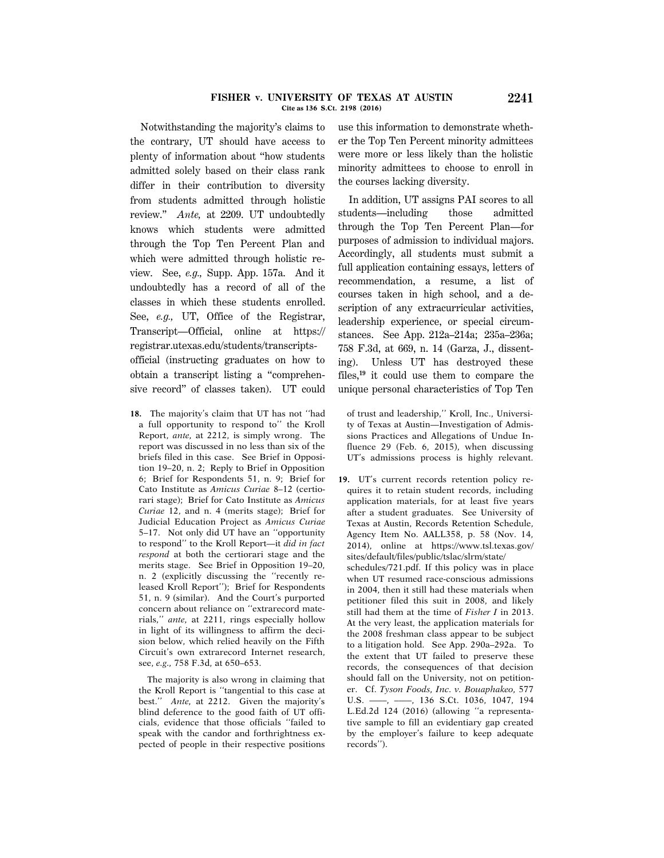#### **FISHER v. UNIVERSITY OF TEXAS AT AUSTIN 2241 Cite as 136 S.Ct. 2198 (2016)**

Notwithstanding the majority's claims to the contrary, UT should have access to plenty of information about ''how students admitted solely based on their class rank differ in their contribution to diversity from students admitted through holistic review.'' *Ante,* at 2209. UT undoubtedly knows which students were admitted through the Top Ten Percent Plan and which were admitted through holistic review. See, *e.g.,* Supp. App. 157a. And it undoubtedly has a record of all of the classes in which these students enrolled. See, *e.g.,* UT, Office of the Registrar, Transcript—Official, online at https:// registrar.utexas.edu/students/transcriptsofficial (instructing graduates on how to obtain a transcript listing a ''comprehensive record'' of classes taken). UT could

**18.** The majority's claim that UT has not ''had a full opportunity to respond to'' the Kroll Report, *ante,* at 2212, is simply wrong. The report was discussed in no less than six of the briefs filed in this case. See Brief in Opposition 19–20, n. 2; Reply to Brief in Opposition 6; Brief for Respondents 51, n. 9; Brief for Cato Institute as *Amicus Curiae* 8–12 (certiorari stage); Brief for Cato Institute as *Amicus Curiae* 12, and n. 4 (merits stage); Brief for Judicial Education Project as *Amicus Curiae* 5–17. Not only did UT have an ''opportunity to respond'' to the Kroll Report—it *did in fact respond* at both the certiorari stage and the merits stage. See Brief in Opposition 19–20, n. 2 (explicitly discussing the ''recently released Kroll Report''); Brief for Respondents 51, n. 9 (similar). And the Court's purported concern about reliance on ''extrarecord materials,'' *ante,* at 2211, rings especially hollow in light of its willingness to affirm the decision below, which relied heavily on the Fifth Circuit's own extrarecord Internet research, see, *e.g.,* 758 F.3d, at 650–653.

The majority is also wrong in claiming that the Kroll Report is ''tangential to this case at best.'' *Ante,* at 2212. Given the majority's blind deference to the good faith of UT officials, evidence that those officials ''failed to speak with the candor and forthrightness expected of people in their respective positions use this information to demonstrate whether the Top Ten Percent minority admittees were more or less likely than the holistic minority admittees to choose to enroll in the courses lacking diversity.

In addition, UT assigns PAI scores to all students—including those admitted through the Top Ten Percent Plan—for purposes of admission to individual majors. Accordingly, all students must submit a full application containing essays, letters of recommendation, a resume, a list of courses taken in high school, and a description of any extracurricular activities, leadership experience, or special circumstances. See App. 212a–214a; 235a–236a; 758 F.3d, at 669, n. 14 (Garza, J., dissenting). Unless UT has destroyed these files,**<sup>19</sup>** it could use them to compare the unique personal characteristics of Top Ten

of trust and leadership,'' Kroll, Inc., University of Texas at Austin—Investigation of Admissions Practices and Allegations of Undue Influence 29 (Feb. 6, 2015), when discussing UT's admissions process is highly relevant.

**19.** UT's current records retention policy requires it to retain student records, including application materials, for at least five years after a student graduates. See University of Texas at Austin, Records Retention Schedule, Agency Item No. AALL358, p. 58 (Nov. 14, 2014), online at https://www.tsl.texas.gov/ sites/default/files/public/tslac/slrm/state/ schedules/721.pdf. If this policy was in place when UT resumed race-conscious admissions in 2004, then it still had these materials when petitioner filed this suit in 2008, and likely still had them at the time of *Fisher I* in 2013. At the very least, the application materials for the 2008 freshman class appear to be subject to a litigation hold. See App. 290a–292a. To the extent that UT failed to preserve these records, the consequences of that decision should fall on the University, not on petitioner. Cf. *Tyson Foods, Inc. v. Bouaphakeo,* 577 U.S. ––––, ––––, 136 S.Ct. 1036, 1047, 194 L.Ed.2d 124 (2016) (allowing ''a representative sample to fill an evidentiary gap created by the employer's failure to keep adequate records'').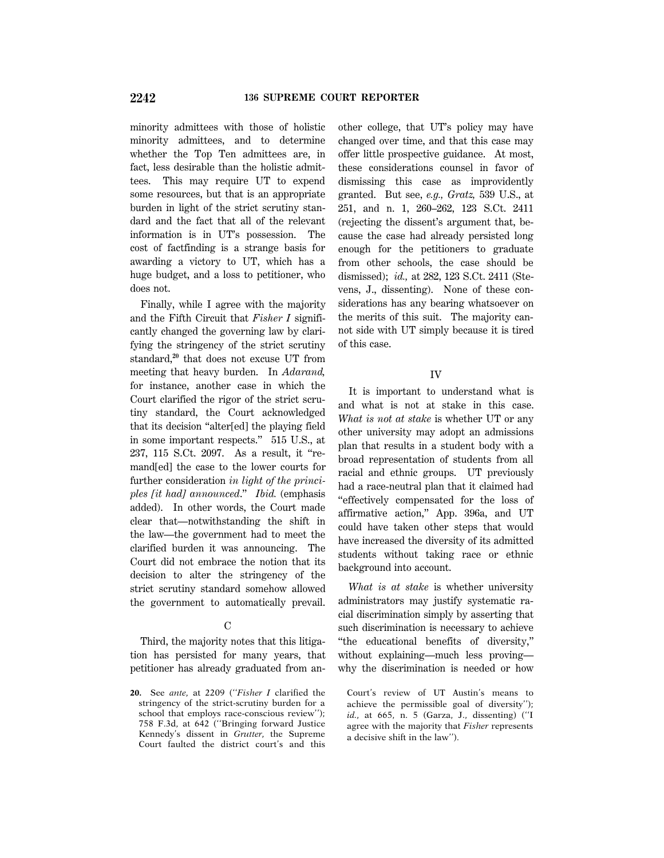minority admittees with those of holistic minority admittees, and to determine whether the Top Ten admittees are, in fact, less desirable than the holistic admittees. This may require UT to expend some resources, but that is an appropriate burden in light of the strict scrutiny standard and the fact that all of the relevant information is in UT's possession. The cost of factfinding is a strange basis for awarding a victory to UT, which has a huge budget, and a loss to petitioner, who does not.

Finally, while I agree with the majority and the Fifth Circuit that *Fisher I* significantly changed the governing law by clarifying the stringency of the strict scrutiny standard,**<sup>20</sup>** that does not excuse UT from meeting that heavy burden. In *Adarand,* for instance, another case in which the Court clarified the rigor of the strict scrutiny standard, the Court acknowledged that its decision ''alter[ed] the playing field in some important respects.'' 515 U.S., at 237, 115 S.Ct. 2097. As a result, it ''remand[ed] the case to the lower courts for further consideration *in light of the principles [it had] announced*.'' *Ibid.* (emphasis added). In other words, the Court made clear that—notwithstanding the shift in the law—the government had to meet the clarified burden it was announcing. The Court did not embrace the notion that its decision to alter the stringency of the strict scrutiny standard somehow allowed the government to automatically prevail.

# C

Third, the majority notes that this litigation has persisted for many years, that petitioner has already graduated from another college, that UT's policy may have changed over time, and that this case may offer little prospective guidance. At most, these considerations counsel in favor of dismissing this case as improvidently granted. But see, *e.g., Gratz,* 539 U.S., at 251, and n. 1, 260–262, 123 S.Ct. 2411 (rejecting the dissent's argument that, because the case had already persisted long enough for the petitioners to graduate from other schools, the case should be dismissed); *id.,* at 282, 123 S.Ct. 2411 (Stevens, J., dissenting). None of these considerations has any bearing whatsoever on the merits of this suit. The majority cannot side with UT simply because it is tired of this case.

# IV

It is important to understand what is and what is not at stake in this case. *What is not at stake* is whether UT or any other university may adopt an admissions plan that results in a student body with a broad representation of students from all racial and ethnic groups. UT previously had a race-neutral plan that it claimed had ''effectively compensated for the loss of affirmative action,'' App. 396a, and UT could have taken other steps that would have increased the diversity of its admitted students without taking race or ethnic background into account.

*What is at stake* is whether university administrators may justify systematic racial discrimination simply by asserting that such discrimination is necessary to achieve ''the educational benefits of diversity,'' without explaining—much less proving why the discrimination is needed or how

**<sup>20.</sup>** See *ante,* at 2209 (''*Fisher I* clarified the stringency of the strict-scrutiny burden for a school that employs race-conscious review''); 758 F.3d, at 642 (''Bringing forward Justice Kennedy's dissent in *Grutter,* the Supreme Court faulted the district court's and this

Court's review of UT Austin's means to achieve the permissible goal of diversity''); *id.,* at 665, n. 5 (Garza, J., dissenting) (''I agree with the majority that *Fisher* represents a decisive shift in the law'').